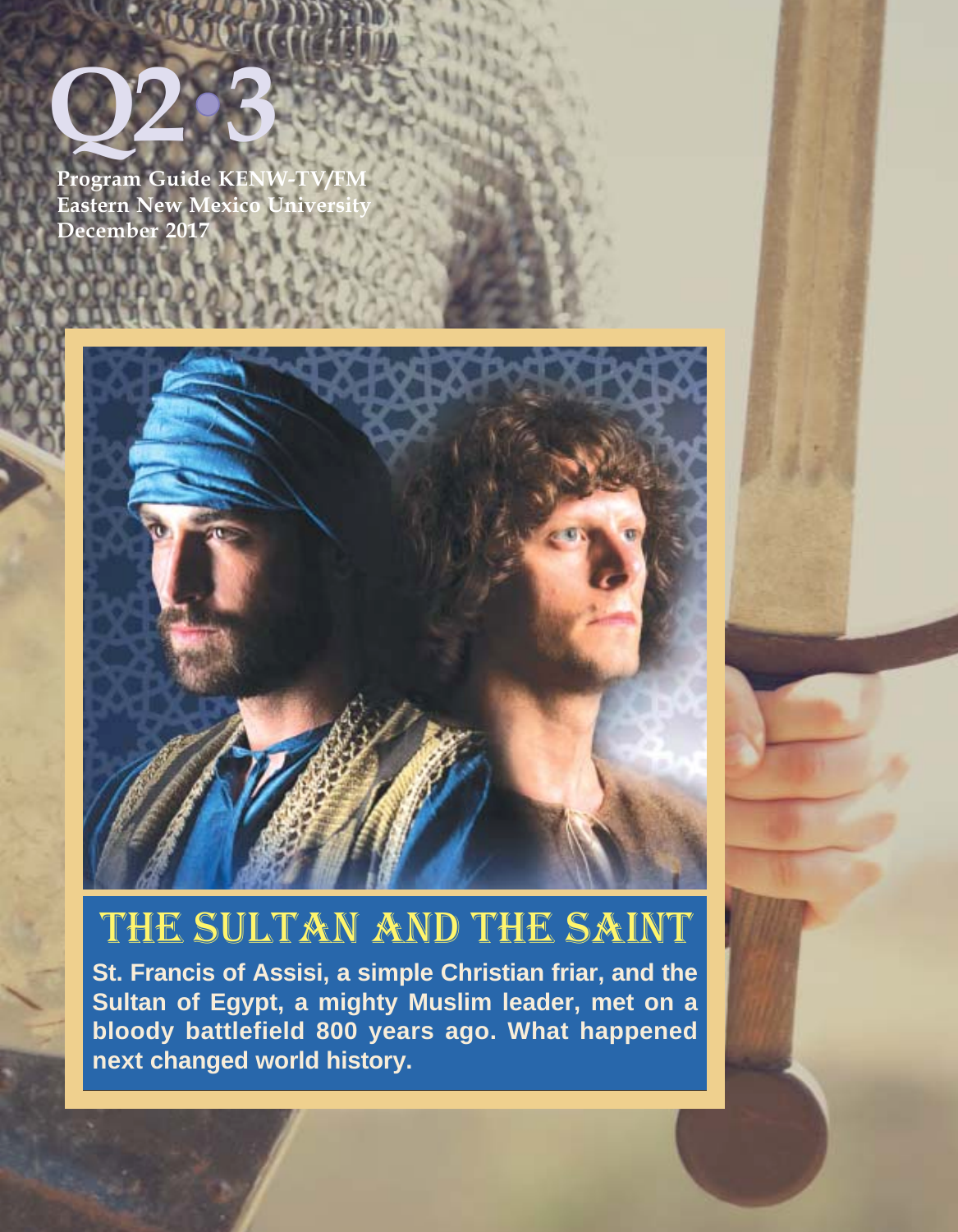

Program Guide KENW-T Eastern New Mexico Univ **December 2017**



# THE SULTAN AND THE SAINT

**St. Francis of Assisi, a simple Christian friar, and the Sultan of Egypt, a mighty Muslim leader, met on a bloody battlefield 800 years ago. What happened next changed world history.**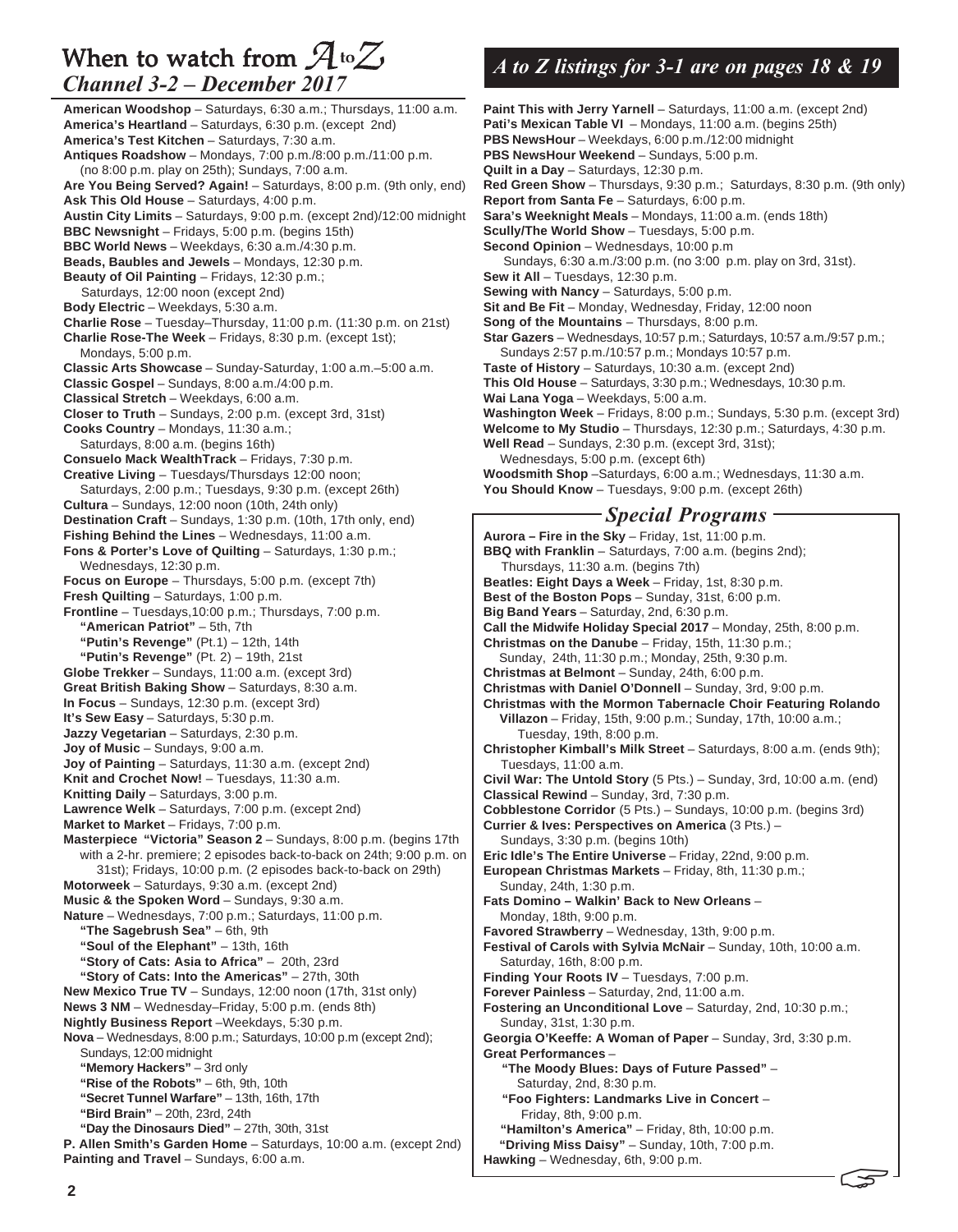### When to watch from  $\mathcal{A}^{t_0}\mathcal{Z}$ *Channel 3-2 – December 2017*

**American Woodshop** – Saturdays, 6:30 a.m.; Thursdays, 11:00 a.m. **America's Heartland** – Saturdays, 6:30 p.m. (except 2nd) **America's Test Kitchen** – Saturdays, 7:30 a.m. **Antiques Roadshow** – Mondays, 7:00 p.m./8:00 p.m./11:00 p.m. (no 8:00 p.m. play on 25th); Sundays, 7:00 a.m. **Are You Being Served? Again!** – Saturdays, 8:00 p.m. (9th only, end) **Ask This Old House** – Saturdays, 4:00 p.m. **Austin City Limits** – Saturdays, 9:00 p.m. (except 2nd)/12:00 midnight **BBC Newsnight** – Fridays, 5:00 p.m. (begins 15th) **BBC World News** – Weekdays, 6:30 a.m./4:30 p.m. **Beads, Baubles and Jewels** – Mondays, 12:30 p.m. **Beauty of Oil Painting** – Fridays, 12:30 p.m.; Saturdays, 12:00 noon (except 2nd) **Body Electric** – Weekdays, 5:30 a.m. **Charlie Rose** – Tuesday–Thursday, 11:00 p.m. (11:30 p.m. on 21st) **Charlie Rose-The Week** – Fridays, 8:30 p.m. (except 1st); Mondays, 5:00 p.m. **Classic Arts Showcase** – Sunday-Saturday, 1:00 a.m.–5:00 a.m. **Classic Gospel** – Sundays, 8:00 a.m./4:00 p.m. **Classical Stretch** – Weekdays, 6:00 a.m. **Closer to Truth** – Sundays, 2:00 p.m. (except 3rd, 31st) **Cooks Country** – Mondays, 11:30 a.m.; Saturdays, 8:00 a.m. (begins 16th) **Consuelo Mack WealthTrack** – Fridays, 7:30 p.m. **Creative Living** – Tuesdays/Thursdays 12:00 noon; Saturdays, 2:00 p.m.; Tuesdays, 9:30 p.m. (except 26th) **Cultura** – Sundays, 12:00 noon (10th, 24th only) **Destination Craft** – Sundays, 1:30 p.m. (10th, 17th only, end) **Fishing Behind the Lines** – Wednesdays, 11:00 a.m. **Fons & Porter's Love of Quilting - Saturdays, 1:30 p.m.;** Wednesdays, 12:30 p.m. **Focus on Europe** – Thursdays, 5:00 p.m. (except 7th) **Fresh Quilting** – Saturdays, 1:00 p.m. **Frontline** – Tuesdays,10:00 p.m.; Thursdays, 7:00 p.m. **"American Patriot"** – 5th, 7th **"Putin's Revenge"** (Pt.1) – 12th, 14th **"Putin's Revenge"** (Pt. 2) – 19th, 21st **Globe Trekker** – Sundays, 11:00 a.m. (except 3rd) **Great British Baking Show** – Saturdays, 8:30 a.m. **In Focus** – Sundays, 12:30 p.m. (except 3rd) **It's Sew Easy** – Saturdays, 5:30 p.m. **Jazzy Vegetarian** – Saturdays, 2:30 p.m. **Joy of Music** – Sundays, 9:00 a.m. **Joy of Painting** – Saturdays, 11:30 a.m. (except 2nd) Knit and Crochet Now! - Tuesdays, 11:30 a.m. **Knitting Daily** – Saturdays, 3:00 p.m. **Lawrence Welk** – Saturdays, 7:00 p.m. (except 2nd) **Market to Market** – Fridays, 7:00 p.m. **Masterpiece "Victoria" Season 2** – Sundays, 8:00 p.m. (begins 17th with a 2-hr. premiere; 2 episodes back-to-back on 24th; 9:00 p.m. on 31st); Fridays, 10:00 p.m. (2 episodes back-to-back on 29th) **Motorweek** – Saturdays, 9:30 a.m. (except 2nd) **Music & the Spoken Word** – Sundays, 9:30 a.m. **Nature** – Wednesdays, 7:00 p.m.; Saturdays, 11:00 p.m. **"The Sagebrush Sea"** – 6th, 9th **"Soul of the Elephant"** – 13th, 16th **"Story of Cats: Asia to Africa"** – 20th, 23rd **"Story of Cats: Into the Americas"** – 27th, 30th **New Mexico True TV** – Sundays, 12:00 noon (17th, 31st only) **News 3 NM** – Wednesday–Friday, 5:00 p.m. (ends 8th) **Nightly Business Report** –Weekdays, 5:30 p.m. **Nova** – Wednesdays, 8:00 p.m.; Saturdays, 10:00 p.m (except 2nd); Sundays, 12:00 midnight **"Memory Hackers"** – 3rd only **"Rise of the Robots"** – 6th, 9th, 10th **"Secret Tunnel Warfare"** – 13th, 16th, 17th **"Bird Brain"** – 20th, 23rd, 24th **"Day the Dinosaurs Died"** – 27th, 30th, 31st **P. Allen Smith's Garden Home** – Saturdays, 10:00 a.m. (except 2nd) Painting and Travel - Sundays, 6:00 a.m.

# *A to Z listings for 3-1 are on pages 18 & 19*

**Paint This with Jerry Yarnell** – Saturdays, 11:00 a.m. (except 2nd) Pati's Mexican Table VI - Mondays, 11:00 a.m. (begins 25th) **PBS NewsHour** – Weekdays, 6:00 p.m./12:00 midnight **PBS NewsHour Weekend** – Sundays, 5:00 p.m. **Quilt in a Day** – Saturdays, 12:30 p.m. **Red Green Show** – Thursdays, 9:30 p.m.; Saturdays, 8:30 p.m. (9th only) **Report from Santa Fe** – Saturdays, 6:00 p.m. **Sara's Weeknight Meals** – Mondays, 11:00 a.m. (ends 18th) **Scully/The World Show** – Tuesdays, 5:00 p.m. **Second Opinion** – Wednesdays, 10:00 p.m Sundays, 6:30 a.m./3:00 p.m. (no 3:00 p.m. play on 3rd, 31st). Sew it All - Tuesdays, 12:30 p.m. **Sewing with Nancy - Saturdays, 5:00 p.m. Sit and Be Fit** - Monday, Wednesday, Friday, 12:00 noon **Song of the Mountains** – Thursdays, 8:00 p.m. **Star Gazers** – Wednesdays, 10:57 p.m.; Saturdays, 10:57 a.m./9:57 p.m.; Sundays 2:57 p.m./10:57 p.m.; Mondays 10:57 p.m. **Taste of History** – Saturdays, 10:30 a.m. (except 2nd) **This Old House** – Saturdays, 3:30 p.m.; Wednesdays, 10:30 p.m. **Wai Lana Yoga** – Weekdays, 5:00 a.m. **Washington Week** – Fridays, 8:00 p.m.; Sundays, 5:30 p.m. (except 3rd) **Welcome to My Studio** – Thursdays, 12:30 p.m.; Saturdays, 4:30 p.m. **Well Read** – Sundays, 2:30 p.m. (except 3rd, 31st); Wednesdays, 5:00 p.m. (except 6th) **Woodsmith Shop** –Saturdays, 6:00 a.m.; Wednesdays, 11:30 a.m. **You Should Know** – Tuesdays, 9:00 p.m. (except 26th) **Aurora – Fire in the Sky** – Friday, 1st, 11:00 p.m. **BBQ with Franklin** – Saturdays, 7:00 a.m. (begins 2nd); Thursdays, 11:30 a.m. (begins 7th) **Beatles: Eight Days a Week** – Friday, 1st, 8:30 p.m. **Best of the Boston Pops** – Sunday, 31st, 6:00 p.m. **Big Band Years** – Saturday, 2nd, 6:30 p.m. **Call the Midwife Holiday Special 2017** – Monday, 25th, 8:00 p.m. **Christmas on the Danube** – Friday, 15th, 11:30 p.m.; Sunday, 24th, 11:30 p.m.; Monday, 25th, 9:30 p.m. **Christmas at Belmont** – Sunday, 24th, 6:00 p.m. **Christmas with Daniel O'Donnell** – Sunday, 3rd, 9:00 p.m. **Christmas with the Mormon Tabernacle Choir Featuring Rolando Villazon** – Friday, 15th, 9:00 p.m.; Sunday, 17th, 10:00 a.m.; Tuesday, 19th, 8:00 p.m. **Christopher Kimball's Milk Street** – Saturdays, 8:00 a.m. (ends 9th); Tuesdays, 11:00 a.m. **Civil War: The Untold Story** (5 Pts.) – Sunday, 3rd, 10:00 a.m. (end) **Classical Rewind** – Sunday, 3rd, 7:30 p.m. **Cobblestone Corridor** (5 Pts.) – Sundays, 10:00 p.m. (begins 3rd) **Currier & Ives: Perspectives on America** (3 Pts.) – Sundays, 3:30 p.m. (begins 10th) **Eric Idle's The Entire Universe** – Friday, 22nd, 9:00 p.m. **European Christmas Markets** – Friday, 8th, 11:30 p.m.; Sunday, 24th, 1:30 p.m. **Fats Domino – Walkin' Back to New Orleans** – Monday, 18th, 9:00 p.m. **Favored Strawberry** – Wednesday, 13th, 9:00 p.m. **Festival of Carols with Sylvia McNair** – Sunday, 10th, 10:00 a.m. Saturday, 16th, 8:00 p.m. *Special Programs*

**Finding Your Roots IV** – Tuesdays, 7:00 p.m.

**Forever Painless** – Saturday, 2nd, 11:00 a.m.

**Fostering an Unconditional Love** – Saturday, 2nd, 10:30 p.m.; Sunday, 31st, 1:30 p.m.

**Georgia O'Keeffe: A Woman of Paper** – Sunday, 3rd, 3:30 p.m. **Great Performances** –

5

 **"The Moody Blues: Days of Future Passed"** – Saturday, 2nd, 8:30 p.m.

 **"Foo Fighters: Landmarks Live in Concert** – Friday, 8th, 9:00 p.m.

 **"Hamilton's America"** – Friday, 8th, 10:00 p.m. **"Driving Miss Daisy"** – Sunday, 10th, 7:00 p.m.

**Hawking** – Wednesday, 6th, 9:00 p.m.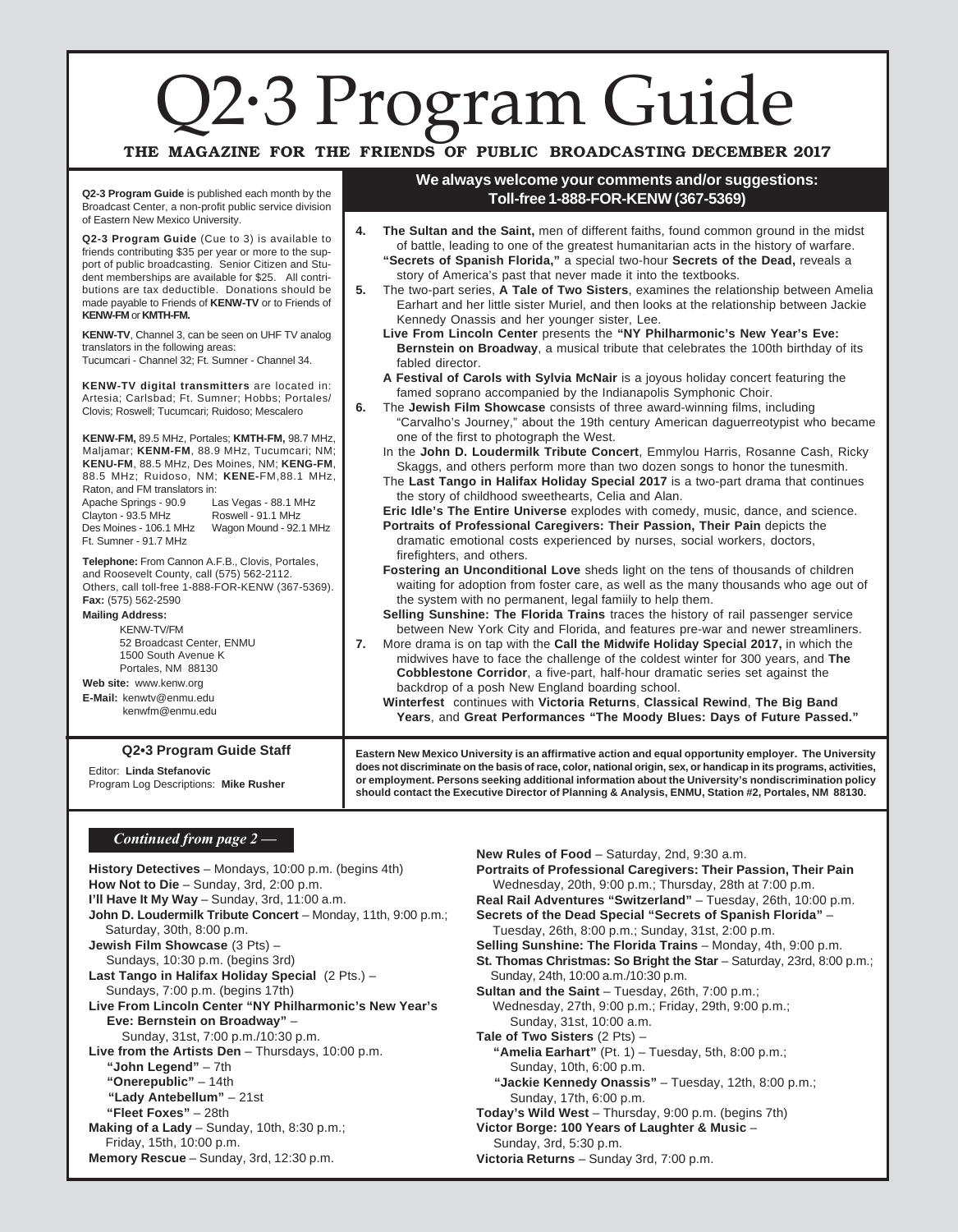# Q2·3 Program Guide .<br>.<br>.

### THE MAGAZINE FOR THE FRIENDS OF PUBLIC BROADCASTING DECEMBER 2017

**We always welcome your comments and/or suggestions: Toll-free 1-888-FOR-KENW (367-5369)**

**Q2-3 Program Guide** is published each month by the Broadcast Center, a non-profit public service division of Eastern New Mexico University.

#### **Q2-3 Program Guide** (Cue to 3) is available to friends contributing \$35 per year or more to the support of public broadcasting. Senior Citizen and Student memberships are available for \$25. All contributions are tax deductible. Donations should be made payable to Friends of **KENW-TV** or to Friends of **KENW-FM** or **KMTH-FM. KENW-TV**, Channel 3, can be seen on UHF TV analog translators in the following areas: Tucumcari - Channel 32; Ft. Sumner - Channel 34. **KENW-TV digital transmitters** are located in: Artesia; Carlsbad; Ft. Sumner; Hobbs; Portales/ Clovis; Roswell; Tucumcari; Ruidoso; Mescalero **KENW-FM,** 89.5 MHz, Portales; **KMTH-FM,** 98.7 MHz, Maljamar; **KENM-FM**, 88.9 MHz, Tucumcari; NM; **KENU-FM**, 88.5 MHz, Des Moines, NM; **KENG-FM**, 88.5 MHz; Ruidoso, NM; **KENE-**FM,88.1 MHz, Raton, and FM translators in: Apache Springs - 90.9 Clayton - 93.5 MHz Des Moines - 106.1 MHz Wagon Mound - 92.1 MHz Ft. Sumner - 91.7 MHz Las Vegas - 88.1 MHz Roswell - 91.1 MHz **Telephone:** From Cannon A.F.B., Clovis, Portales, and Roosevelt County, call (575) 562-2112. Others, call toll-free 1-888-FOR-KENW (367-5369). **Fax:** (575) 562-2590 **Mailing Address:** KENW-TV/FM 52 Broadcast Center, ENMU 1500 South Avenue K Portales, NM 88130 **Web site:** www.kenw.org **E-Mail:** kenwtv@enmu.edu kenwfm@enmu.edu Program Log Descriptions: **Mike Rusher Q2•3 Program Guide Staff Eastern New Mexico University is an affirmative action and equal opportunity employer. The University does not discriminate on the basis of race, color, national origin, sex, or handicap in its programs, activities, or employment. Persons seeking additional information about the University's nondiscrimination policy should contact the Executive Director of Planning & Analysis, ENMU, Station #2, Portales, NM 88130.** Editor: **Linda Stefanovic 4. The Sultan and the Saint,** men of different faiths, found common ground in the midst of battle, leading to one of the greatest humanitarian acts in the history of warfare. **"Secrets of Spanish Florida,"** a special two-hour **Secrets of the Dead,** reveals a story of America's past that never made it into the textbooks. **5.** The two-part series, **A Tale of Two Sisters**, examines the relationship between Amelia Earhart and her little sister Muriel, and then looks at the relationship between Jackie Kennedy Onassis and her younger sister, Lee. **Live From Lincoln Center** presents the **"NY Philharmonic's New Year's Eve: Bernstein on Broadway**, a musical tribute that celebrates the 100th birthday of its fabled director. **A Festival of Carols with Sylvia McNair** is a joyous holiday concert featuring the famed soprano accompanied by the Indianapolis Symphonic Choir. **6.** The **Jewish Film Showcase** consists of three award-winning films, including "Carvalho's Journey," about the 19th century American daguerreotypist who became one of the first to photograph the West. In the **John D. Loudermilk Tribute Concert**, Emmylou Harris, Rosanne Cash, Ricky Skaggs, and others perform more than two dozen songs to honor the tunesmith. The **Last Tango in Halifax Holiday Special 2017** is a two-part drama that continues the story of childhood sweethearts, Celia and Alan. **Eric Idle's The Entire Universe** explodes with comedy, music, dance, and science. **Portraits of Professional Caregivers: Their Passion, Their Pain** depicts the dramatic emotional costs experienced by nurses, social workers, doctors, firefighters, and others. **Fostering an Unconditional Love** sheds light on the tens of thousands of children waiting for adoption from foster care, as well as the many thousands who age out of the system with no permanent, legal famiily to help them. **Selling Sunshine: The Florida Trains** traces the history of rail passenger service between New York City and Florida, and features pre-war and newer streamliners. **7.** More drama is on tap with the **Call the Midwife Holiday Special 2017,** in which the midwives have to face the challenge of the coldest winter for 300 years, and **The Cobblestone Corridor**, a five-part, half-hour dramatic series set against the backdrop of a posh New England boarding school. **Winterfest** continues with **Victoria Returns**, **Classical Rewind**, **The Big Band Years**, and **Great Performances "The Moody Blues: Days of Future Passed."** *Continued from page 2 –*

**History Detectives** – Mondays, 10:00 p.m. (begins 4th) **How Not to Die** – Sunday, 3rd, 2:00 p.m. **I'll Have It My Way** – Sunday, 3rd, 11:00 a.m. **John D. Loudermilk Tribute Concert** – Monday, 11th, 9:00 p.m.; Saturday, 30th, 8:00 p.m. **Jewish Film Showcase** (3 Pts) – Sundays, 10:30 p.m. (begins 3rd) **Last Tango in Halifax Holiday Special** (2 Pts.) – Sundays, 7:00 p.m. (begins 17th) **Live From Lincoln Center "NY Philharmonic's New Year's Eve: Bernstein on Broadway"** – Sunday, 31st, 7:00 p.m./10:30 p.m. **Live from the Artists Den** – Thursdays, 10:00 p.m. **"John Legend"** – 7th **"Onerepublic"** – 14th **"Lady Antebellum"** – 21st **"Fleet Foxes"** – 28th **Making of a Lady** – Sunday, 10th, 8:30 p.m.; Friday, 15th, 10:00 p.m. **Memory Rescue** – Sunday, 3rd, 12:30 p.m.

**New Rules of Food** – Saturday, 2nd, 9:30 a.m. **Portraits of Professional Caregivers: Their Passion, Their Pain** Wednesday, 20th, 9:00 p.m.; Thursday, 28th at 7:00 p.m. **Real Rail Adventures "Switzerland"** – Tuesday, 26th, 10:00 p.m. **Secrets of the Dead Special "Secrets of Spanish Florida"** – Tuesday, 26th, 8:00 p.m.; Sunday, 31st, 2:00 p.m. **Selling Sunshine: The Florida Trains** – Monday, 4th, 9:00 p.m. **St. Thomas Christmas: So Bright the Star** – Saturday, 23rd, 8:00 p.m.; Sunday, 24th, 10:00 a.m./10:30 p.m. **Sultan and the Saint** – Tuesday, 26th, 7:00 p.m.; Wednesday, 27th, 9:00 p.m.; Friday, 29th, 9:00 p.m.; Sunday, 31st, 10:00 a.m. **Tale of Two Sisters** (2 Pts) – **"Amelia Earhart"** (Pt. 1) – Tuesday, 5th, 8:00 p.m.; Sunday, 10th, 6:00 p.m.  **"Jackie Kennedy Onassis"** – Tuesday, 12th, 8:00 p.m.; Sunday, 17th, 6:00 p.m. **Today's Wild West** – Thursday, 9:00 p.m. (begins 7th) **Victor Borge: 100 Years of Laughter & Music** – Sunday, 3rd, 5:30 p.m. **Victoria Returns** – Sunday 3rd, 7:00 p.m.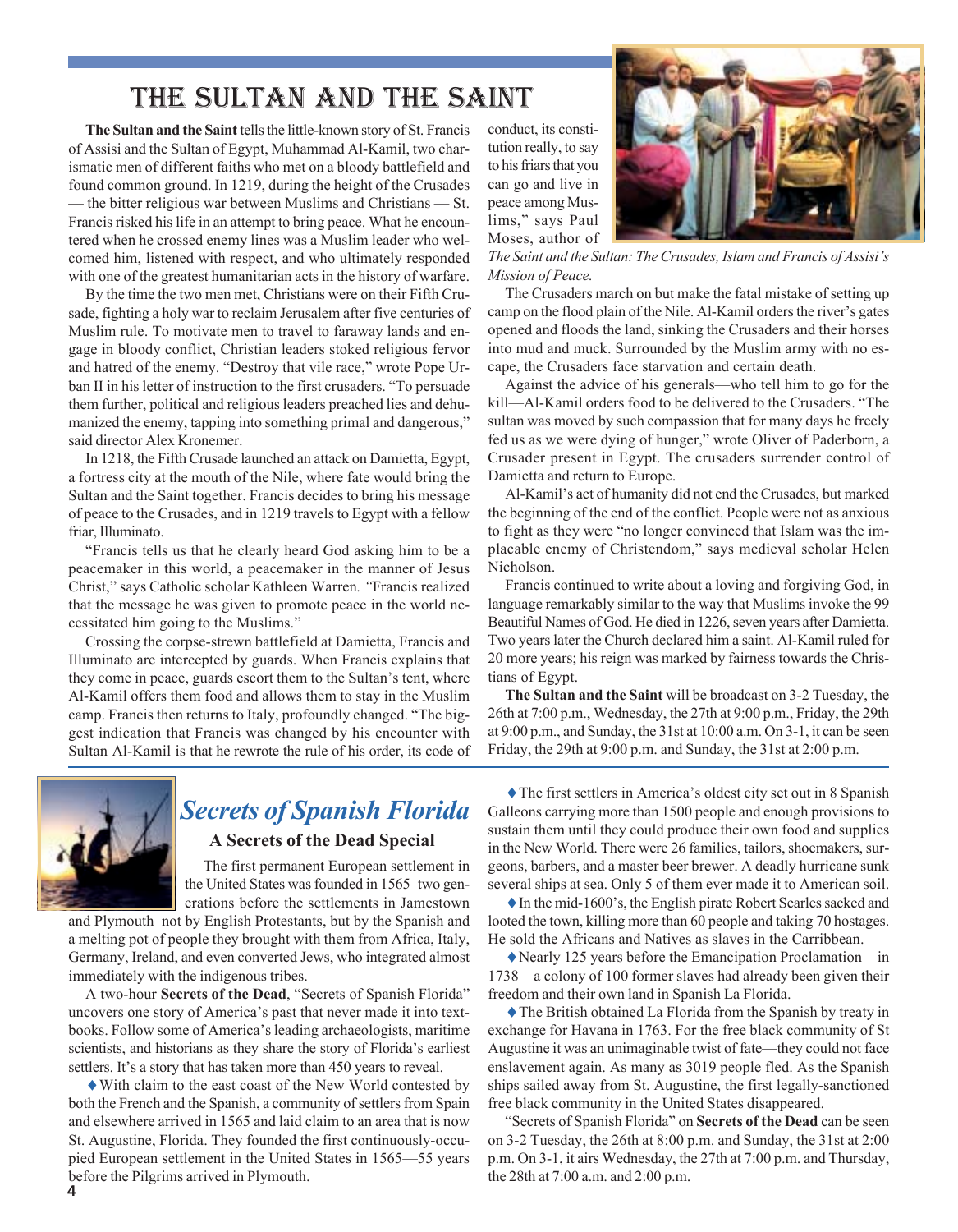# THE SULTAN AND THE SAINT

**The Sultan and the Saint** tells the little-known story of St. Francis of Assisi and the Sultan of Egypt, Muhammad Al-Kamil, two charismatic men of different faiths who met on a bloody battlefield and found common ground. In 1219, during the height of the Crusades  $-$  the bitter religious war between Muslims and Christians  $-$  St. Francis risked his life in an attempt to bring peace. What he encountered when he crossed enemy lines was a Muslim leader who welcomed him, listened with respect, and who ultimately responded with one of the greatest humanitarian acts in the history of warfare.

By the time the two men met, Christians were on their Fifth Crusade, fighting a holy war to reclaim Jerusalem after five centuries of Muslim rule. To motivate men to travel to faraway lands and engage in bloody conflict, Christian leaders stoked religious fervor and hatred of the enemy. "Destroy that vile race," wrote Pope Urban II in his letter of instruction to the first crusaders. "To persuade them further, political and religious leaders preached lies and dehumanized the enemy, tapping into something primal and dangerous," said director Alex Kronemer.

In 1218, the Fifth Crusade launched an attack on Damietta, Egypt, a fortress city at the mouth of the Nile, where fate would bring the Sultan and the Saint together. Francis decides to bring his message of peace to the Crusades, and in 1219 travels to Egypt with a fellow friar, Illuminato.

"Francis tells us that he clearly heard God asking him to be a peacemaker in this world, a peacemaker in the manner of Jesus Christ," says Catholic scholar Kathleen Warren. 'Francis realized that the message he was given to promote peace in the world necessitated him going to the Muslims."

Crossing the corpse-strewn battlefield at Damietta, Francis and Illuminato are intercepted by guards. When Francis explains that they come in peace, guards escort them to the Sultan's tent, where Al-Kamil offers them food and allows them to stay in the Muslim camp. Francis then returns to Italy, profoundly changed. "The biggest indication that Francis was changed by his encounter with Sultan Al-Kamil is that he rewrote the rule of his order, its code of conduct, its constitution really, to say to his friars that you can go and live in peace among Muslims," says Paul Moses, author of



*The Saint and the Sultan: The Crusades, Islam and Francis of Assisi's Mission of Peace.*

The Crusaders march on but make the fatal mistake of setting up camp on the flood plain of the Nile. Al-Kamil orders the river's gates opened and floods the land, sinking the Crusaders and their horses into mud and muck. Surrounded by the Muslim army with no escape, the Crusaders face starvation and certain death.

Against the advice of his generals—who tell him to go for the kill—Al-Kamil orders food to be delivered to the Crusaders. "The sultan was moved by such compassion that for many days he freely fed us as we were dying of hunger," wrote Oliver of Paderborn, a Crusader present in Egypt. The crusaders surrender control of Damietta and return to Europe.

Al-Kamil's act of humanity did not end the Crusades, but marked the beginning of the end of the conflict. People were not as anxious to fight as they were "no longer convinced that Islam was the implacable enemy of Christendom," says medieval scholar Helen Nicholson.

Francis continued to write about a loving and forgiving God, in language remarkably similar to the way that Muslims invoke the 99 Beautiful Names of God. He died in 1226, seven years after Damietta. Two years later the Church declared him a saint. Al-Kamil ruled for 20 more years; his reign was marked by fairness towards the Christians of Egypt.

**The Sultan and the Saint** will be broadcast on 3-2 Tuesday, the 26th at 7:00 p.m., Wednesday, the 27th at 9:00 p.m., Friday, the 29th at 9:00 p.m., and Sunday, the 31st at 10:00 a.m. On 3-1, it can be seen Friday, the 29th at 9:00 p.m. and Sunday, the 31st at 2:00 p.m.



# *Secrets of Spanish Florida* **A Secrets of the Dead Special**

 The first permanent European settlement in the United States was founded in 1565-two generations before the settlements in Jamestown

and Plymouth-not by English Protestants, but by the Spanish and a melting pot of people they brought with them from Africa, Italy, Germany, Ireland, and even converted Jews, who integrated almost immediately with the indigenous tribes.

A two-hour **Secrets of the Dead**, "Secrets of Spanish Florida" uncovers one story of America's past that never made it into textbooks. Follow some of America's leading archaeologists, maritime scientists, and historians as they share the story of Florida's earliest settlers. It's a story that has taken more than 450 years to reveal.

♦With claim to the east coast of the New World contested by both the French and the Spanish, a community of settlers from Spain and elsewhere arrived in 1565 and laid claim to an area that is now St. Augustine, Florida. They founded the first continuously-occupied European settlement in the United States in 1565-55 years before the Pilgrims arrived in Plymouth.

♦The first settlers in Americaís oldest city set out in 8 Spanish Galleons carrying more than 1500 people and enough provisions to sustain them until they could produce their own food and supplies in the New World. There were 26 families, tailors, shoemakers, surgeons, barbers, and a master beer brewer. A deadly hurricane sunk several ships at sea. Only 5 of them ever made it to American soil.

 $\triangle$  In the mid-1600's, the English pirate Robert Searles sacked and looted the town, killing more than 60 people and taking 70 hostages. He sold the Africans and Natives as slaves in the Carribbean.

 $\blacklozenge$  Nearly 125 years before the Emancipation Proclamation—in 1738—a colony of 100 former slaves had already been given their freedom and their own land in Spanish La Florida.

♦The British obtained La Florida from the Spanish by treaty in exchange for Havana in 1763. For the free black community of St Augustine it was an unimaginable twist of fate—they could not face enslavement again. As many as 3019 people fled. As the Spanish ships sailed away from St. Augustine, the first legally-sanctioned free black community in the United States disappeared.

ìSecrets of Spanish Floridaî on **Secrets of the Dead** can be seen on 3-2 Tuesday, the 26th at 8:00 p.m. and Sunday, the 31st at 2:00 p.m. On 3-1, it airs Wednesday, the 27th at 7:00 p.m. and Thursday, the 28th at 7:00 a.m. and 2:00 p.m.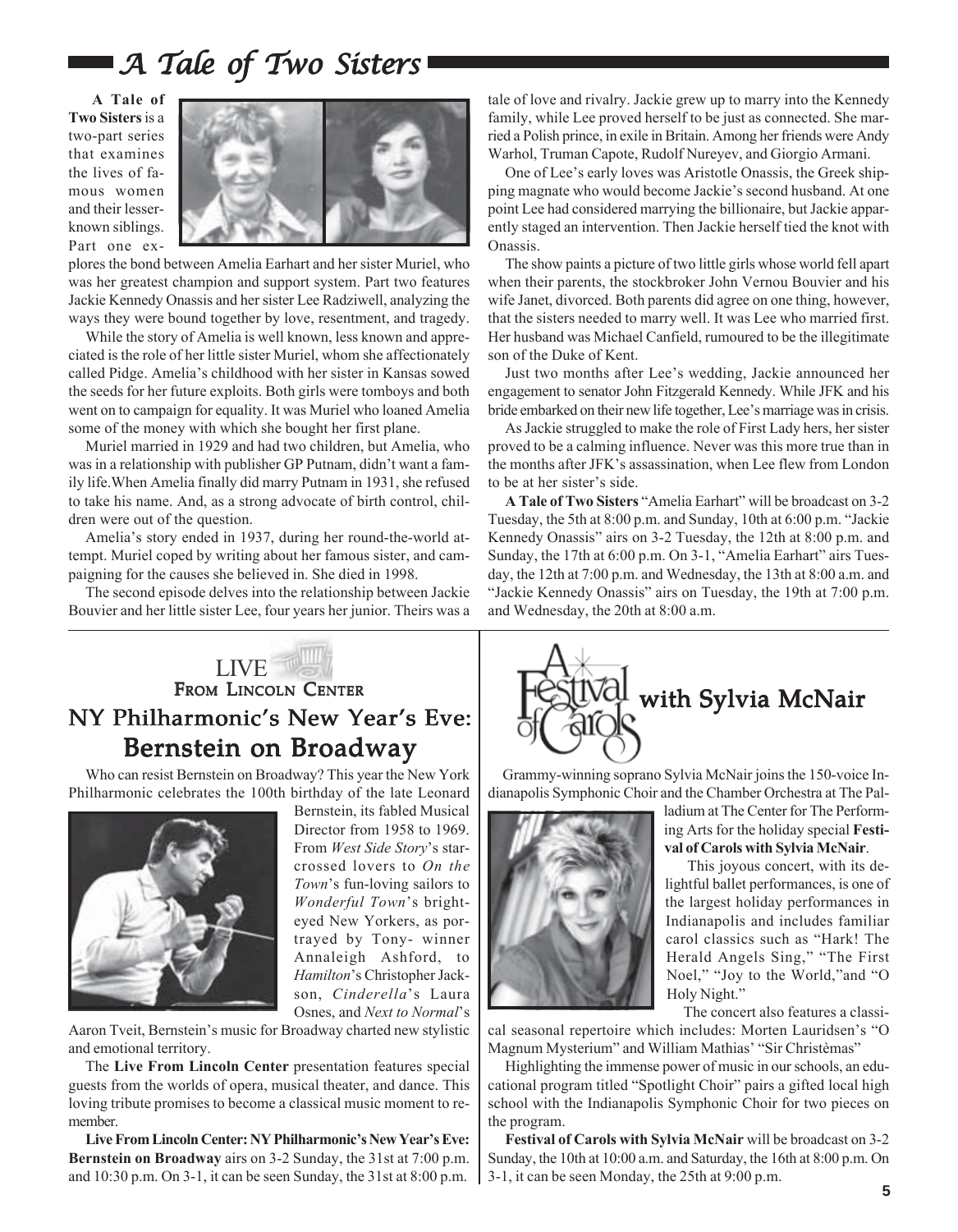# $\blacksquare$  A Tale of Two Sisters

**A Tale of Two Sisters** is a two-part series that examines the lives of famous women and their lesserknown siblings. Part one ex-



plores the bond between Amelia Earhart and her sister Muriel, who was her greatest champion and support system. Part two features Jackie Kennedy Onassis and her sister Lee Radziwell, analyzing the ways they were bound together by love, resentment, and tragedy.

While the story of Amelia is well known, less known and appreciated is the role of her little sister Muriel, whom she affectionately called Pidge. Ameliaís childhood with her sister in Kansas sowed the seeds for her future exploits. Both girls were tomboys and both went on to campaign for equality. It was Muriel who loaned Amelia some of the money with which she bought her first plane.

Muriel married in 1929 and had two children, but Amelia, who was in a relationship with publisher GP Putnam, didn't want a family life.When Amelia finally did marry Putnam in 1931, she refused to take his name. And, as a strong advocate of birth control, children were out of the question.

Amelia's story ended in 1937, during her round-the-world attempt. Muriel coped by writing about her famous sister, and campaigning for the causes she believed in. She died in 1998.

The second episode delves into the relationship between Jackie Bouvier and her little sister Lee, four years her junior. Theirs was a

tale of love and rivalry. Jackie grew up to marry into the Kennedy family, while Lee proved herself to be just as connected. She married a Polish prince, in exile in Britain. Among her friends were Andy Warhol, Truman Capote, Rudolf Nureyev, and Giorgio Armani.

One of Lee's early loves was Aristotle Onassis, the Greek shipping magnate who would become Jackie's second husband. At one point Lee had considered marrying the billionaire, but Jackie apparently staged an intervention. Then Jackie herself tied the knot with Onassis.

The show paints a picture of two little girls whose world fell apart when their parents, the stockbroker John Vernou Bouvier and his wife Janet, divorced. Both parents did agree on one thing, however, that the sisters needed to marry well. It was Lee who married first. Her husband was Michael Canfield, rumoured to be the illegitimate son of the Duke of Kent.

Just two months after Lee's wedding, Jackie announced her engagement to senator John Fitzgerald Kennedy. While JFK and his bride embarked on their new life together, Lee's marriage was in crisis.

As Jackie struggled to make the role of First Lady hers, her sister proved to be a calming influence. Never was this more true than in the months after JFK's assassination, when Lee flew from London to be at her sister's side.

**A Tale of Two Sisters** "Amelia Earhart" will be broadcast on 3-2 Tuesday, the 5th at 8:00 p.m. and Sunday, 10th at 6:00 p.m. "Jackie Kennedy Onassis" airs on 3-2 Tuesday, the 12th at 8:00 p.m. and Sunday, the 17th at 6:00 p.m. On 3-1, "Amelia Earhart" airs Tuesday, the 12th at 7:00 p.m. and Wednesday, the 13th at 8:00 a.m. and "Jackie Kennedy Onassis" airs on Tuesday, the 19th at 7:00 p.m. and Wednesday, the 20th at 8:00 a.m.

### LIVE FROM LINCOLN CENTER NY Philharmonic's New Year's Eve: Bernstein on Broadway

Who can resist Bernstein on Broadway? This year the New York Philharmonic celebrates the 100th birthday of the late Leonard



Bernstein, its fabled Musical Director from 1958 to 1969. From West Side Story's starcrossed lovers to *On the Town's* fun-loving sailors to *Wonderful Town's* brighteyed New Yorkers, as portrayed by Tony- winner Annaleigh Ashford, to *Hamilton*ís Christopher Jackson, *Cinderella*'s Laura Osnes, and *Next to Normal*'s

Aaron Tveit, Bernstein's music for Broadway charted new stylistic and emotional territory.

The **Live From Lincoln Center** presentation features special guests from the worlds of opera, musical theater, and dance. This loving tribute promises to become a classical music moment to remember.

Live From Lincoln Center: NY Philharmonic's New Year's Eve: **Bernstein on Broadway** airs on 3-2 Sunday, the 31st at 7:00 p.m. and 10:30 p.m. On 3-1, it can be seen Sunday, the 31st at 8:00 p.m.



 Grammy-winning soprano Sylvia McNair joins the 150-voice Indianapolis Symphonic Choir and the Chamber Orchestra at The Pal-



ladium at The Center for The Performing Arts for the holiday special **Festival of Carols with Sylvia McNair**.

 This joyous concert, with its delightful ballet performances, is one of the largest holiday performances in Indianapolis and includes familiar carol classics such as "Hark! The Herald Angels Sing," "The First Noel," "Joy to the World,"and "O Holy Night."

 The concert also features a classical seasonal repertoire which includes: Morten Lauridsen's "O Magnum Mysterium" and William Mathias' "Sir Christèmas"

Highlighting the immense power of music in our schools, an educational program titled "Spotlight Choir" pairs a gifted local high school with the Indianapolis Symphonic Choir for two pieces on the program.

**Festival of Carols with Sylvia McNair** will be broadcast on 3-2 Sunday, the 10th at 10:00 a.m. and Saturday, the 16th at 8:00 p.m. On 3-1, it can be seen Monday, the 25th at 9:00 p.m.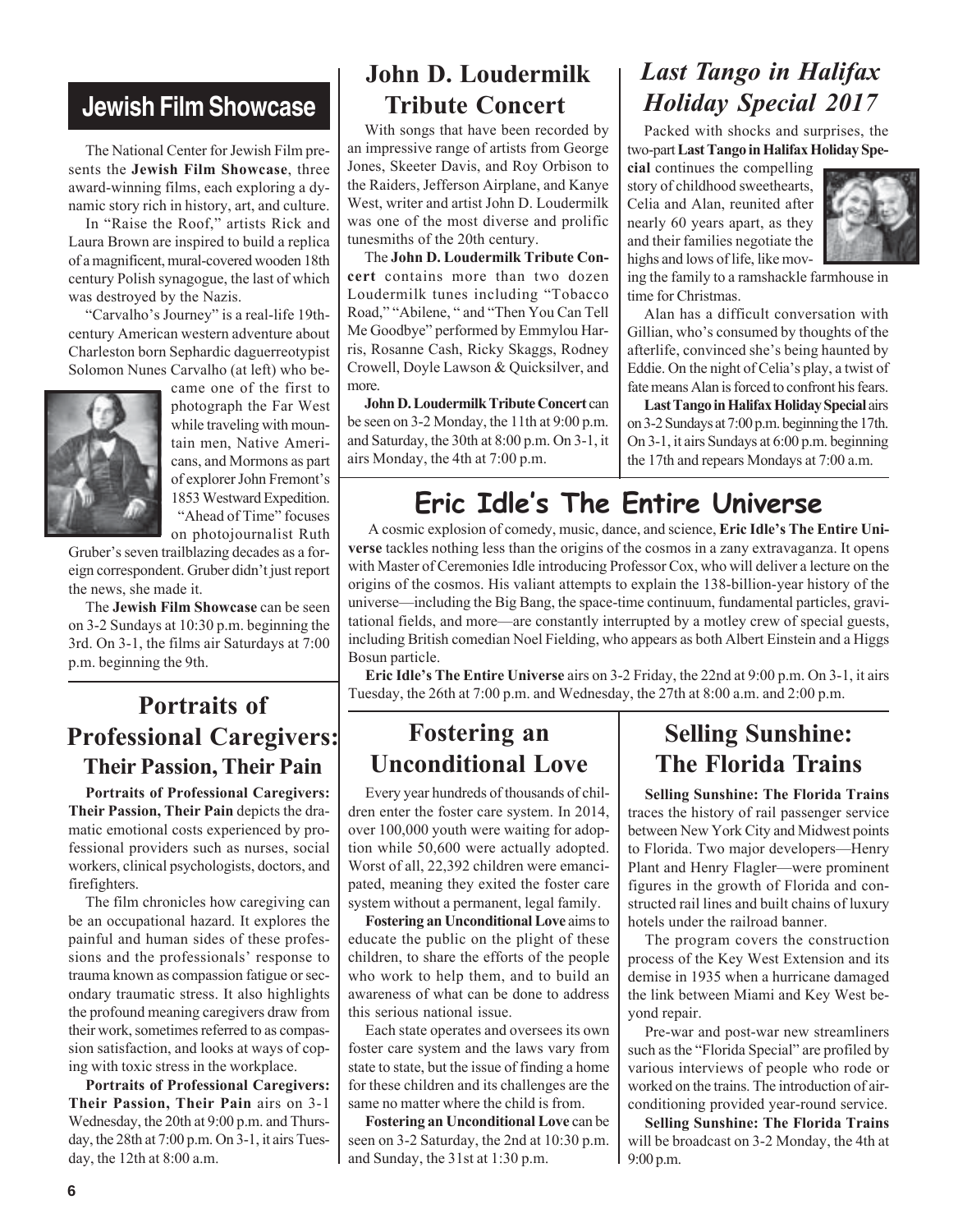# **Jewish Film Showcase**

The National Center for Jewish Film presents the **Jewish Film Showcase**, three award-winning films, each exploring a dynamic story rich in history, art, and culture.

In "Raise the Roof," artists Rick and Laura Brown are inspired to build a replica of a magnificent, mural-covered wooden 18th century Polish synagogue, the last of which was destroyed by the Nazis.

"Carvalho's Journey" is a real-life 19thcentury American western adventure about Charleston born Sephardic daguerreotypist Solomon Nunes Carvalho (at left) who be-



came one of the first to photograph the Far West while traveling with mountain men, Native Americans, and Mormons as part of explorer John Fremont's 1853 Westward Expedition. "Ahead of Time" focuses on photojournalist Ruth

Gruber's seven trailblazing decades as a foreign correspondent. Gruber didn't just report the news, she made it.

The **Jewish Film Showcase** can be seen on 3-2 Sundays at 10:30 p.m. beginning the 3rd. On 3-1, the films air Saturdays at 7:00 p.m. beginning the 9th.

# **Portraits of Professional Caregivers: Their Passion, Their Pain**

**Portraits of Professional Caregivers: Their Passion, Their Pain** depicts the dramatic emotional costs experienced by professional providers such as nurses, social workers, clinical psychologists, doctors, and firefighters.

The film chronicles how caregiving can be an occupational hazard. It explores the painful and human sides of these professions and the professionals' response to trauma known as compassion fatigue or secondary traumatic stress. It also highlights the profound meaning caregivers draw from their work, sometimes referred to as compassion satisfaction, and looks at ways of coping with toxic stress in the workplace.

**Portraits of Professional Caregivers: Their Passion, Their Pain** airs on 3-1 Wednesday, the 20th at 9:00 p.m. and Thursday, the 28th at 7:00 p.m. On 3-1, it airs Tuesday, the 12th at 8:00 a.m.

# **John D. Loudermilk Tribute Concert**

With songs that have been recorded by an impressive range of artists from George Jones, Skeeter Davis, and Roy Orbison to the Raiders, Jefferson Airplane, and Kanye West, writer and artist John D. Loudermilk was one of the most diverse and prolific tunesmiths of the 20th century.

The **John D. Loudermilk Tribute Concert** contains more than two dozen Loudermilk tunes including "Tobacco Road," "Abilene, " and "Then You Can Tell Me Goodbye" performed by Emmylou Harris, Rosanne Cash, Ricky Skaggs, Rodney Crowell, Doyle Lawson & Quicksilver, and more.

**John D. Loudermilk Tribute Concert** can be seen on 3-2 Monday, the 11th at 9:00 p.m. and Saturday, the 30th at 8:00 p.m. On 3-1, it airs Monday, the 4th at 7:00 p.m.

# *Last Tango in Halifax Holiday Special 2017*

Packed with shocks and surprises, the two-part **Last Tango in Halifax Holiday Spe-**

**cial** continues the compelling story of childhood sweethearts, Celia and Alan, reunited after nearly 60 years apart, as they and their families negotiate the highs and lows of life, like mov-



ing the family to a ramshackle farmhouse in time for Christmas.

Alan has a difficult conversation with Gillian, who's consumed by thoughts of the afterlife, convinced she's being haunted by Eddie. On the night of Celia's play, a twist of fate means Alan is forced to confront his fears.

**Last Tango in Halifax Holiday Special** airs on 3-2 Sundays at 7:00 p.m. beginning the 17th. On 3-1, it airs Sundays at 6:00 p.m. beginning the 17th and repears Mondays at 7:00 a.m.

# **Eric Idleís The Entire Universe**

A cosmic explosion of comedy, music, dance, and science, Eric Idle's The Entire Uni**verse** tackles nothing less than the origins of the cosmos in a zany extravaganza. It opens with Master of Ceremonies Idle introducing Professor Cox, who will deliver a lecture on the origins of the cosmos. His valiant attempts to explain the 138-billion-year history of the universe—including the Big Bang, the space-time continuum, fundamental particles, gravitational fields, and more—are constantly interrupted by a motley crew of special guests, including British comedian Noel Fielding, who appears as both Albert Einstein and a Higgs Bosun particle.

Eric Idle's The Entire Universe airs on 3-2 Friday, the 22nd at 9:00 p.m. On 3-1, it airs Tuesday, the 26th at 7:00 p.m. and Wednesday, the 27th at 8:00 a.m. and 2:00 p.m.

# **Fostering an Unconditional Love**

Every year hundreds of thousands of children enter the foster care system. In 2014, over 100,000 youth were waiting for adoption while 50,600 were actually adopted. Worst of all, 22,392 children were emancipated, meaning they exited the foster care system without a permanent, legal family.

**Fostering an Unconditional Love** aims to educate the public on the plight of these children, to share the efforts of the people who work to help them, and to build an awareness of what can be done to address this serious national issue.

Each state operates and oversees its own foster care system and the laws vary from state to state, but the issue of finding a home for these children and its challenges are the same no matter where the child is from.

**Fostering an Unconditional Love** can be seen on 3-2 Saturday, the 2nd at 10:30 p.m. and Sunday, the 31st at 1:30 p.m.

# **Selling Sunshine: The Florida Trains**

**Selling Sunshine: The Florida Trains** traces the history of rail passenger service between New York City and Midwest points to Florida. Two major developers—Henry Plant and Henry Flagler—were prominent figures in the growth of Florida and constructed rail lines and built chains of luxury hotels under the railroad banner.

The program covers the construction process of the Key West Extension and its demise in 1935 when a hurricane damaged the link between Miami and Key West beyond repair.

Pre-war and post-war new streamliners such as the "Florida Special" are profiled by various interviews of people who rode or worked on the trains. The introduction of airconditioning provided year-round service.

**Selling Sunshine: The Florida Trains** will be broadcast on 3-2 Monday, the 4th at 9:00 p.m.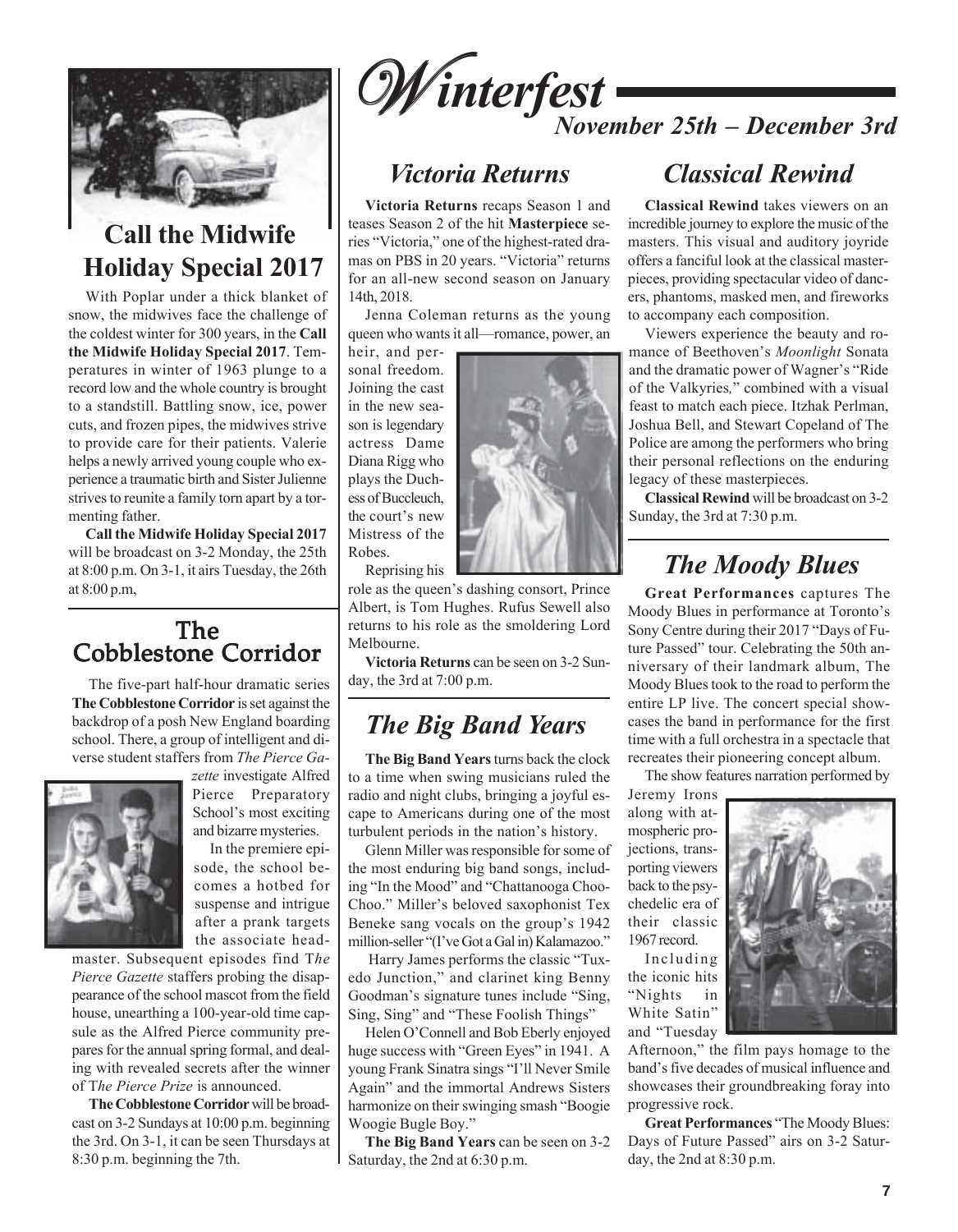

# **Call the Midwife Holiday Special 2017**

With Poplar under a thick blanket of snow, the midwives face the challenge of the coldest winter for 300 years, in the **Call the Midwife Holiday Special 2017**. Temperatures in winter of 1963 plunge to a record low and the whole country is brought to a standstill. Battling snow, ice, power cuts, and frozen pipes, the midwives strive to provide care for their patients. Valerie helps a newly arrived young couple who experience a traumatic birth and Sister Julienne strives to reunite a family torn apart by a tormenting father.

**Call the Midwife Holiday Special 2017** will be broadcast on 3-2 Monday, the 25th at 8:00 p.m. On 3-1, it airs Tuesday, the 26th at 8:00 p.m,

### Cobblestone Corridor The

The five-part half-hour dramatic series **The Cobblestone Corridor** is set against the backdrop of a posh New England boarding school. There, a group of intelligent and diverse student staffers from *The Pierce Ga-*



*zette* investigate Alfred Pierce Preparatory School's most exciting and bizarre mysteries. In the premiere epi-

sode, the school becomes a hotbed for suspense and intrigue after a prank targets the associate head-

master. Subsequent episodes find T*he Pierce Gazette* staffers probing the disappearance of the school mascot from the field house, unearthing a 100-year-old time capsule as the Alfred Pierce community prepares for the annual spring formal, and dealing with revealed secrets after the winner of T*he Pierce Prize* is announced.

**The Cobblestone Corridor** will be broadcast on 3-2 Sundays at 10:00 p.m. beginning the 3rd. On 3-1, it can be seen Thursdays at 8:30 p.m. beginning the 7th.



# *Victoria Returns*

**Victoria Returns** recaps Season 1 and teases Season 2 of the hit **Masterpiece** series "Victoria," one of the highest-rated dramas on PBS in 20 years. "Victoria" returns for an all-new second season on January 14th, 2018.

Jenna Coleman returns as the young queen who wants it all—romance, power, an

heir, and personal freedom. Joining the cast in the new season is legendary actress Dame Diana Rigg who plays the Duchess of Buccleuch, the court's new Mistress of the Robes.

Reprising his

role as the queen's dashing consort, Prince Albert, is Tom Hughes. Rufus Sewell also returns to his role as the smoldering Lord Melbourne.

**Victoria Returns** can be seen on 3-2 Sunday, the 3rd at 7:00 p.m.

# *The Big Band Years*

**The Big Band Years** turns back the clock to a time when swing musicians ruled the radio and night clubs, bringing a joyful escape to Americans during one of the most turbulent periods in the nation's history.

Glenn Miller was responsible for some of the most enduring big band songs, including "In the Mood" and "Chattanooga Choo-Choo." Miller's beloved saxophonist Tex Beneke sang vocals on the group's 1942 million-seller "(I've Got a Gal in) Kalamazoo."

Harry James performs the classic "Tuxedo Junction," and clarinet king Benny Goodman's signature tunes include "Sing, Sing, Sing" and "These Foolish Things"

Helen O'Connell and Bob Eberly enjoyed huge success with "Green Eyes" in 1941. A young Frank Sinatra sings "I'll Never Smile Again" and the immortal Andrews Sisters harmonize on their swinging smash "Boogie Woogie Bugle Boy."

**The Big Band Years** can be seen on 3-2 Saturday, the 2nd at 6:30 p.m.

# *Classical Rewind*

**Classical Rewind** takes viewers on an incredible journey to explore the music of the masters. This visual and auditory joyride offers a fanciful look at the classical masterpieces, providing spectacular video of dancers, phantoms, masked men, and fireworks to accompany each composition.

Viewers experience the beauty and romance of Beethoven's *Moonlight* Sonata and the dramatic power of Wagner's "Ride of the Valkyries," combined with a visual feast to match each piece. Itzhak Perlman, Joshua Bell, and Stewart Copeland of The Police are among the performers who bring their personal reflections on the enduring legacy of these masterpieces.

**Classical Rewind** will be broadcast on 3-2 Sunday, the 3rd at 7:30 p.m.

# *The Moody Blues*

**Great Performances** captures The Moody Blues in performance at Toronto's Sony Centre during their 2017 "Days of Future Passed" tour. Celebrating the 50th anniversary of their landmark album, The Moody Blues took to the road to perform the entire LP live. The concert special showcases the band in performance for the first time with a full orchestra in a spectacle that recreates their pioneering concept album.

The show features narration performed by

Jeremy Irons along with atmospheric projections, transporting viewers back to the psychedelic era of their classic 1967 record.

Including the iconic hits "Nights in White Satin" and "Tuesday

Afternoon," the film pays homage to the band's five decades of musical influence and showcases their groundbreaking foray into progressive rock.

**Great Performances** "The Moody Blues: Days of Future Passed" airs on 3-2 Saturday, the 2nd at 8:30 p.m.

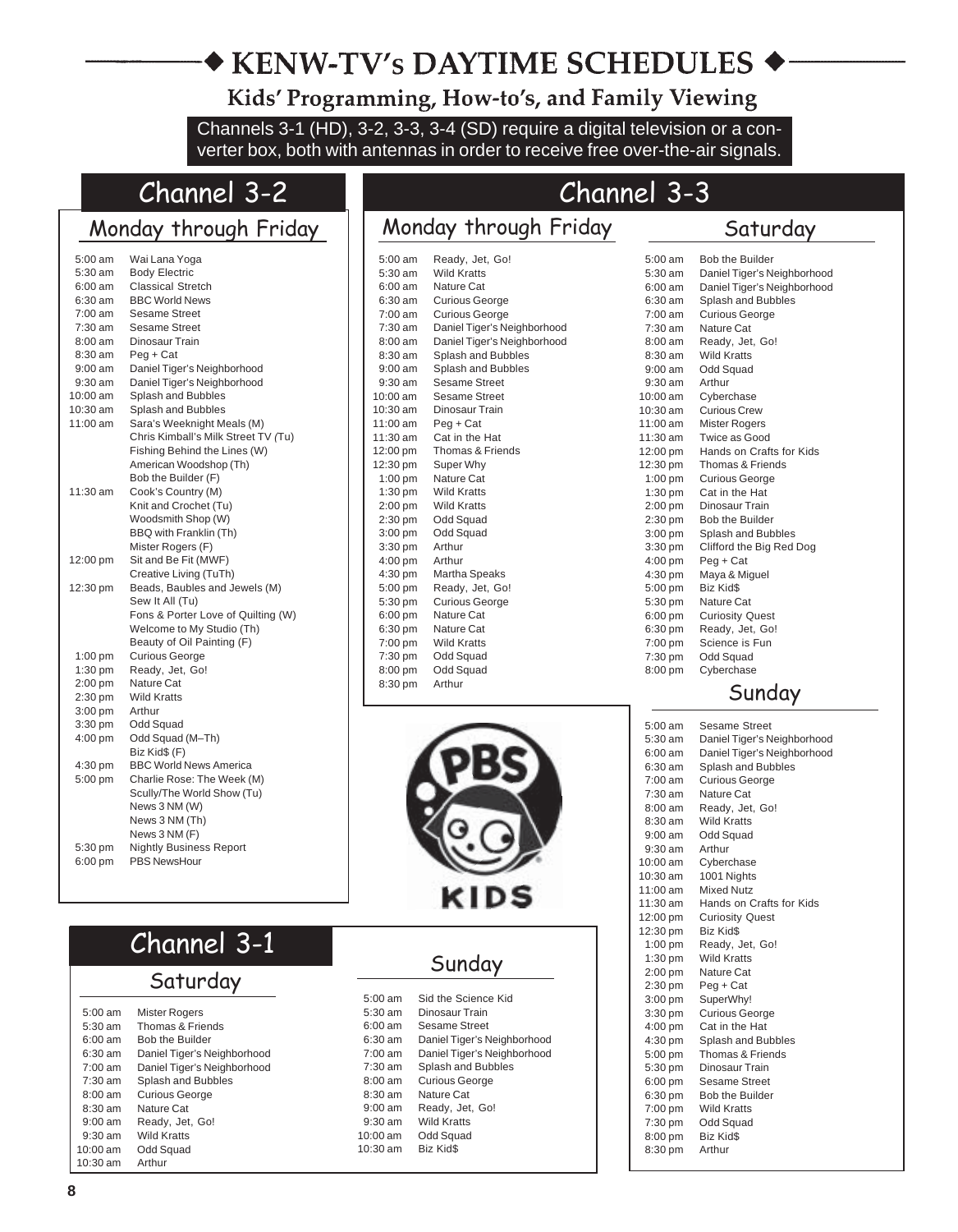# ◆ KENW-TV's DAYTIME SCHEDULES

Kids' Programming, How-to's, and Family Viewing

Channels 3-1 (HD), 3-2, 3-3, 3-4 (SD) require a digital television or a converter box, both with antennas in order to receive free over-the-air signals.

# Channel 3-2

# Monday through Friday

| 5:00 am   | Wai Lana Yoga                       |  |  |  |
|-----------|-------------------------------------|--|--|--|
| 5:30 am   | <b>Body Electric</b>                |  |  |  |
| 6:00 am   | <b>Classical Stretch</b>            |  |  |  |
| 6:30 am   | <b>BBC World News</b>               |  |  |  |
| 7:00 am   | Sesame Street                       |  |  |  |
| $7:30$ am | <b>Sesame Street</b>                |  |  |  |
| 8:00 am   | Dinosaur Train                      |  |  |  |
| 8:30 am   | Peg + Cat                           |  |  |  |
| 9:00 am   | Daniel Tiger's Neighborhood         |  |  |  |
| 9:30 am   | Daniel Tiger's Neighborhood         |  |  |  |
| 10:00 am  | Splash and Bubbles                  |  |  |  |
| 10:30 am  | Splash and Bubbles                  |  |  |  |
| 11:00 am  | Sara's Weeknight Meals (M)          |  |  |  |
|           | Chris Kimball's Milk Street TV (Tu) |  |  |  |
|           | Fishing Behind the Lines (W)        |  |  |  |
|           | American Woodshop (Th)              |  |  |  |
|           | Bob the Builder (F)                 |  |  |  |
| 11:30 am  | Cook's Country (M)                  |  |  |  |
|           | Knit and Crochet (Tu)               |  |  |  |
|           | Woodsmith Shop (W)                  |  |  |  |
|           | BBQ with Franklin (Th)              |  |  |  |
|           | Mister Rogers (F)                   |  |  |  |
| 12:00 pm  | Sit and Be Fit (MWF)                |  |  |  |
|           | Creative Living (TuTh)              |  |  |  |
| 12:30 pm  | Beads, Baubles and Jewels (M)       |  |  |  |
|           | Sew It All (Tu)                     |  |  |  |
|           | Fons & Porter Love of Quilting (W)  |  |  |  |
|           | Welcome to My Studio (Th)           |  |  |  |
|           | Beauty of Oil Painting (F)          |  |  |  |
| $1:00$ pm | <b>Curious George</b>               |  |  |  |
| 1:30 pm   | Ready, Jet, Go!                     |  |  |  |
| 2:00 pm   | Nature Cat                          |  |  |  |
| 2:30 pm   | <b>Wild Kratts</b>                  |  |  |  |
| $3:00$ pm | Arthur                              |  |  |  |
| 3:30 pm   | Odd Squad                           |  |  |  |
| 4:00 pm   | Odd Squad (M-Th)                    |  |  |  |
|           | Biz Kid\$ (F)                       |  |  |  |
| 4:30 pm   | <b>BBC World News America</b>       |  |  |  |
| 5:00 pm   | Charlie Rose: The Week (M)          |  |  |  |
|           | Scully/The World Show (Tu)          |  |  |  |
|           | News 3 NM (W)                       |  |  |  |
|           | News 3 NM (Th)                      |  |  |  |
|           | News 3 NM (F)                       |  |  |  |
| 5:30 pm   | <b>Nightly Business Report</b>      |  |  |  |
| 6:00 pm   | <b>PBS NewsHour</b>                 |  |  |  |
|           |                                     |  |  |  |
|           |                                     |  |  |  |

# Channel 3-3

# Monday through Friday

### Saturday

| $5:00$ am         | Ready, Jet, Go!             |
|-------------------|-----------------------------|
| $5:30$ am         | <b>Wild Kratts</b>          |
| $6:00 \text{ am}$ | Nature Cat                  |
| $6:30$ am         | <b>Curious George</b>       |
| $7:00$ am         | <b>Curious George</b>       |
| $7:30$ am         | Daniel Tiger's Neighborhood |
| $8:00$ am         | Daniel Tiger's Neighborhood |
| $8:30 \text{ am}$ | Splash and Bubbles          |
| $9:00$ am         | Splash and Bubbles          |
| $9:30$ am         | Sesame Street               |
| $10:00$ am        | <b>Sesame Street</b>        |
| $10:30$ am        | Dinosaur Train              |
| $11:00$ am        | Peg + Cat                   |
| 11:30 am          | Cat in the Hat              |
| 12:00 pm          | Thomas & Friends            |
| 12:30 pm          | Super Why                   |
| $1:00$ pm         | Nature Cat                  |
| $1:30$ pm         | <b>Wild Kratts</b>          |
| $2:00$ pm         | <b>Wild Kratts</b>          |
| $2:30$ pm         | Odd Squad                   |
| $3:00$ pm         | Odd Squad                   |
| $3:30$ pm         | Arthur                      |
| $4:00$ pm         | Arthur                      |
| 4:30 pm           | Martha Speaks               |
| 5:00 pm           | Ready, Jet, Go!             |
| 5:30 pm           | <b>Curious George</b>       |
| $6:00$ pm         | Nature Cat                  |
| $6:30$ pm         | Nature Cat                  |
| 7:00 pm           | <b>Wild Kratts</b>          |
| 7:30 pm           | Odd Squad                   |
| 8:00 pm           | Odd Squad                   |
| 8:30 pm           | Arthur                      |
|                   |                             |



| Channel 3-1 |  |
|-------------|--|
|-------------|--|

# $Saturday$

| $5:00$ am          | Mister Rogers               |
|--------------------|-----------------------------|
| $5:30 \text{ am}$  | Thomas & Friends            |
| $6.00 \text{ am}$  | <b>Bob the Builder</b>      |
| $6:30 \text{ am}$  | Daniel Tiger's Neighborhood |
| $7:00 \text{ am}$  | Daniel Tiger's Neighborhood |
| $7:30 \text{ am}$  | Splash and Bubbles          |
| $8:00$ am          | <b>Curious George</b>       |
| $8:30$ am          | Nature Cat                  |
| $9.00 \text{ am}$  | Ready, Jet, Go!             |
| $9:30$ am          | <b>Wild Kratts</b>          |
| $10:00$ am         | Odd Squad                   |
| $10:30 \text{ am}$ | Arthur                      |
|                    |                             |

| ιn<br>Ю<br>. . |
|----------------|
|----------------|

| $5.00 \text{ am}$  | Sid the Science Kid         |
|--------------------|-----------------------------|
| $5:30 \text{ am}$  | Dinosaur Train              |
| $6.00 \text{ am}$  | Sesame Street               |
| $6:30$ am          | Daniel Tiger's Neighborhood |
| $7:00 \text{ am}$  | Daniel Tiger's Neighborhood |
| $7:30$ am          | Splash and Bubbles          |
| $8:00$ am          | <b>Curious George</b>       |
| $8:30$ am          | Nature Cat                  |
| $9:00$ am          | Ready, Jet, Go!             |
| $9:30$ am          | Wild Kratts                 |
| $10:00$ am         | Odd Squad                   |
| $10:30 \text{ am}$ | Biz Kid\$                   |
|                    |                             |

| $5:00$ am         | <b>Bob the Builder</b>      |
|-------------------|-----------------------------|
| $5:30$ am         | Daniel Tiger's Neighborhood |
| $6:00 \text{ am}$ | Daniel Tiger's Neighborhood |
| $6:30 \text{ am}$ | Splash and Bubbles          |
| 7:00 am           | <b>Curious George</b>       |
| $7:30 \text{ am}$ | Nature Cat                  |
| $8:00 \text{ am}$ | Ready, Jet, Go!             |
| 8:30 am           | <b>Wild Kratts</b>          |
| $9:00 \text{ am}$ | Odd Squad                   |
| $9:30$ am         | Arthur                      |
| $10:00$ am        | Cyberchase                  |
| $10:30$ am        | <b>Curious Crew</b>         |
| 11:00 am          | <b>Mister Rogers</b>        |
| $11:30$ am        | Twice as Good               |
| 12:00 pm          | Hands on Crafts for Kids    |
| 12:30 pm          | Thomas & Friends            |
| $1:00$ pm         | <b>Curious George</b>       |
| $1:30$ pm         | Cat in the Hat              |
| $2:00$ pm         | Dinosaur Train              |
| $2:30$ pm         | <b>Bob the Builder</b>      |
| $3:00$ pm         | Splash and Bubbles          |
| $3:30$ pm         | Clifford the Big Red Dog    |
| $4:00$ pm         | Peg + Cat                   |
| 4:30 pm           | Maya & Miguel               |
| 5:00 pm           | Biz Kid\$                   |
| 5:30 pm           | Nature Cat                  |
| $6:00$ pm         | <b>Curiosity Quest</b>      |
| 6:30 pm           | Ready, Jet, Go!             |
| 7:00 pm           | Science is Fun              |
| 7:30 pm           | Odd Squad                   |
| 8:00 pm           | Cyberchase                  |
|                   |                             |

### Sunday

| $5:00 \text{ am}$ | Sesame Street               |
|-------------------|-----------------------------|
| $5:30$ am         | Daniel Tiger's Neighborhood |
| 6:00 am           | Daniel Tiger's Neighborhood |
| 6:30 am           | Splash and Bubbles          |
| $7:00 \text{ am}$ | <b>Curious George</b>       |
| $7:30 \text{ am}$ | Nature Cat                  |
| 8:00 am           | Ready, Jet, Go!             |
| 8:30 am           | <b>Wild Kratts</b>          |
| $9:00$ am         | Odd Squad                   |
| $9:30$ am         | Arthur                      |
| $10:00$ am        | Cyberchase                  |
| 10:30 am          | 1001 Nights                 |
| 11:00 am          | <b>Mixed Nutz</b>           |
| 11:30 am          | Hands on Crafts for Kids    |
| 12:00 pm          | <b>Curiosity Quest</b>      |
| 12:30 pm          | Biz Kid\$                   |
| $1:00$ pm         | Ready, Jet, Go!             |
| $1:30$ pm         | <b>Wild Kratts</b>          |
| $2:00$ pm         | <b>Nature Cat</b>           |
| 2:30 pm           | Peg + Cat                   |
| $3:00$ pm         | SuperWhy!                   |
| $3:30$ pm         | <b>Curious George</b>       |
| 4:00 pm           | Cat in the Hat              |
| $4:30$ pm         | Splash and Bubbles          |
| 5:00 pm           | Thomas & Friends            |
| 5:30 pm           | Dinosaur Train              |
| $6:00$ pm         | <b>Sesame Street</b>        |
| 6:30 pm           | Bob the Builder             |
| 7:00 pm           | <b>Wild Kratts</b>          |
| 7:30 pm           | Odd Squad                   |
| 8:00 pm           | Biz Kid\$                   |
| 8:30 pm           | Arthur                      |
|                   |                             |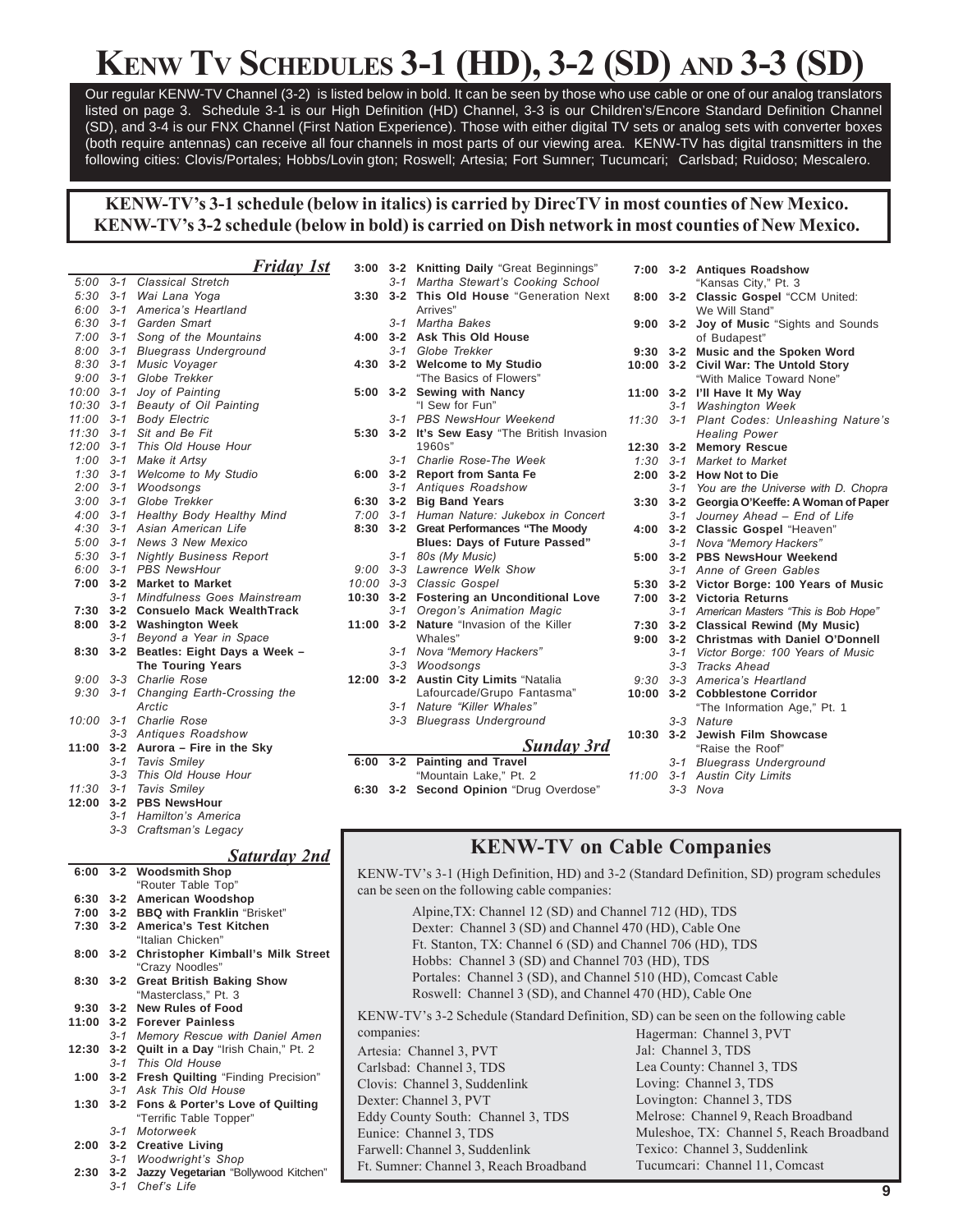# **KENW TV SCHEDULES 3-1 (HD), 3-2 (SD) AND 3-3 (SD)**

Our regular KENW-TV Channel (3-2) is listed below in bold. It can be seen by those who use cable or one of our analog translators listed on page 3. Schedule 3-1 is our High Definition (HD) Channel, 3-3 is our Children's/Encore Standard Definition Channel (SD), and 3-4 is our FNX Channel (First Nation Experience). Those with either digital TV sets or analog sets with converter boxes (both require antennas) can receive all four channels in most parts of our viewing area. KENW-TV has digital transmitters in the following cities: Clovis/Portales; Hobbs/Lovin gton; Roswell; Artesia; Fort Sumner; Tucumcari; Carlsbad; Ruidoso; Mescalero.

### **KENW-TVís 3-1 schedule (below in italics) is carried by DirecTV in most counties of New Mexico. KENW-TVís 3-2 schedule (below in bold) is carried on Dish network in most counties of New Mexico.**

*Friday 1st 5:00 3-1 Classical Stretch 5:30 3-1 Wai Lana Yoga 6:00 3-1 Americaís Heartland 6:30 3-1 Garden Smart 7:00 3-1 Song of the Mountains 8:00 3-1 Bluegrass Underground 8:30 3-1 Music Voyager 9:00 3-1 Globe Trekker 10:00 3-1 Joy of Painting 10:30 3-1 Beauty of Oil Painting 11:00 3-1 Body Electric 11:30 3-1 Sit and Be Fit 12:00 3-1 This Old House Hour 1:00 3-1 Make it Artsy 1:30 3-1 Welcome to My Studio 2:00 3-1 Woodsongs 3:00 3-1 Globe Trekker 4:00 3-1 Healthy Body Healthy Mind 4:30 3-1 Asian American Life 5:00 3-1 News 3 New Mexico 5:30 3-1 Nightly Business Report 6:00 3-1 PBS NewsHour* **7:00 3-2 Market to Market** *3-1 Mindfulness Goes Mainstream* **7:30 3-2 Consuelo Mack WealthTrack 8:00 3-2 Washington Week** *3-1 Beyond a Year in Space* **8:30 3-2 Beatles: Eight Days a Week – The Touring Years** *9:00 3-3 Charlie Rose 9:30 3-1 Changing Earth-Crossing the Arctic 10:00 3-1 Charlie Rose 3-3 Antiques Roadshow* **11:00 3-2 Aurora – Fire in the Sky** *3-1 Tavis Smiley 3-3 This Old House Hour*

- *11:30 3-1 Tavis Smiley*
- **12:00 3-2 PBS NewsHour**
- *3-1 Hamiltonís America 3-3 Craftsmanís Legacy*

### *Saturday 2nd*

|      |     | 6:00 3-2 Woodsmith Shop                       | K              |
|------|-----|-----------------------------------------------|----------------|
|      |     | "Router Table Top"                            | $\mathbf{c}$   |
|      |     | 6:30 3-2 American Woodshop                    |                |
|      |     | 7:00 3-2 BBQ with Franklin "Brisket"          |                |
|      |     | 7:30 3-2 America's Test Kitchen               |                |
|      |     | "Italian Chicken"                             |                |
|      |     | 8:00 3-2 Christopher Kimball's Milk Street    |                |
|      |     | "Crazy Noodles"                               |                |
|      |     | 8:30 3-2 Great British Baking Show            |                |
|      |     | "Masterclass," Pt. 3                          |                |
|      |     | 9:30 3-2 New Rules of Food                    | K              |
|      |     | 11:00 3-2 Forever Painless                    |                |
|      |     | 3-1 Memory Rescue with Daniel Amen            | $\overline{c}$ |
|      |     | 12:30 3-2 Quilt in a Day "Irish Chain," Pt. 2 | A              |
|      |     | 3-1 This Old House                            | C              |
|      |     | 1:00 3-2 Fresh Quilting "Finding Precision"   | $\overline{C}$ |
|      |     | 3-1 Ask This Old House                        |                |
|      |     | 1:30 3-2 Fons & Porter's Love of Quilting     | D              |
|      |     | "Terrific Table Topper"                       | E              |
|      |     | 3-1 Motorweek                                 | E              |
|      |     | 2:00 3-2 Creative Living                      | F              |
|      |     | 3-1 Woodwright's Shop                         | $\mathbf{F}$   |
| 2:30 |     | 3-2 Jazzy Vegetarian "Bollywood Kitchen"      |                |
|      | 3-1 | Chef's Life                                   |                |

| 6:00         | $3 - 2$ | <b>Painting and Travel</b>               |                |
|--------------|---------|------------------------------------------|----------------|
|              |         | Sunday 3rd                               | 10             |
|              | $3 - 3$ | <b>Bluegrass Underground</b>             |                |
|              | $3 - 1$ | Nature "Killer Whales"                   |                |
|              |         | Lafourcade/Grupo Fantasma"               | 10             |
| 12:00        | $3 - 2$ | <b>Austin City Limits "Natalia</b>       | S              |
|              | $3 - 3$ | Woodsongs                                |                |
|              | $3 - 1$ | Nova "Memory Hackers"                    |                |
|              |         | Whales"                                  | 9              |
| 11:00        | $3 - 2$ | Nature "Invasion of the Killer           | 7              |
|              | $3 - 1$ | Oregon's Animation Magic                 |                |
| 10:30        | $3 - 2$ | <b>Fostering an Unconditional Love</b>   | 7              |
| 10:00 3-3    |         | Classic Gospel                           | 5              |
| $9:00$ $3-3$ |         | Lawrence Welk Show                       |                |
|              | $3 - 1$ | 80s (My Music)                           | 5              |
|              |         | <b>Blues: Days of Future Passed"</b>     |                |
| 8:30         | $3 - 2$ | <b>Great Performances "The Moody</b>     | 4              |
| $7:00$ 3-1   |         | Human Nature: Jukebox in Concert         |                |
| $6:30$ $3-2$ |         | <b>Big Band Years</b>                    | 3              |
|              | $3 - 1$ | Antiques Roadshow                        |                |
| 6:00         | $3 - 2$ | <b>Report from Santa Fe</b>              | $\overline{a}$ |
|              | $3 - 1$ | Charlie Rose-The Week                    | 1              |
|              |         | 1960s"                                   | 12             |
| 5:30         |         | 3-2 It's Sew Easy "The British Invasion  |                |
|              | $3 - 1$ | <b>PBS NewsHour Weekend</b>              | 11             |
|              |         | "I Sew for Fun"                          |                |
| 5:00         | $3 - 2$ | <b>Sewing with Nancy</b>                 | 11             |
|              |         | "The Basics of Flowers"                  |                |
| 4:30         | $3 - 2$ | <b>Welcome to My Studio</b>              | 10             |
|              |         | 3-1 Globe Trekker                        | 9              |
| 4:00         | $3 - 2$ | <b>Ask This Old House</b>                |                |
|              | $3 - 1$ | <b>Martha Bakes</b>                      | 9              |
|              |         | Arrives"                                 |                |
| 3:30         | $3 - 2$ | This Old House "Generation Next          | 8              |
|              | $3 - 1$ | Martha Stewart's Cooking School          |                |
| 3:00         | $3 - 2$ | <b>Knitting Daily "Great Beginnings"</b> | 7              |
|              |         |                                          |                |

|  | "Mountain Lake." Pt. 2 |                                         |
|--|------------------------|-----------------------------------------|
|  |                        | 6:30 3-2 Second Opinion "Drug Overdose" |

| 7:00         | $3 - 2$ | <b>Antiques Roadshow</b>                  |
|--------------|---------|-------------------------------------------|
|              |         | "Kansas City," Pt. 3                      |
| 8:00         | $3 - 2$ | Classic Gospel "CCM United:               |
|              |         | We Will Stand"                            |
| 9:00         | $3 - 2$ | Joy of Music "Sights and Sounds           |
|              |         | of Budapest"                              |
| 9:30         | $3 - 2$ | Music and the Spoken Word                 |
| 10:00        | $3 - 2$ | <b>Civil War: The Untold Story</b>        |
|              |         | "With Malice Toward None"                 |
| 11:00        | $3 - 2$ | I'll Have It My Way                       |
|              | $3 - 1$ | <b>Washington Week</b>                    |
| 11:30        | $3 - 1$ | Plant Codes: Unleashing Nature's          |
|              |         | <b>Healing Power</b>                      |
| 12:30        | $3 - 2$ | <b>Memory Rescue</b>                      |
| $1:30$ $3-1$ |         | Market to Market                          |
| 2:00         | $3 - 2$ | <b>How Not to Die</b>                     |
|              |         | 3-1 You are the Universe with D. Chopra   |
| 3:30         | $3 - 2$ | Georgia O'Keeffe: A Woman of Paper        |
|              | $3 - 1$ | Journey Ahead - End of Life               |
| 4:00         | $3 - 2$ | Classic Gospel "Heaven"                   |
|              | $3 - 1$ | Nova "Memory Hackers"                     |
| 5:00         | $3 - 2$ | <b>PBS NewsHour Weekend</b>               |
|              |         | 3-1 Anne of Green Gables                  |
|              |         | 5:30 3-2 Victor Borge: 100 Years of Music |
| 7:00         | $3 - 2$ | <b>Victoria Returns</b>                   |
|              | $3 - 1$ | American Masters "This is Bob Hope"       |
| 7:30         |         | 3-2 Classical Rewind (My Music)           |
| 9:00         | $3 - 2$ | <b>Christmas with Daniel O'Donnell</b>    |
|              |         | 3-1 Victor Borge: 100 Years of Music      |
|              |         | 3-3 Tracks Ahead                          |
|              |         | 9:30 3-3 America's Heartland              |
| 10:00        | $3 - 2$ | <b>Cobblestone Corridor</b>               |
|              |         | "The Information Age," Pt. 1              |
|              | $3 - 3$ | Nature                                    |
| 10:30        | $3 - 2$ | <b>Jewish Film Showcase</b>               |
|              |         | "Raise the Roof"                          |
|              | $3 - 1$ | <b>Bluegrass Underground</b>              |
| 11:00        | $3 - 1$ | <b>Austin City Limits</b>                 |
|              | $3 - 3$ | Nova                                      |

### **KENW-TV on Cable Companies**

ENW-TV's 3-1 (High Definition, HD) and 3-2 (Standard Definition, SD) program schedules an be seen on the following cable companies:

Alpine,TX: Channel 12 (SD) and Channel 712 (HD), TDS

- Dexter: Channel 3 (SD) and Channel 470 (HD), Cable One
- Ft. Stanton, TX: Channel 6 (SD) and Channel 706 (HD), TDS
- Hobbs: Channel 3 (SD) and Channel 703 (HD), TDS
- Portales: Channel 3 (SD), and Channel 510 (HD), Comcast Cable
- Roswell: Channel 3 (SD), and Channel 470 (HD), Cable One

ENW-TV's 3-2 Schedule (Standard Definition, SD) can be seen on the following cable

rtesia: Channel 3, PVT Carlsbad: Channel 3, TDS lovis: Channel 3, Suddenlink exter: Channel 3, PVT ddy County South: Channel 3, TDS Eunice: Channel 3, TDS arwell: Channel 3, Suddenlink t. Sumner: Channel 3, Reach Broadband ompanies:

Hagerman: Channel 3, PVT Jal: Channel 3, TDS Lea County: Channel 3, TDS Loving: Channel 3, TDS Lovington: Channel 3, TDS Melrose: Channel 9, Reach Broadband Muleshoe, TX: Channel 5, Reach Broadband Texico: Channel 3, Suddenlink Tucumcari: Channel 11, Comcast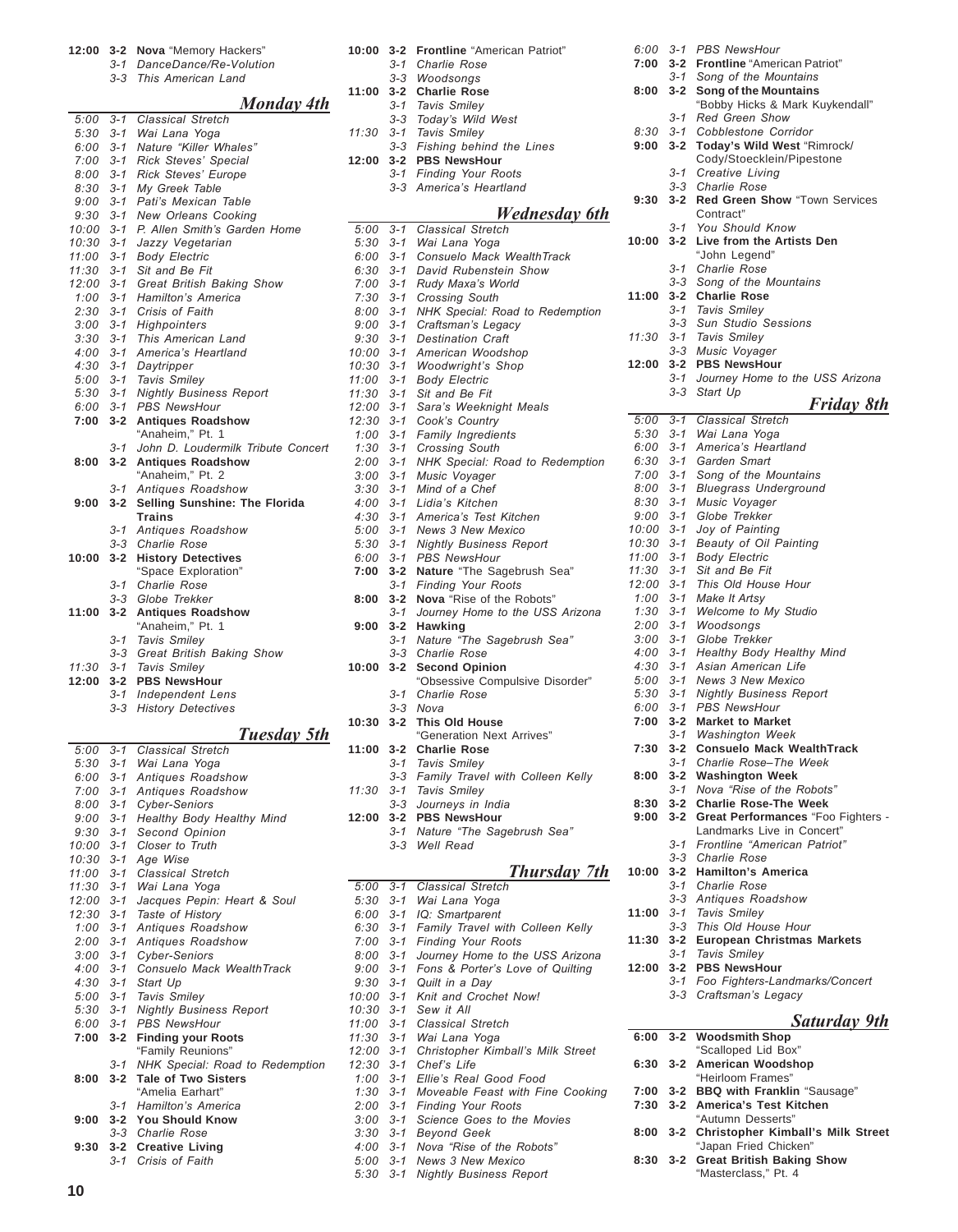|                              |                    | 3-1 DanceDance/Re-Volution                           |
|------------------------------|--------------------|------------------------------------------------------|
|                              |                    | 3-3 This American Land                               |
|                              |                    | Monday 4th                                           |
| 5:00                         | $3 - 1$            | <b>Classical Stretch</b>                             |
| $5:30$ $3-1$                 |                    | Wai Lana Yoga                                        |
| 6:00 3-1                     |                    | Nature "Killer Whales"                               |
| $7:00$ 3-1<br>8:00           |                    | Rick Steves' Special                                 |
| $8:30$ $3-1$                 | $3 - 1$            | Rick Steves' Europe<br>My Greek Table                |
| 9:00                         | $3 - 1$            | Pati's Mexican Table                                 |
| $9:30$ $3-1$                 |                    | New Orleans Cooking                                  |
| 10:00                        | $3 - 1$            | P. Allen Smith's Garden Home                         |
| 10:30 3-1                    |                    | Jazzy Vegetarian                                     |
| 11:00                        | $3 - 1$            | <b>Body Electric</b>                                 |
| $11:30$ $3-1$<br>12:00       | $3 - 1$            | Sit and Be Fit<br>Great British Baking Show          |
| $1:00$ 3-1                   |                    | Hamilton's America                                   |
| $2:30$ $3-1$                 |                    | Crisis of Faith                                      |
| $3:00$ $3-1$                 |                    | Highpointers                                         |
| $3:30$ $3-1$                 |                    | This American Land                                   |
| $4:00$ 3-1                   |                    | America's Heartland                                  |
| $4:30$ $3-1$                 |                    | Daytripper                                           |
| $5:00$ $3-1$<br>$5:30$ $3-1$ |                    | Tavis Smiley<br><b>Nightly Business Report</b>       |
| $6:00$ $3-1$                 |                    | <b>PBS NewsHour</b>                                  |
| 7:00                         | $3 - 2$            | <b>Antiques Roadshow</b>                             |
|                              |                    | "Anaheim." Pt. 1                                     |
|                              | $3 - 1$            | John D. Loudermilk Tribute Concert                   |
| 8:00                         | $3 - 2$            | <b>Antiques Roadshow</b>                             |
|                              | $3 - 1$            | "Anaheim," Pt. 2<br>Antiques Roadshow                |
| 9:00                         | $3 - 2$            | Selling Sunshine: The Florida                        |
|                              |                    | <b>Trains</b>                                        |
|                              | $3 - 1$            | Antiques Roadshow                                    |
|                              | $3 - 3$            | Charlie Rose                                         |
| 10:00                        | $3 - 2$            | <b>History Detectives</b>                            |
|                              | $3 - 1$            | "Space Exploration"<br>Charlie Rose                  |
|                              | $3 - 3$            | Globe Trekker                                        |
| 11:00                        | $3 - 2$            | <b>Antiques Roadshow</b>                             |
|                              |                    | "Anaheim," Pt. 1                                     |
|                              |                    |                                                      |
|                              | $3 - 1$            | Tavis Smiley                                         |
|                              | $3 - 3$            | Great British Baking Show                            |
| 11:30                        | 3-1                | Tavis Smiley                                         |
| 12:00                        | $3 - 2$            | <b>PBS NewsHour</b>                                  |
|                              | $3 - 1$<br>$3 - 3$ | <b>Independent Lens</b><br><b>History Detectives</b> |
|                              |                    |                                                      |
|                              |                    | Tuesday 5th                                          |
| 5:00                         | $3 - 1$            | <b>Classical Stretch</b>                             |
| $5:30$ $3-1$                 |                    | Wai Lana Yoga                                        |
| $6:00$ $3-1$<br>$7:00$ 3-1   |                    | Antiques Roadshow<br>Antiques Roadshow               |
| 8:00                         | $3 - 1$            | Cyber-Seniors                                        |
| $9:00$ $3-1$                 |                    | Healthy Body Healthy Mind                            |
| $9:30$ $3-1$                 |                    | Second Opinion                                       |
| $10:00$ 3-1                  |                    | Closer to Truth                                      |
| 10:30                        | $3 - 1$            | Age Wise                                             |
| $11:00$ 3-1<br>11:30         | $3 - 1$            | Classical Stretch<br>Wai Lana Yoga                   |
| $12:00$ $3-1$                |                    | Jacques Pepin: Heart & Soul                          |
| 12:30                        | $3 - 1$            | Taste of History                                     |
| $1:00$ 3-1                   |                    | Antiques Roadshow                                    |
| $2:00$ 3-1                   |                    | Antiques Roadshow                                    |
| $3:00$ $3-1$<br>4:00         | $3 - 1$            | Cyber-Seniors<br>Consuelo Mack WealthTrack           |
| $4:30$ $3-1$                 |                    | Start Up                                             |
| $5:00$ $3-1$                 |                    | <b>Tavis Smiley</b>                                  |
| $5:30$ $3-1$                 |                    | <b>Nightly Business Report</b>                       |
| 6:00                         | $3 - 1$            | <b>PBS NewsHour</b>                                  |
| 7:00                         | $3 - 2$            | <b>Finding your Roots</b>                            |
|                              | 3-1                | "Family Reunions"<br>NHK Special: Road to Redemption |
| 8:00                         | 3-2                | <b>Tale of Two Sisters</b>                           |
|                              |                    | "Amelia Earhart"                                     |
|                              | 3-1                | Hamilton's America                                   |
| 9:00                         | $3 - 2$            | <b>You Should Know</b>                               |
| 9:30                         |                    | 3-3 Charlie Rose<br>3-2 Creative Living              |

**12:00 3-2 Nova** "Memory Hackers"

| 10:00                        | $3 - 2$ | <b>Frontline</b> "American Patriot"            |
|------------------------------|---------|------------------------------------------------|
|                              | 3-1     | Charlie Rose                                   |
|                              | 3-3     | Woodsongs                                      |
| 11:00                        | $3 - 2$ | <b>Charlie Rose</b>                            |
|                              | 3-1     | <b>Tavis Smiley</b>                            |
|                              |         | 3-3 Today's Wild West                          |
| 11:30                        |         | 3-1 Tavis Smiley                               |
|                              | $3 - 3$ | Fishing behind the Lines                       |
| 12:00                        | $3 - 2$ | <b>PBS NewsHour</b>                            |
|                              |         | 3-1 Finding Your Roots                         |
|                              | 3-3     | America's Heartland                            |
|                              |         |                                                |
|                              |         | Wednesday 6th                                  |
| $5:00$ $3-1$                 |         | <b>Classical Stretch</b>                       |
| $5:30$ $3-1$                 |         | Wai Lana Yoga                                  |
| $6:00$ $3-1$                 |         | Consuelo Mack WealthTrack                      |
| $6:30$ $3-1$                 |         | David Rubenstein Show                          |
| $7:00$ 3-1                   |         | Rudy Maxa's World                              |
|                              |         | <b>Crossing South</b>                          |
| $7:30$ $3-1$<br>$8:00$ $3-1$ |         | NHK Special: Road to Redemption                |
|                              |         |                                                |
| $9:00$ $3-1$<br>$9:30$ $3-1$ |         | Craftsman's Legacy<br><b>Destination Craft</b> |
|                              |         |                                                |
| 10:00 3-1                    |         | American Woodshop                              |
| 10:30 3-1                    |         | <b>Woodwright's Shop</b>                       |
| $11:00$ 3-1                  |         | <b>Body Electric</b>                           |
| 11:30                        | $3 - 1$ | Sit and Be Fit                                 |
| 12:00 3-1                    |         | Sara's Weeknight Meals                         |
| 12:30 3-1                    |         | Cook's Country                                 |
| $1:00$ 3-1                   |         | Family Ingredients                             |
| $1:30$ $3-1$                 |         | <b>Crossing South</b>                          |
| $2:00$ 3-1                   |         | NHK Special: Road to Redemption                |
| $3:00$ $3-1$                 |         | Music Voyager                                  |
| $3:30$ $3-1$                 |         | Mind of a Chef                                 |
| $4:00 \quad 3-1$             |         | Lidia's Kitchen                                |
| $4:30$ $3-1$                 |         | America's Test Kitchen                         |
| 5:00 3-1                     |         | <b>News 3 New Mexico</b>                       |
| $5:30$ $3-1$                 |         | <b>Nightly Business Report</b>                 |
| 6:00                         | $3 - 1$ | <b>PBS NewsHour</b>                            |
| 7:00                         | $3 - 2$ | Nature "The Sagebrush Sea"                     |
|                              | $3 - 1$ | <b>Finding Your Roots</b>                      |
| 8:00                         | $3 - 2$ | Nova "Rise of the Robots"                      |
|                              | 3-1     | Journey Home to the USS Arizona                |
| 9:00                         | $3 - 2$ | Hawking                                        |
|                              | $3 - 1$ | Nature "The Sagebrush Sea"                     |
|                              | $3 - 3$ | Charlie Rose                                   |
| 10:00                        | $3 - 2$ | <b>Second Opinion</b>                          |
|                              |         | "Obsessive Compulsive Disorder"                |
|                              | 3-1     | <b>Charlie Rose</b>                            |
|                              | 3-3     | Nova                                           |
| 10:30                        | $3 - 2$ | <b>This Old House</b>                          |
|                              |         | "Generation Next Arrives"                      |
| 11:00                        | $3 - 2$ | <b>Charlie Rose</b>                            |
|                              | 3-1     | <b>Tavis Smiley</b>                            |
|                              | 3-3     | Family Travel with Colleen Kelly               |
| 11:30                        | $3 - 1$ | <b>Tavis Smiley</b>                            |
|                              | $3 - 3$ | Journeys in India                              |
| 12:00                        | $3 - 2$ | <b>PBS NewsHour</b>                            |
|                              | $3 - 1$ | Nature "The Sagebrush Sea"                     |
|                              |         | 3-3 Well Read                                  |
|                              |         |                                                |
|                              |         | Thursday 7th                                   |
|                              |         | 5:00 3-1 Classical Stretch                     |
| $5:30$ $3-1$                 |         | Wai Lana Yoga                                  |
| 6:00                         | $3 - 1$ | IQ: Smartparent                                |
| $6:30$ $3-1$                 |         | Family Travel with Colleen Kelly               |
| $7:00$ 3-1                   |         | <b>Finding Your Roots</b>                      |
| $8:00$ $3-1$                 |         | Journey Home to the USS Arizona                |
| 9:00                         | $3 - 1$ | Fons & Porter's Love of Quilting               |
| $9:30 \quad 3-1$             |         | Quilt in a Day                                 |
| 10:00                        | $3 - 1$ | Knit and Crochet Now!                          |
| 10:30 3-1                    |         | Sew it All                                     |
| 11:00                        | $3 - 1$ | <b>Classical Stretch</b>                       |
| 11:30                        | $3 - 1$ | Wai Lana Yoga                                  |
| 12:00                        | 3-1     | Christopher Kimball's Milk Street              |
| $12:30$ $3-1$                |         | Chef's Life                                    |
| 1:00                         | $3 - 1$ | Ellie's Real Good Food                         |
| $1:30$ $3-1$                 |         | Moveable Feast with Fine Cooking               |
| $2:00$ 3-1                   |         | Finding Your Roots                             |
| $3:00$ $3-1$                 |         | Science Goes to the Movies                     |
| 3:30                         | $3 - 1$ | <b>Beyond Geek</b>                             |
|                              |         | 4:00 3-1 Nova "Rise of the Robots"             |

*5:00 3-1 News 3 New Mexico 5:30 3-1 Nightly Business Report*

*3-1 Creative Living 3-3 Charlie Rose* **9:30 3-2 Red Green Show** "Town Services Contract" *3-1 You Should Know* **10:00 3-2 Live from the Artists Den** "John Legend" *3-1 Charlie Rose 3-3 Song of the Mountains* **11:00 3-2 Charlie Rose** *3-1 Tavis Smiley 3-3 Sun Studio Sessions 11:30 3-1 Tavis Smiley 3-3 Music Voyager* **12:00 3-2 PBS NewsHour** *3-1 Journey Home to the USS Arizona 3-3 Start Up Friday 8th 5:00 3-1 Classical Stretch 5:30 3-1 Wai Lana Yoga 6:00 3-1 Americaís Heartland 6:30 3-1 Garden Smart 7:00 3-1 Song of the Mountains 8:00 3-1 Bluegrass Underground 8:30 3-1 Music Voyager 9:00 3-1 Globe Trekker 10:00 3-1 Joy of Painting 10:30 3-1 Beauty of Oil Painting 11:00 3-1 Body Electric 11:30 3-1 Sit and Be Fit 12:00 3-1 This Old House Hour 1:00 3-1 Make It Artsy 1:30 3-1 Welcome to My Studio 2:00 3-1 Woodsongs 3:00 3-1 Globe Trekker 4:00 3-1 Healthy Body Healthy Mind 4:30 3-1 Asian American Life 5:00 3-1 News 3 New Mexico 5:30 3-1 Nightly Business Report 6:00 3-1 PBS NewsHour* **7:00 3-2 Market to Market** *3-1 Washington Week* **7:30 3-2 Consuelo Mack WealthTrack** 3-1 Charlie Rose-The Week **8:00 3-2 Washington Week** 3-1 Nova "Rise of the Robots" **8:30 3-2 Charlie Rose-The Week 9:00 3-2 Great Performances** "Foo Fighters - Landmarks Live in Concert" *3-1 Frontline ìAmerican Patriotî 3-3 Charlie Rose* **10:00 3-2 Hamilton's America** *3-1 Charlie Rose 3-3 Antiques Roadshow* **11:00** *3-1 Tavis Smiley 3-3 This Old House Hour* **11:30 3-2 European Christmas Markets** *3-1 Tavis Smiley* **12:00 3-2 PBS NewsHour** *3-1 Foo Fighters-Landmarks/Concert 3-3 Craftsmanís Legacy Saturday 9th* **6:00 3-2 Woodsmith Shop** "Scalloped Lid Box" **6:30 3-2 American Woodshop** "Heirloom Frames" **7:00 3-2 BBQ with Franklin** "Sausage" **7:30 3-2 America's Test Kitchen**

*6:00 3-1 PBS NewsHour*

**7:00 3-2 Frontline** "American Patriot" *3-1 Song of the Mountains* **8:00 3-2 Song of the Mountains**

*3-1 Red Green Show 8:30 3-1 Cobblestone Corridor* **9:00 3-2 Today's Wild West** "Rimrock/ Cody/Stoecklein/Pipestone

"Bobby Hicks & Mark Kuykendall"

#### "Autumn Desserts" **8:00 3-2 Christopher Kimball's Milk Street** "Japan Fried Chicken" **8:30 3-2 Great British Baking Show** "Masterclass," Pt. 4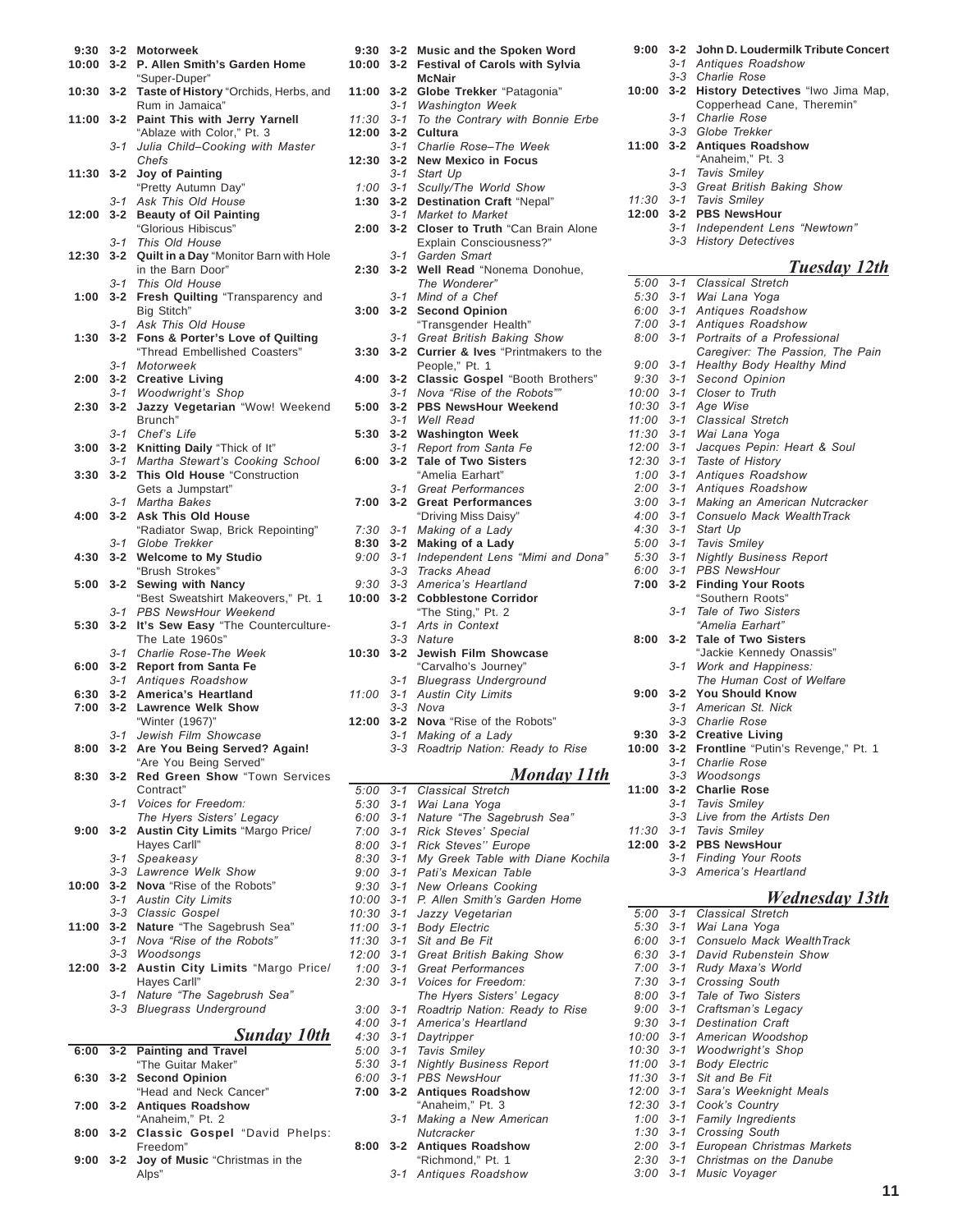| 9:30<br>10:00 | $3 - 2$<br>$3 - 2$ | <b>Motorweek</b><br>P. Allen Smith's Garden Home                               |
|---------------|--------------------|--------------------------------------------------------------------------------|
| 10:30         | $3 - 2$            | "Super-Duper"<br>Taste of History "Orchids, Herbs, and                         |
| 11:00 3-2     |                    | Rum in Jamaica"<br>Paint This with Jerry Yarnell<br>"Ablaze with Color," Pt. 3 |
|               | $3 - 1$            | Julia Child-Cooking with Master<br>Chefs                                       |
| 11:30         | $3 - 2$            | Joy of Painting<br>"Pretty Autumn Day"                                         |
|               | $3 - 1$            | Ask This Old House                                                             |
| 12:00         | $3 - 2$            | <b>Beauty of Oil Painting</b><br>"Glorious Hibiscus"                           |
| 12:30         | $3 - 1$<br>$3 - 2$ | This Old House<br>Quilt in a Day "Monitor Barn with Hole                       |
|               |                    | in the Barn Door"                                                              |
| 1:00          | $3 - 1$<br>$3 - 2$ | This Old House<br>Fresh Quilting "Transparency and                             |
|               |                    | Big Stitch"                                                                    |
|               | $3 - 1$            | Ask This Old House                                                             |
| 1:30          | $3 - 2$            | Fons & Porter's Love of Quilting<br>"Thread Embellished Coasters"              |
|               | $3 - 1$            | Motorweek                                                                      |
| 2:00          | $3 - 2$<br>$3 - 1$ | <b>Creative Living</b><br><b>Woodwright's Shop</b>                             |
| 2:30          | $3 - 2$            | Jazzy Vegetarian "Wow! Weekend                                                 |
|               |                    | Brunch"                                                                        |
|               | $3 - 1$            | Chef's Life                                                                    |
| 3:00          | $3 - 2$            | Knitting Daily "Thick of It"                                                   |
|               | $3 - 1$            | Martha Stewart's Cooking School                                                |
| 3:30          | $3 - 2$            | This Old House "Construction<br>Gets a Jumpstart"                              |
|               | $3 - 1$            | Martha Bakes                                                                   |
| 4:00          | $3 - 2$            | <b>Ask This Old House</b>                                                      |
|               |                    | "Radiator Swap, Brick Repointing"                                              |
|               | $3 - 1$            | Globe Trekker                                                                  |
| 4:30          | $3 - 2$            | <b>Welcome to My Studio</b>                                                    |
| 5:00          |                    | "Brush Strokes"                                                                |
|               | $3 - 2$            | <b>Sewing with Nancy</b><br>"Best Sweatshirt Makeovers," Pt. 1                 |
|               | $3 - 1$            | PBS NewsHour Weekend                                                           |
| 5:30          | $3 - 2$            | It's Sew Easy "The Counterculture-                                             |
|               |                    | The Late 1960s"                                                                |
| 6:00          | $3 - 1$<br>$3 - 2$ | Charlie Rose-The Week<br><b>Report from Santa Fe</b>                           |
|               | $3 - 1$            | Antiques Roadshow                                                              |
| 6:30          | $3 - 2$            | America's Heartland                                                            |
| 7:00 3-2      |                    | <b>Lawrence Welk Show</b>                                                      |
|               |                    | "Winter (1967)"                                                                |
|               | $3 - 1$            | Jewish Film Showcase                                                           |
| 8:00          | $3 - 2$            | Are You Being Served? Again!<br>"Are You Being Served"                         |
| 8:30          | $3 - 2$            | Red Green Show "Town Services                                                  |
|               |                    | Contract"                                                                      |
|               | $3 - 1$            | Voices for Freedom:<br>The Hyers Sisters' Legacy                               |
| 9:00          | $3 - 2$            | Austin City Limits "Margo Price/                                               |
|               |                    | Hayes Carll"                                                                   |
|               | 3-1                | Speakeasy                                                                      |
|               | 3-3                | Lawrence Welk Show<br>Nova "Rise of the Robots"                                |
| 10:00         | $3 - 2$<br>3-1     | <b>Austin City Limits</b>                                                      |
|               | $3 - 3$            | Classic Gospel                                                                 |
| 11:00         | $3 - 2$            | Nature "The Sagebrush Sea"                                                     |
|               | $3 - 1$            | Nova "Rise of the Robots"                                                      |
|               | $3 - 3$            | Woodsongs                                                                      |
| 12:00         | $3 - 2$            | Austin City Limits "Margo Price/                                               |
|               | $3 - 1$            | Hayes Carll"<br>Nature "The Sagebrush Sea"                                     |
|               |                    | 3-3 Bluegrass Underground                                                      |
|               |                    |                                                                                |
| 6:00          | $3 - 2$            | <b>Sunday 10th</b><br><b>Painting and Travel</b>                               |
|               |                    | "The Guitar Maker"                                                             |
| 6:30          | $3 - 2$            | <b>Second Opinion</b>                                                          |
| 7:00          | $3 - 2$            | "Head and Neck Cancer"<br><b>Antiques Roadshow</b>                             |
|               |                    |                                                                                |
|               |                    | "Anaheim," Pt. 2                                                               |
| 8:00          | $3 - 2$            | Classic Gospel "David Phelps:<br>Freedom"                                      |

Alps"

| 9:30  | $3 - 2$ | Music and the Spoken Word                          |
|-------|---------|----------------------------------------------------|
| 10:00 | $3 - 2$ | <b>Festival of Carols with Sylvia</b>              |
|       |         | <b>McNair</b>                                      |
| 11:00 | $3 - 2$ | Globe Trekker "Patagonia"                          |
|       | $3 - 1$ | <b>Washington Week</b>                             |
| 11:30 | $3 - 1$ | To the Contrary with Bonnie Erbe                   |
| 12:00 | $3 - 2$ | Cultura                                            |
|       | $3 - 1$ | Charlie Rose-The Week                              |
| 12:30 | $3 - 2$ | <b>New Mexico in Focus</b>                         |
|       | $3 - 1$ | Start Up                                           |
| 1:00  | $3 - 1$ | Scully/The World Show                              |
| 1:30  | $3 - 2$ | Destination Craft "Nepal"                          |
|       | $3 - 1$ | Market to Market                                   |
| 2:00  | $3 - 2$ | Closer to Truth "Can Brain Alone                   |
|       |         | Explain Consciousness?"                            |
|       | 3-1     | Garden Smart                                       |
| 2:30  | $3 - 2$ | Well Read "Nonema Donohue,                         |
|       |         | The Wonderer"                                      |
|       | $3 - 1$ | Mind of a Chef                                     |
| 3:00  | $3 - 2$ | <b>Second Opinion</b>                              |
|       |         | "Transgender Health"                               |
|       | $3 - 1$ | Great British Baking Show                          |
| 3:30  | $3 - 2$ | Currier & Ives "Printmakers to the                 |
|       |         | People," Pt. 1                                     |
| 4:00  | $3 - 2$ | Classic Gospel "Booth Brothers"                    |
|       | $3 - 1$ | Nova "Rise of the Robots""                         |
| 5:00  | $3 - 2$ | <b>PBS NewsHour Weekend</b>                        |
|       | $3 - 1$ | Well Read                                          |
| 5:30  | $3 - 2$ | <b>Washington Week</b>                             |
|       | $3 - 1$ | Report from Santa Fe                               |
| 6:00  | $3 - 2$ | <b>Tale of Two Sisters</b>                         |
|       |         | "Amelia Earhart"                                   |
|       | $3 - 1$ | <b>Great Performances</b>                          |
| 7:00  | $3 - 2$ | <b>Great Performances</b>                          |
|       |         | "Driving Miss Daisy"                               |
| 7:30  | $3 - 1$ | Making of a Lady                                   |
| 8:30  | $3 - 2$ | Making of a Lady                                   |
| 9:00  | $3 - 1$ | Independent Lens "Mimi and Dona"                   |
|       | $3 - 3$ | <b>Tracks Ahead</b>                                |
| 9:30  | $3 - 3$ | America's Heartland                                |
| 10:00 | $3 - 2$ | <b>Cobblestone Corridor</b>                        |
|       |         | "The Sting," Pt. 2                                 |
|       | 3-1     | Arts in Context                                    |
|       | $3 - 3$ | Nature                                             |
| 10:30 | $3 - 2$ | Jewish Film Showcase                               |
|       |         | "Carvalho's Journey"                               |
|       | 3-1     | <b>Bluegrass Underground</b>                       |
| 11:00 | $3 - 1$ | <b>Austin City Limits</b>                          |
|       | $3 - 3$ | Nova                                               |
| 12:00 | $3 - 2$ | Nova "Rise of the Robots"                          |
|       | $3 - 1$ |                                                    |
|       | $3 - 3$ | Making of a Lady<br>Roadtrip Nation: Ready to Rise |
|       |         |                                                    |
|       |         | Monday 11th                                        |
| 5:00  | $3 - 1$ | <b>Classical Stretch</b>                           |
| 5:30  | $3 - 1$ | Wai Lana Yoga                                      |
|       |         |                                                    |

#### *6:00 3-1 Nature ìThe Sagebrush Seaî 7:00 3-1 Rick Stevesí Special 8:00 3-1 Rick Stevesíí Europe 8:30 3-1 My Greek Table with Diane Kochila 9:00 3-1 Patiís Mexican Table 9:30 3-1 New Orleans Cooking 10:00 3-1 P. Allen Smithís Garden Home 10:30 3-1 Jazzy Vegetarian 11:00 3-1 Body Electric 11:30 3-1 Sit and Be Fit 12:00 3-1 Great British Baking Show 1:00 3-1 Great Performances 2:30 3-1 Voices for Freedom: The Hyers Sistersí Legacy 3:00 3-1 Roadtrip Nation: Ready to Rise 4:00 3-1 Americaís Heartland 4:30 3-1 Daytripper 5:00 3-1 Tavis Smiley 5:30 3-1 Nightly Business Report 6:00 3-1 PBS NewsHour* **7:00 3-2 Antiques Roadshow** "Anaheim," Pt. 3 *3-1 Making a New American Nutcracker* **8:00 3-2 Antiques Roadshow** "Richmond," Pt. 1 *3-1 Antiques Roadshow*

| 9:00         | $3 - 2$            | John D. Loudermilk Tribute Concert     |
|--------------|--------------------|----------------------------------------|
|              | 3-1                | Antiques Roadshow                      |
|              | $3 - 3$            | Charlie Rose                           |
| 10:00        | $3 - 2$            | History Detectives "Iwo Jima Map,      |
|              |                    | Copperhead Cane, Theremin"             |
|              | $3 - 1$            | Charlie Rose                           |
|              | $3 - 3$            | Globe Trekker                          |
| 11:00        | 3-2                | <b>Antiques Roadshow</b>               |
|              |                    | "Anaheim," Pt. 3                       |
|              | $3 - 1$            | Tavis Smiley                           |
|              | $3 - 3$            | Great British Baking Show              |
| 11:30        | $3 - 1$            | Tavis Smiley                           |
| 12:00        | $3 - 2$            | <b>PBS NewsHour</b>                    |
|              | $3 - 1$            | Independent Lens "Newtown"             |
|              | $3 - 3$            | <b>History Detectives</b>              |
|              |                    |                                        |
|              |                    | <u>Tuesday 12th</u>                    |
| 5:00         | $3 - 1$            | <b>Classical Stretch</b>               |
| 5:30         | $3 - 1$<br>$3 - 1$ | Wai Lana Yoga                          |
| 6:00<br>7:00 | $3 - 1$            | Antiques Roadshow<br>Antiques Roadshow |
| 8:00         | $3 - 1$            | Portraits of a Professional            |
|              |                    | Caregiver: The Passion, The Pain       |
| 9:00         | $3 - 1$            | Healthy Body Healthy Mind              |
| 9:30         | $3 - 1$            | Second Opinion                         |
| 10:00        | $3 - 1$            | Closer to Truth                        |
| 10:30        | $3 - 1$            | Age Wise                               |
| 11:00        | $3 - 1$            | Classical Stretch                      |
| 11:30        | $3 - 1$            | Wai Lana Yoga                          |
| 12:00        | $3 - 1$            | Jacques Pepin: Heart & Soul            |
| 12:30        | $3 - 1$            | Taste of History                       |
| 1:00         | $3 - 1$            | Antiques Roadshow                      |
| 2:00         | $3 - 1$            | Antiques Roadshow                      |
| 3:00         | $3 - 1$            | Making an American Nutcracker          |
| 4:00         | $3 - 1$            | Consuelo Mack WealthTrack              |
| 4:30         | $3 - 1$            | Start Up                               |
| 5:00         | $3 - 1$            | <b>Tavis Smiley</b>                    |
| 5:30         | $3 - 1$            | <b>Nightly Business Report</b>         |
| 6:00         | $3 - 1$            | <b>PBS NewsHour</b>                    |
| 7:00         | $3 - 2$            | <b>Finding Your Roots</b>              |
|              |                    | "Southern Roots"                       |
|              | $3 - 1$            | Tale of Two Sisters                    |
|              |                    | "Amelia Earhart"                       |
| 8:00         | $3 - 2$            | Tale of Two Sisters                    |
|              |                    | "Jackie Kennedy Onassis"               |
|              | 3-1                | Work and Happiness:                    |
|              |                    | The Human Cost of Welfare              |
| 9:00         | $3 - 2$            | <b>You Should Know</b>                 |
|              | $3 - 1$            | American St. Nick                      |
|              | $3 - 3$            | Charlie Rose                           |
| 9:30         | $3 - 2$            | <b>Creative Living</b>                 |
| 10:00        | $3 - 2$            | Frontline "Putin's Revenge," Pt. 1     |
|              | $3 - 1$            | Charlie Rose                           |
|              |                    | 3-3 Woodsongs                          |
| 11:00        | $3 - 2$            | <b>Charlie Rose</b>                    |
|              | $3 - 1$            | Tavis Smiley                           |
|              | $3 - 3$            | Live from the Artists Den              |
| 11:30        | $3 - 1$            | Tavis Smiley                           |

**12:00 3-2 PBS NewsHour**

÷,

- *3-1 Finding Your Roots*
	- *3-3 Americaís Heartland*

### *Wednesday 13th*

|                  |         | rr eunesuuv 1.                   |
|------------------|---------|----------------------------------|
| 5:00             | $3 - 1$ | Classical Stretch                |
| $5:30$ $3-1$     |         | Wai Lana Yoga                    |
| $6:00$ 3-1       |         | Consuelo Mack WealthTrack        |
| $6:30$ $3-1$     |         | David Rubenstein Show            |
| $7:00$ 3-1       |         | Rudy Maxa's World                |
| $7:30$ $3-1$     |         | <b>Crossing South</b>            |
|                  |         | 8:00 3-1 Tale of Two Sisters     |
|                  |         | 9:00 3-1 Craftsman's Legacy      |
| $9:30 \quad 3-1$ |         | Destination Craft                |
| 10:00 3-1        |         | American Woodshop                |
|                  |         | 10:30 3-1 Woodwright's Shop      |
| $11:00$ 3-1      |         | <b>Body Electric</b>             |
| $11:30$ $3-1$    |         | Sit and Be Fit                   |
| $12:00$ 3-1      |         | Sara's Weeknight Meals           |
| $12:30$ $3-1$    |         | Cook's Country                   |
| $1:00$ 3-1       |         | <b>Family Ingredients</b>        |
| $1:30$ $3-1$     |         | <b>Crossing South</b>            |
| $2:00$ 3-1       |         | European Christmas Markets       |
|                  |         | 2:30 3-1 Christmas on the Danube |
| 3:00             | $3 - 1$ | Music Voyager                    |
|                  |         |                                  |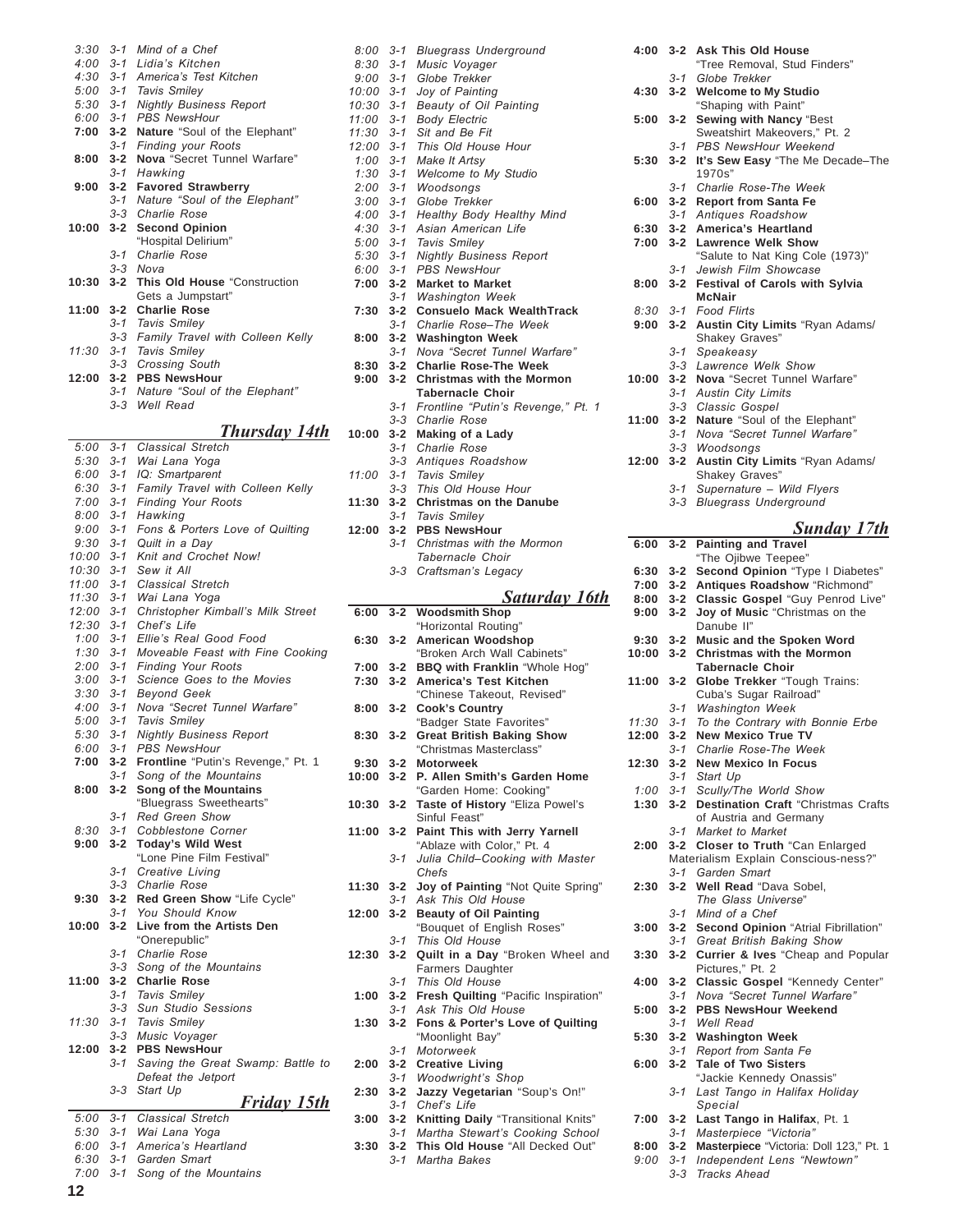|  | $3:30$ $3-1$ Mind of a Chef            |
|--|----------------------------------------|
|  | 4:00 3-1 Lidia's Kitchen               |
|  | 4:30 3-1 America's Test Kitchen        |
|  | 5:00 3-1 Tavis Smiley                  |
|  | 5:30 3-1 Nightly Business Report       |
|  | 6:00 3-1 PBS NewsHour                  |
|  | 7:00 3-2 Nature "Soul of the Elephant" |
|  | 3-1 Finding your Roots                 |
|  | 8:00 3-2 Nova "Secret Tunnel Warfare"  |
|  | 3-1 Hawking                            |
|  | 9:00 3-2 Favored Strawberry            |
|  | 3-1 Nature "Soul of the Elephant"      |
|  | 3-3 Charlie Rose                       |
|  | 10:00 3-2 Second Opinion               |
|  | "Hospital Delirium"                    |
|  | 3-1 Charlie Rose                       |
|  | 3-3 Nova                               |
|  | 10:30 3-2 This Old House "Construction |
|  | Gets a Jumpstart"                      |
|  | 11:00 3-2 Charlie Rose                 |
|  | 3-1 Tavis Smiley                       |
|  | 3-3 Family Travel with Colleen Kelly   |
|  | 11:30 3-1 Tavis Smiley                 |
|  | 3-3 Crossing South                     |
|  | 12:00 3-2 PBS NewsHour                 |
|  | 3-1 Nature "Soul of the Elephant"      |
|  | 3-3 Well Read                          |
|  | Thursday 14                            |
|  |                                        |

### *Thursday 14th*

| 5:00  | $3 - 1$ | <b>Classical Stretch</b>           |
|-------|---------|------------------------------------|
| 5:30  | $3 - 1$ | Wai Lana Yoga                      |
| 6:00  | $3 - 1$ | IQ: Smartparent                    |
| 6:30  | $3 - 1$ | Family Travel with Colleen Kelly   |
| 7:00  | $3 - 1$ | <b>Finding Your Roots</b>          |
| 8:00  | 3-1     | Hawking                            |
| 9:00  | $3 - 1$ | Fons & Porters Love of Quilting    |
| 9:30  | $3 - 1$ | Quilt in a Day                     |
| 10:00 | $3 - 1$ | Knit and Crochet Now!              |
| 10:30 | $3 - 1$ | Sew it All                         |
| 11:00 | $3 - 1$ | Classical Stretch                  |
| 11:30 | $3 - 1$ | Wai Lana Yoga                      |
| 12:00 | $3 - 1$ | Christopher Kimball's Milk Street  |
| 12:30 | $3 - 1$ | Chef's Life                        |
| 1:00  | $3 - 1$ | Ellie's Real Good Food             |
| 1:30  | $3 - 1$ | Moveable Feast with Fine Cooking   |
| 2:00  | $3 - 1$ | <b>Finding Your Roots</b>          |
| 3:00  | $3 - 1$ | Science Goes to the Movies         |
| 3:30  | $3 - 1$ | <b>Beyond Geek</b>                 |
| 4:00  | $3 - 1$ | Nova "Secret Tunnel Warfare"       |
| 5:00  | $3 - 1$ | Tavis Smiley                       |
| 5:30  | $3 - 1$ | <b>Nightly Business Report</b>     |
| 6:00  | $3 - 1$ | <b>PBS NewsHour</b>                |
| 7:00  | $3 - 2$ | Frontline "Putin's Revenge," Pt. 1 |
|       | $3 - 1$ | Song of the Mountains              |
| 8:00  | $3 - 2$ | Song of the Mountains              |
|       |         | "Bluegrass Sweethearts"            |
|       | $3 - 1$ | Red Green Show                     |
| 8:30  | $3 - 1$ | Cobblestone Corner                 |
| 9:00  | $3 - 2$ | <b>Today's Wild West</b>           |
|       |         | "Lone Pine Film Festival"          |
|       | $3 - 1$ | Creative Living                    |
|       | 3-3     | Charlie Rose                       |
| 9:30  | $3 - 2$ | Red Green Show "Life Cycle"        |
|       | $3 - 1$ | You Should Know                    |
| 10:00 | $3 - 2$ | Live from the Artists Den          |
|       |         | "Onerepublic"                      |
|       | 3-1     | Charlie Rose                       |
|       | $3 - 3$ | Song of the Mountains              |
| 11:00 | $3 - 2$ | <b>Charlie Rose</b>                |
|       | 3-1     | <b>Tavis Smiley</b>                |
|       | $3 - 3$ | <b>Sun Studio Sessions</b>         |
| 11:30 | 3-1     | Tavis Smiley                       |
|       | $3 - 3$ | Music Voyager                      |
| 12:00 | $3 - 2$ | <b>PBS NewsHour</b>                |
|       | $3 - 1$ | Saving the Great Swamp: Battle to  |
|       |         | Defeat the Jetport                 |
|       | 3-3     | Start Up                           |
|       |         | <u>Friday 15th</u>                 |
| 5:00  | $3 - 1$ | <b>Classical Stretch</b>           |
| 5:30  | $3 - 1$ | Wai Lana Yoga                      |
| 6:00  | $3 - 1$ | America's Heartland                |
| 6:30  | $3 - 1$ | Garden Smart                       |

|  | 0.00 0 1 0010011 0111011       |
|--|--------------------------------|
|  | 7:00 3-1 Song of the Mountains |

| 8:00         | $3 - 1$        | <b>Bluegrass Underground</b>                 |
|--------------|----------------|----------------------------------------------|
| 8:30         | 3-1            | Music Voyager                                |
| 9:00         | $3 - 1$        | Globe Trekker                                |
|              |                |                                              |
| 10:00        | $3 - 1$        | Joy of Painting                              |
| 10:30        | $3 - 1$        | Beauty of Oil Painting                       |
| 11:00        | $3 - 1$        | <b>Body Electric</b>                         |
| 11:30        | $3 - 1$        | Sit and Be Fit                               |
| 12:00        | $3 - 1$        | This Old House Hour                          |
| 1:00         | $3 - 1$        | Make It Artsy                                |
| 1:30         | 3-1            | Welcome to My Studio                         |
| 2:00         | $3 - 1$        | Woodsongs                                    |
| 3:00         | 3-1            | Globe Trekker                                |
|              |                |                                              |
| 4:00         | $3 - 1$        | Healthy Body Healthy Mind                    |
| 4:30         | $3 - 1$        | Asian American Life                          |
| 5:00         | $3 - 1$        | <b>Tavis Smiley</b>                          |
| 5:30         | $3 - 1$        | <b>Nightly Business Report</b>               |
| $6:00$ $3-1$ |                | <b>PBS NewsHour</b>                          |
| 7:00         | $3 - 2$        | <b>Market to Market</b>                      |
|              | 3-1            | <b>Washington Week</b>                       |
| 7:30         | $3 - 2$        | <b>Consuelo Mack WealthTrack</b>             |
|              | 3-1            | Charlie Rose-The Week                        |
|              |                |                                              |
| 8:00         | $3 - 2$        | <b>Washington Week</b>                       |
|              | 3-1            | Nova "Secret Tunnel Warfare"                 |
| 8:30         | $3 - 2$        | <b>Charlie Rose-The Week</b>                 |
| 9:00         | $3 - 2$        | <b>Christmas with the Mormon</b>             |
|              |                | <b>Tabernacle Choir</b>                      |
|              | 3-1            | Frontline "Putin's Revenge," Pt. 1           |
|              |                | 3-3 Charlie Rose                             |
| 10:00        | $3 - 2$        | Making of a Lady                             |
|              | 3-1            |                                              |
|              |                | <b>Charlie Rose</b>                          |
|              | 3-3            | Antiques Roadshow                            |
| 11:00        | 3-1            | Tavis Smiley                                 |
|              | 3-3            | This Old House Hour                          |
| 11:30        | $3 - 2$        | <b>Christmas on the Danube</b>               |
|              | 3-1            | Tavis Smiley                                 |
| 12:00        | $3 - 2$        | <b>PBS NewsHour</b>                          |
|              | 3-1            | Christmas with the Mormon                    |
|              |                | Tabernacle Choir                             |
|              |                | 3-3 Craftsman's Legacy                       |
|              |                |                                              |
|              |                |                                              |
|              |                |                                              |
|              |                | <b>Saturday 16th</b>                         |
| 6:00         | $3 - 2$        | <b>Woodsmith Shop</b>                        |
|              |                | "Horizontal Routing"                         |
| 6:30         | $3 - 2$        | American Woodshop                            |
|              |                | "Broken Arch Wall Cabinets"                  |
| $7:00$ 3-2   |                | <b>BBQ with Franklin "Whole Hog"</b>         |
| 7:30         | $3 - 2$        | America's Test Kitchen                       |
|              |                | "Chinese Takeout, Revised"                   |
| 8:00         | $3 - 2$        | <b>Cook's Country</b>                        |
|              |                |                                              |
| 8:30         | $3 - 2$        | "Badger State Favorites"                     |
|              |                | <b>Great British Baking Show</b>             |
|              |                | "Christmas Masterclass"                      |
| 9:30         | $3 - 2$        | <b>Motorweek</b>                             |
| 10:00        | $3 - 2$        | P. Allen Smith's Garden Home                 |
|              |                | "Garden Home: Cooking"                       |
| 10:30 3-2    |                | Taste of History "Eliza Powel's              |
|              |                | Sinful Feast"                                |
| 11:00 3-2    |                | Paint This with Jerry Yarnell                |
|              |                | "Ablaze with Color," Pt. 4                   |
|              | $3 - 1$        | Julia Child-Cooking with Master              |
|              |                | Chefs                                        |
|              |                |                                              |
| 11:30        | $3 - 2$        | Joy of Painting "Not Quite Spring"           |
|              | $3 - 1$        | Ask This Old House                           |
| 12:00        | $3 - 2$        | <b>Beauty of Oil Painting</b>                |
|              |                | "Bouquet of English Roses"                   |
|              | 3-1            | This Old House                               |
| 12:30        | $3 - 2$        | Quilt in a Day "Broken Wheel and             |
|              |                | Farmers Daughter                             |
|              | $3 - 1$        | This Old House                               |
| 1:00         | $3 - 2$        | Fresh Quilting "Pacific Inspiration"         |
|              | $3 - 1$        | Ask This Old House                           |
| 1:30         | $3 - 2$        | Fons & Porter's Love of Quilting             |
|              |                |                                              |
|              |                | "Moonlight Bay"<br>Motorweek                 |
|              | $3 - 1$        |                                              |
| 2:00         |                | 3-2 Creative Living                          |
|              | 3-1            | <b>Woodwright's Shop</b>                     |
| 2:30         | $3 - 2$<br>3-1 | Jazzy Vegetarian "Soup's On!"<br>Chef's Life |

|  | 3:00 3-2 Knitting Daily "Transitional Knits" |
|--|----------------------------------------------|
|  | 3-1 Martha Stewart's Cooking School          |

- **3:30 3-2 This Old House** "All Decked Out"
	- *3-1 Martha Bakes*

| 4:00  | $3 - 2$ | <b>Ask This Old House</b>                  |
|-------|---------|--------------------------------------------|
|       |         | "Tree Removal, Stud Finders"               |
|       | 3-1     | Globe Trekker                              |
|       |         |                                            |
| 4:30  | $3 - 2$ | <b>Welcome to My Studio</b>                |
|       |         | "Shaping with Paint"                       |
| 5:00  | $3 - 2$ | Sewing with Nancy "Best                    |
|       |         | Sweatshirt Makeovers," Pt. 2               |
|       |         |                                            |
|       | $3 - 1$ | PBS NewsHour Weekend                       |
| 5:30  | $3 - 2$ | It's Sew Easy "The Me Decade-The           |
|       |         | 1970s"                                     |
|       |         |                                            |
|       | 3-1     | Charlie Rose-The Week                      |
| 6:00  | $3 - 2$ | <b>Report from Santa Fe</b>                |
|       | $3 - 1$ | Antiques Roadshow                          |
|       |         | <b>America's Heartland</b>                 |
| 6:30  | $3 - 2$ |                                            |
| 7:00  | $3 - 2$ | <b>Lawrence Welk Show</b>                  |
|       |         | "Salute to Nat King Cole (1973)"           |
|       | $3 - 1$ | Jewish Film Showcase                       |
|       |         |                                            |
| 8:00  | $3 - 2$ | <b>Festival of Carols with Sylvia</b>      |
|       |         | <b>McNair</b>                              |
| 8:30  | $3 - 1$ | <b>Food Flirts</b>                         |
|       |         |                                            |
| 9:00  | $3 - 2$ | Austin City Limits "Ryan Adams/            |
|       |         | Shakey Graves"                             |
|       | 3-1     | Speakeasy                                  |
|       |         |                                            |
|       | 3-3     | Lawrence Welk Show                         |
| 10:00 | $3 - 2$ | Nova "Secret Tunnel Warfare"               |
|       | $3 - 1$ | <b>Austin City Limits</b>                  |
|       |         |                                            |
|       | $3 - 3$ | Classic Gospel                             |
| 11:00 | $3 - 2$ | Nature "Soul of the Elephant"              |
|       | $3 - 1$ | Nova "Secret Tunnel Warfare"               |
|       |         |                                            |
|       | $3 - 3$ | Woodsongs                                  |
| 12:00 | $3 - 2$ | Austin City Limits "Ryan Adams/            |
|       |         | Shakey Graves"                             |
|       | 3-1     | Supernature - Wild Flyers                  |
|       |         |                                            |
|       | $3 - 3$ | <b>Bluegrass Underground</b>               |
|       |         |                                            |
|       |         | Sunday 17th                                |
|       |         |                                            |
| 6:00  | $3 - 2$ | <b>Painting and Travel</b>                 |
|       |         | "The Ojibwe Teepee"                        |
| 6:30  | $3 - 2$ | Second Opinion "Type I Diabetes"           |
| 7:00  | $3 - 2$ | Antiques Roadshow "Richmond"               |
|       |         |                                            |
| 8:00  | $3 - 2$ | Classic Gospel "Guy Penrod Live"           |
| 9:00  | $3 - 2$ | Joy of Music "Christmas on the             |
|       |         |                                            |
|       |         |                                            |
|       |         | Danube II"                                 |
| 9:30  | $3 - 2$ | Music and the Spoken Word                  |
| 10:00 | $3 - 2$ | <b>Christmas with the Mormon</b>           |
|       |         |                                            |
|       |         | <b>Tabernacle Choir</b>                    |
| 11:00 | $3 - 2$ | Globe Trekker "Tough Trains:               |
|       |         | Cuba's Sugar Railroad"                     |
|       | $3 - 1$ | <b>Washington Week</b>                     |
|       |         |                                            |
| 11:30 | 3-1     | To the Contrary with Bonnie Erbe           |
| 12:00 | $3 - 2$ | <b>New Mexico True TV</b>                  |
|       | 3-1     | Charlie Rose-The Week                      |
|       |         |                                            |
| 12:30 | $3 - 2$ | <b>New Mexico In Focus</b>                 |
|       | $3 - 1$ | Start Up                                   |
| 1:00  |         | Scully/The World Show                      |
|       | $3 - 1$ |                                            |
| 1:30  | $3 - 2$ | <b>Destination Craft "Christmas Crafts</b> |
|       |         | of Austria and Germany                     |
|       | $3 - 1$ | Market to Market                           |
|       |         |                                            |
| 2:00  | $3 - 2$ | Closer to Truth "Can Enlarged              |
|       |         | Materialism Explain Conscious-ness?"       |
|       | $3 - 1$ | Garden Smart                               |
| 2:30  | $3 - 2$ | Well Read "Dava Sobel,                     |
|       |         |                                            |
|       |         | The Glass Universe"                        |
|       | $3 - 1$ | Mind of a Chef                             |
| 3:00  | $3 - 2$ | Second Opinion "Atrial Fibrillation"       |
|       |         |                                            |
|       |         | 3-1 Great British Baking Show              |
| 3:30  | $3 - 2$ | Currier & Ives "Cheap and Popular          |
|       |         | Pictures," Pt. 2                           |
| 4:00  | $3 - 2$ |                                            |
|       |         | Classic Gospel "Kennedy Center"            |
|       | $3 - 1$ | Nova "Secret Tunnel Warfare"               |
| 5:00  | $3 - 2$ | <b>PBS NewsHour Weekend</b>                |
|       | $3 - 1$ | Well Read                                  |
|       |         |                                            |
| 5:30  | $3 - 2$ | <b>Washington Week</b>                     |
|       | $3 - 1$ | Report from Santa Fe                       |
| 6:00  | $3 - 2$ | <b>Tale of Two Sisters</b>                 |
|       |         |                                            |
|       |         | "Jackie Kennedy Onassis"                   |
|       | $3 - 1$ | Last Tango in Halifax Holiday              |
|       |         | Special                                    |
| 7:00  | $3 - 2$ |                                            |
|       |         | Last Tango in Halifax, Pt. 1               |
|       | $3 - 1$ | Masterpiece "Victoria"                     |
| 8:00  | $3 - 2$ | Masterpiece "Victoria: Doll 123," Pt. 1    |
| 9:00  | $3 - 1$ | Independent Lens "Newtown"                 |
|       | $3 - 3$ | Tracks Ahead                               |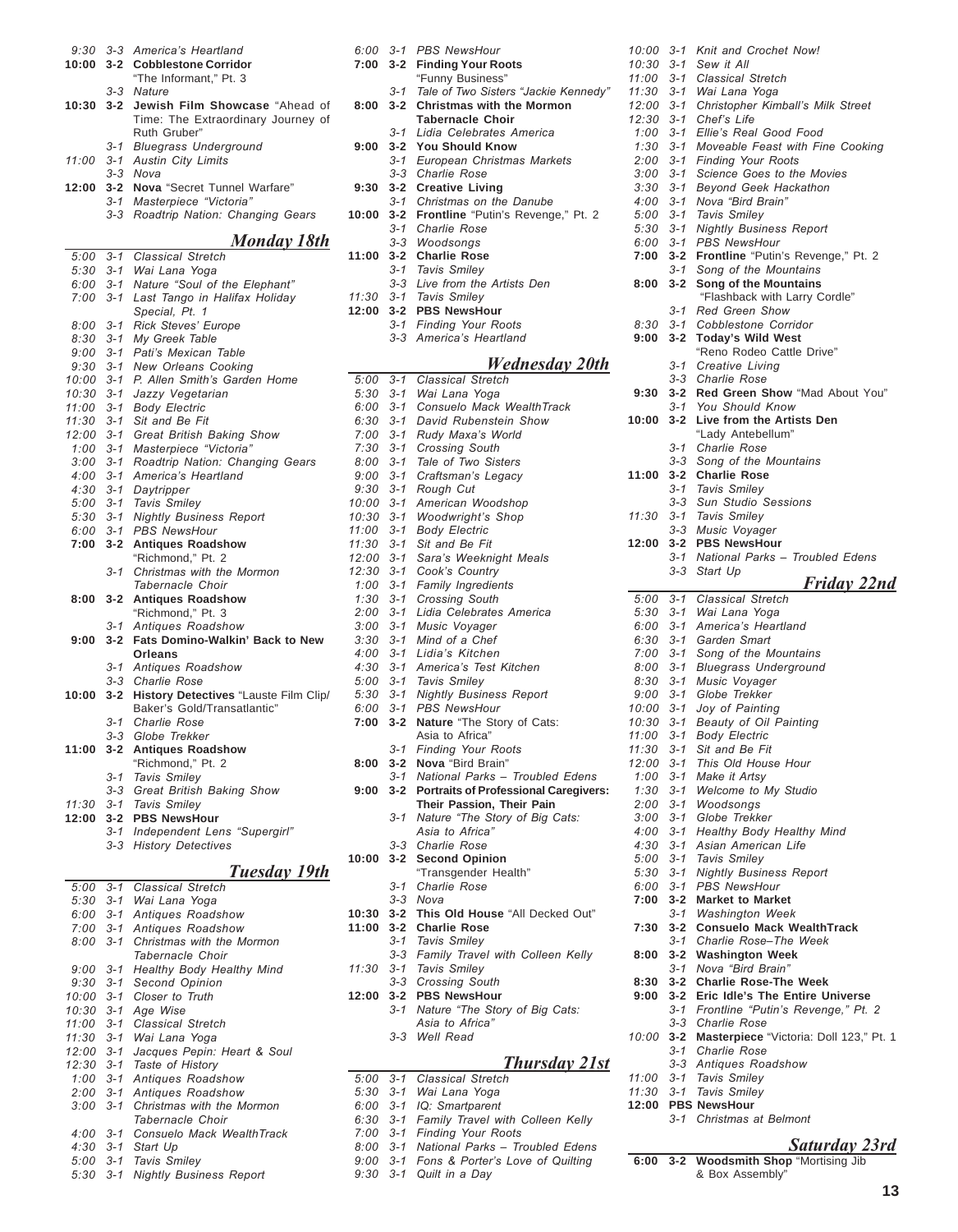| $9:30$ $3-3$<br>10:00 | $3 - 2$            | America's Heartland<br><b>Cobblestone Corridor</b>                             |
|-----------------------|--------------------|--------------------------------------------------------------------------------|
|                       |                    | "The Informant," Pt. 3                                                         |
| 10:30                 | $3 - 3$<br>$3 - 2$ | Nature<br>Jewish Film Showcase "Ahead of<br>Time: The Extraordinary Journey of |
|                       |                    | Ruth Gruber"                                                                   |
| 11:00                 | 3-1<br>$3 - 1$     | <b>Bluegrass Underground</b><br><b>Austin City Limits</b>                      |
|                       | 3-3                | Nova                                                                           |
| 12:00                 | $3 - 2$<br>3-1     | Nova "Secret Tunnel Warfare"<br>Masterpiece "Victoria"                         |
|                       | $3 - 3$            | Roadtrip Nation: Changing Gears                                                |
|                       |                    | <u>Monday 18th</u>                                                             |
| 5:00                  | $3 - 1$            | Classical Stretch                                                              |
| $5:30$ $3-1$          |                    | Wai Lana Yoga<br>Nature "Soul of the Elephant"                                 |
| 6:00<br>7:00          | $3 - 1$<br>$3 - 1$ | Last Tango in Halifax Holiday<br>Special, Pt. 1                                |
| 8:00                  | $3 - 1$            | Rick Steves' Europe                                                            |
| 8:30<br>$9:00$ $3-1$  | $3 - 1$            | My Greek Table<br>Pati's Mexican Table                                         |
| 9:30                  | $3 - 1$            | New Orleans Cooking                                                            |
| 10:00                 | $3 - 1$            | P. Allen Smith's Garden Home                                                   |
| 10:30                 | $3 - 1$            | Jazzy Vegetarian                                                               |
| 11:00                 | $3 - 1$            | <b>Body Electric</b>                                                           |
| 11:30<br>12:00        | 3-1<br>$3 - 1$     | Sit and Be Fit<br>Great British Baking Show                                    |
| 1:00                  | $3 - 1$            | Masterpiece "Victoria"                                                         |
| $3:00$ $3-1$          |                    | Roadtrip Nation: Changing Gears                                                |
| 4:00                  | $3 - 1$            | America's Heartland                                                            |
| 4:30<br>5:00          | $3 - 1$<br>$3 - 1$ | Daytripper<br><b>Tavis Smiley</b>                                              |
| $5:30$ $3-1$          |                    | <b>Nightly Business Report</b>                                                 |
| 6:00                  | $3 - 1$            | <b>PBS NewsHour</b>                                                            |
| 7:00                  | $3 - 2$            | <b>Antiques Roadshow</b>                                                       |
|                       | $3 - 1$            | "Richmond," Pt. 2<br>Christmas with the Mormon<br>Tabernacle Choir             |
| 8:00                  | 3-2                | <b>Antiques Roadshow</b>                                                       |
|                       | $3 - 1$            | "Richmond," Pt. 3<br>Antiques Roadshow                                         |
| 9:00                  | $3 - 2$            | Fats Domino-Walkin' Back to New<br>Orleans                                     |
|                       | $3 - 1$<br>3-3     | Antiques Roadshow<br><b>Charlie Rose</b>                                       |
| 10:00                 | $3 - 2$            | History Detectives "Lauste Film Clip/                                          |
|                       |                    | Baker's Gold/Transatlantic"                                                    |
|                       | 3-1                | <b>Charlie Rose</b>                                                            |
| 11:00                 | $3 - 2$            | 3-3 Globe Trekker<br><b>Antiques Roadshow</b>                                  |
|                       |                    | "Richmond," Pt. 2                                                              |
|                       | 3-1                |                                                                                |
|                       |                    | Tavis Smiley                                                                   |
|                       | 3-3                | Great British Baking Show                                                      |
| 11:30                 | 3-1                | <b>Tavis Smiley</b>                                                            |
| 12:00                 | $3 - 2$<br>3-1     | <b>PBS NewsHour</b><br>Independent Lens "Supergirl"                            |
|                       | $3 - 3$            | <b>History Detectives</b>                                                      |
|                       |                    |                                                                                |
| 5:00                  | $3 - 1$            | Tuesday 19th<br>Classical Stretch                                              |
| $5:30$ $3-1$          |                    | Wai Lana Yoga                                                                  |
| $6:00$ $3-1$          |                    | Antiques Roadshow                                                              |
| $7:00$ 3-1            |                    | Antiques Roadshow                                                              |
| 8:00                  | $3 - 1$            | Christmas with the Mormon<br>Tabernacle Choir                                  |
| 9:00                  | $3 - 1$            | Healthy Body Healthy Mind                                                      |
| $9:30$ $3-1$          |                    | Second Opinion                                                                 |
| 10:00                 | $3 - 1$            | Closer to Truth                                                                |
| $10:30$ $3-1$         |                    | Age Wise                                                                       |
| 11:00<br>11:30 3-1    | $3 - 1$            | Classical Stretch<br>Wai Lana Yoga                                             |
| 12:00                 | $3 - 1$            | Jacques Pepin: Heart & Soul                                                    |
| $12:30$ $3-1$         |                    | Taste of History                                                               |
| 1:00                  | $3 - 1$            | Antiques Roadshow                                                              |
| $2:00$ 3-1<br>3:00    | $3 - 1$            | Antiques Roadshow<br>Christmas with the Mormon                                 |
|                       |                    | Tabernacle Choir                                                               |
| 4:00                  | $3 - 1$            | Consuelo Mack WealthTrack                                                      |
| $4:30$ $3-1$<br>5:00  | $3 - 1$            | Start Up<br>Tavis Smiley                                                       |

|                            |         | 6:00 3-1 PBS NewsHour                                 |
|----------------------------|---------|-------------------------------------------------------|
| 7:00                       | $3 - 2$ | <b>Finding Your Roots</b>                             |
|                            |         | "Funny Business"                                      |
|                            | $3 - 1$ | Tale of Two Sisters "Jackie Kennedy"                  |
| 8:00                       | $3-2$   | <b>Christmas with the Mormon</b>                      |
|                            |         | <b>Tabernacle Choir</b>                               |
|                            | $3 - 1$ | Lidia Celebrates America                              |
| 9:00                       | $3 - 2$ | <b>You Should Know</b>                                |
|                            |         | 3-1 European Christmas Markets                        |
|                            |         | 3-3 Charlie Rose                                      |
| 9:30                       | $3 - 2$ | <b>Creative Living</b>                                |
|                            |         | 3-1 Christmas on the Danube                           |
| 10:00                      | $3 - 2$ | Frontline "Putin's Revenge," Pt. 2                    |
|                            |         | 3-1 Charlie Rose                                      |
|                            |         | 3-3 Woodsongs                                         |
| 11:00                      | $3 - 2$ | <b>Charlie Rose</b>                                   |
|                            |         | 3-1 Tavis Smiley                                      |
|                            | $3 - 3$ | Live from the Artists Den                             |
|                            |         | 11:30 3-1 Tavis Smiley                                |
| 12:00                      |         | 3-2 PBS NewsHour                                      |
|                            |         | 3-1 Finding Your Roots                                |
|                            |         | 3-3 America's Heartland                               |
|                            |         |                                                       |
|                            |         | <b>Wednesday 20th</b>                                 |
| $5:00$ $3-1$               |         | <b>Classical Stretch</b>                              |
| $5:30$ $3-1$               |         | Wai Lana Yoga                                         |
| $6:00$ $3-1$               |         | Consuelo Mack WealthTrack                             |
| $6:30$ $3-1$               |         | David Rubenstein Show                                 |
| $7:00$ 3-1                 |         | Rudy Maxa's World                                     |
| $7:30$ $3-1$               |         | Crossing South                                        |
| $8:00$ $3-1$               |         | Tale of Two Sisters                                   |
| $9:00$ $3-1$               |         | Craftsman's Legacy                                    |
| $9:30 \quad 3-1$           |         | Rough Cut                                             |
| 10:00 3-1                  |         | American Woodshop                                     |
| 10:30 3-1                  |         | <b>Woodwright's Shop</b>                              |
| $11:00$ $3-1$              |         | <b>Body Electric</b>                                  |
| $11:30$ $3-1$              |         | Sit and Be Fit                                        |
| $12:00$ $3-1$              |         | Sara's Weeknight Meals                                |
| 12:30 3-1<br>$1:00$ 3-1    |         | Cook's Country<br>Family Ingredients                  |
|                            |         |                                                       |
| $1:30$ $3-1$<br>$2:00$ 3-1 |         | <b>Crossing South</b><br>Lidia Celebrates America     |
| $3:00$ $3-1$               |         | Music Voyager                                         |
| $3:30$ $3-1$               |         | Mind of a Chef                                        |
| $4:00$ 3-1                 |         | Lidia's Kitchen                                       |
| $4:30$ $3-1$               |         | America's Test Kitchen                                |
|                            |         | 5:00 3-1 Tavis Smiley                                 |
|                            |         | 5:30 3-1 Nightly Business Report                      |
| 6:00 3-1                   |         | PBS NewsHour                                          |
|                            |         | 7:00 3-2 Nature "The Story of Cats:                   |
|                            |         | Asia to Africa"                                       |
|                            | $3 - 1$ | <b>Finding Your Roots</b>                             |
| 8:00                       | $3 - 2$ | Nova "Bird Brain"                                     |
|                            |         | 3-1 National Parks - Troubled Edens                   |
| 9:00                       | $3 - 2$ | <b>Portraits of Professional Caregivers:</b>          |
|                            |         | Their Passion, Their Pain                             |
|                            | 3-1     | Nature "The Story of Big Cats:                        |
|                            |         | Asia to Africa"                                       |
|                            |         | 3-3 Charlie Rose                                      |
| 10:00                      | $3 - 2$ | <b>Second Opinion</b>                                 |
|                            |         | "Transgender Health"                                  |
|                            | 3-1     | Charlie Rose                                          |
|                            | $3 - 3$ | Nova                                                  |
| 10:30                      | $3 - 2$ | This Old House "All Decked Out"                       |
| 11:00                      | $3 - 2$ | <b>Charlie Rose</b>                                   |
|                            |         | 3-1 Tavis Smiley                                      |
|                            | $3 - 3$ | Family Travel with Colleen Kelly                      |
| 11:30                      |         | 3-1 Tavis Smiley                                      |
|                            |         | 3-3 Crossing South                                    |
| 12:00                      | $3 - 2$ | <b>PBS NewsHour</b>                                   |
|                            |         | 3-1 Nature "The Story of Big Cats:<br>Asia to Africa" |
|                            |         | 3-3 Well Read                                         |
|                            |         |                                                       |
|                            |         | <u>Thursday 21st</u>                                  |
| 5:00                       | $3 - 1$ | <b>Classical Stretch</b>                              |
|                            |         | 5:30 3-1 Wai Lana Yoga                                |
|                            |         | 6:00 3-1 IQ: Smartparent                              |
|                            |         |                                                       |

- *6:30 3-1 Family Travel with Colleen Kelly*
- *7:00 3-1 Finding Your Roots*
- 8:00 3-1 National Parks Troubled Edens *9:00 3-1 Fons & Porterís Love of Quilting*
- *9:30 3-1 Quilt in a Day*

| 10:00              | $3 - 1$ | Knit and Crochet Now!                                              |
|--------------------|---------|--------------------------------------------------------------------|
| 10:30              | 3-1     | Sew it All                                                         |
| 11:00              |         | 3-1 Classical Stretch                                              |
| 11:30              |         | 3-1 Wai Lana Yoga                                                  |
|                    |         | 12:00 3-1 Christopher Kimball's Milk Street                        |
| 12:30              |         | 3-1 Chef's Life<br>1:00 3-1 Ellie's Real Good Food                 |
| 1:30               | $3 - 1$ | Moveable Feast with Fine Cooking                                   |
|                    |         | 2:00 3-1 Finding Your Roots                                        |
| 3:00               |         | 3-1 Science Goes to the Movies                                     |
|                    |         | 3:30 3-1 Beyond Geek Hackathon                                     |
| 4:00               | $3 - 1$ | Nova "Bird Brain"                                                  |
| $5:00$ $3-1$       |         | Tavis Smiley                                                       |
| 5:30               | 3-1     | <b>Nightly Business Report</b>                                     |
| 6:00               | $3 - 1$ | <b>PBS NewsHour</b>                                                |
| 7:00               | $3 - 2$ | Frontline "Putin's Revenge," Pt. 2                                 |
|                    | $3 - 1$ | Song of the Mountains                                              |
| 8:00               | $3 - 2$ | Song of the Mountains                                              |
|                    |         | "Flashback with Larry Cordle"                                      |
|                    | 3-1     | <b>Red Green Show</b>                                              |
| 8:30               | $3 - 1$ | Cobblestone Corridor                                               |
| 9:00               | $3 - 2$ | <b>Today's Wild West</b>                                           |
|                    |         | "Reno Rodeo Cattle Drive"                                          |
|                    | 3-1     | Creative Living<br>3-3 Charlie Rose                                |
| 9:30               |         | 3-2 Red Green Show "Mad About You"                                 |
|                    |         | 3-1 You Should Know                                                |
| 10:00              | $3 - 2$ | Live from the Artists Den                                          |
|                    |         | "Lady Antebellum"                                                  |
|                    | 3-1     | <b>Charlie Rose</b>                                                |
|                    |         | 3-3 Song of the Mountains                                          |
| 11:00              | $3 - 2$ | <b>Charlie Rose</b>                                                |
|                    |         | 3-1 Tavis Smiley                                                   |
|                    | $3 - 3$ | <b>Sun Studio Sessions</b>                                         |
| 11:30              |         | 3-1 Tavis Smiley                                                   |
|                    |         | 3-3 Music Voyager                                                  |
| 12:00              |         | 3-2 PBS NewsHour                                                   |
|                    |         | 3-1 National Parks - Troubled Edens                                |
|                    | $3 - 3$ | Start Up<br><u>Friday 22nd</u>                                     |
|                    |         |                                                                    |
|                    |         |                                                                    |
| 5:00               |         | 3-1 Classical Stretch                                              |
| 5:30               | $3 - 1$ | Wai Lana Yoga                                                      |
| $6:00$ $3-1$       |         | America's Heartland                                                |
| 6:30               | $3 - 1$ | Garden Smart<br>Song of the Mountains                              |
| $7:00$ 3-1<br>8:00 |         | 3-1 Bluegrass Underground                                          |
|                    |         | 8:30 3-1 Music Voyager                                             |
| 9:00               | $3 - 1$ | Globe Trekker                                                      |
| 10:00              | $3 - 1$ | Joy of Painting                                                    |
| 10:30              | $3 - 1$ | Beauty of Oil Painting                                             |
|                    |         | 11:00 3-1 Body Electric                                            |
| 11:30              |         | 3-1 Sit and Be Fit                                                 |
|                    |         | 12:00 3-1 This Old House Hour                                      |
|                    |         |                                                                    |
|                    |         | 1:00 3-1 Make it Artsy<br>1:30 3-1 Welcome to My Studio            |
|                    |         |                                                                    |
|                    |         | 2:00 3-1 Woodsongs<br>3:00 3-1 Globe Trekker                       |
|                    |         |                                                                    |
|                    |         | 4:00 3-1 Healthy Body Healthy Mind<br>4:30 3-1 Asian American Life |
|                    |         | 5:00 3-1 Tavis Smiley<br>5:30 3-1 Nightly Business Report          |
| 6:00               |         | 3-1 PBS NewsHour                                                   |
| 7:00               |         | 3-2 Market to Market                                               |
|                    |         | 3-1 Washington Week                                                |
| 7:30               |         | 3-2 Consuelo Mack WealthTrack                                      |
|                    |         | 3-1 Charlie Rose-The Week                                          |
| 8:00               |         | 3-2 Washington Week                                                |
|                    |         | 3-1 Nova "Bird Brain"                                              |
| 8:30               |         | 3-2 Charlie Rose-The Week                                          |
| 9:00               |         | 3-2 Eric Idle's The Entire Universe                                |
|                    |         | 3-1 Frontline "Putin's Revenge," Pt. 2                             |
| 10:00              |         | 3-3 Charlie Rose                                                   |
|                    |         | 3-2 Masterpiece "Victoria: Doll 123," Pt. 1<br>3-1 Charlie Rose    |
|                    |         |                                                                    |
| 11:00              |         | 3-3 Antiques Roadshow                                              |
| 11:30              |         | 3-1 Tavis Smiley<br>3-1 Tavis Smiley                               |
| 12:00              |         | <b>PBS NewsHour</b>                                                |
|                    |         | 3-1 Christmas at Belmont                                           |

### *Saturday 23rd*

**6:00 3-2 Woodsmith Shop** "Mortising Jib & Box Assembly"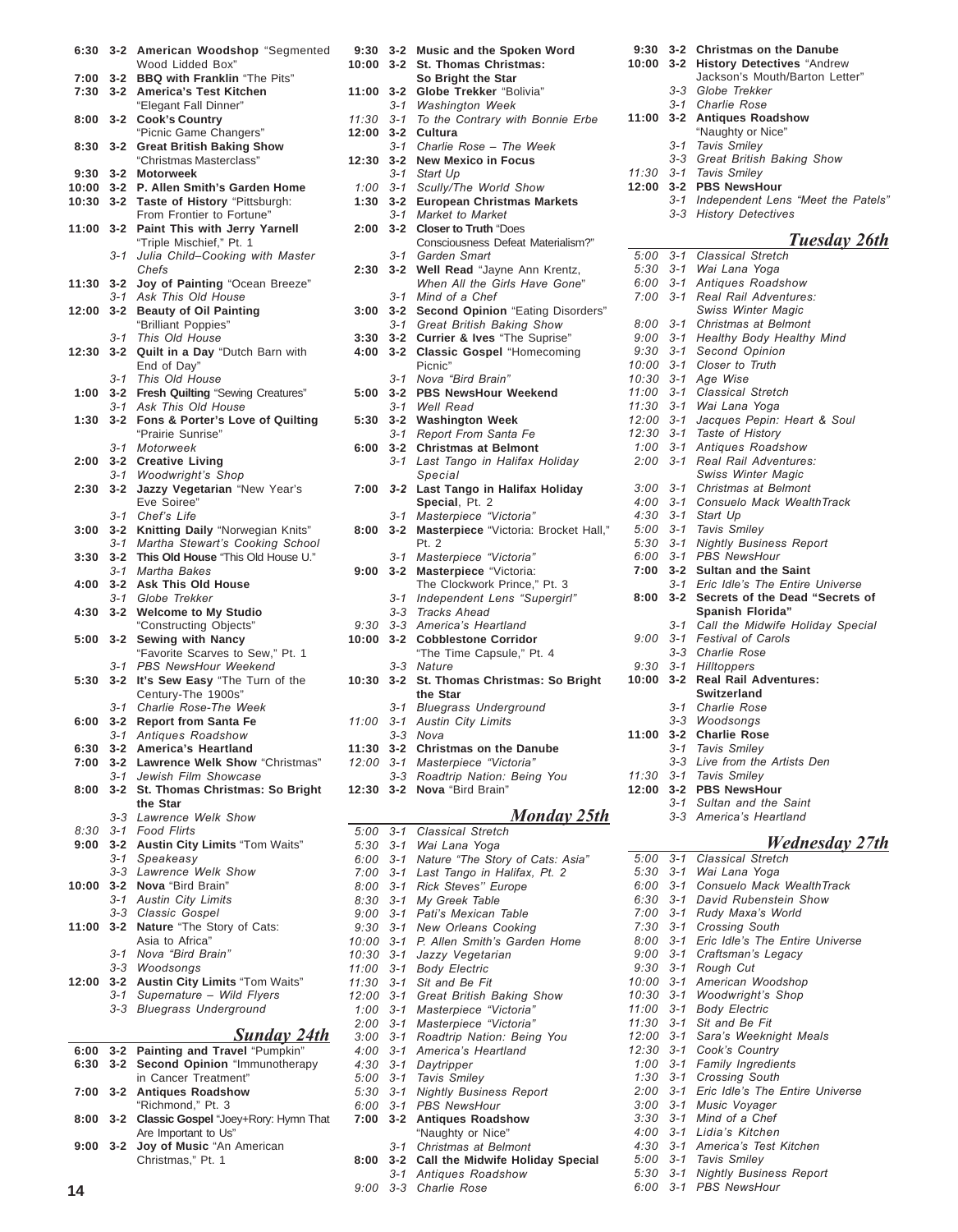| 6:30             | $3 - 2$            | American Woodshop "Segmented<br>Wood Lidded Box"             |
|------------------|--------------------|--------------------------------------------------------------|
| 7:00             | 3-2                | <b>BBQ with Franklin "The Pits"</b>                          |
| 7:30             | $3 - 2$            | America's Test Kitchen                                       |
|                  |                    | "Elegant Fall Dinner"                                        |
| 8:00             | 3-2                | <b>Cook's Country</b>                                        |
|                  |                    | "Picnic Game Changers"                                       |
| 8:30             | 3-2                | <b>Great British Baking Show</b>                             |
|                  |                    | "Christmas Masterclass"                                      |
| $9:30 \quad 3-2$ |                    | <b>Motorweek</b>                                             |
| 10:00            | $3 - 2$            | P. Allen Smith's Garden Home                                 |
| 10:30            | $3 - 2$            | Taste of History "Pittsburgh:                                |
|                  |                    | From Frontier to Fortune"<br>Paint This with Jerry Yarnell   |
| 11:00            | $3 - 2$            | "Triple Mischief," Pt. 1                                     |
|                  | 3-1                | Julia Child-Cooking with Master                              |
|                  |                    | Chefs                                                        |
| 11:30            | $3 - 2$            | Joy of Painting "Ocean Breeze"                               |
|                  | 3-1                | Ask This Old House                                           |
| 12:00            | $3 - 2$            | <b>Beauty of Oil Painting</b>                                |
|                  |                    | "Brilliant Poppies"                                          |
|                  | $3 - 1$            | This Old House                                               |
| 12:30            | $3 - 2$            | Quilt in a Day "Dutch Barn with                              |
|                  |                    | End of Day"                                                  |
|                  | 3-1                | This Old House                                               |
| 1:00             | $3 - 2$            | Fresh Quilting "Sewing Creatures"                            |
|                  | $3 - 1$            | Ask This Old House<br>Fons & Porter's Love of Quilting       |
| 1:30             | $3 - 2$            | "Prairie Sunrise"                                            |
|                  | $3 - 1$            | Motorweek                                                    |
| 2:00             | 3-2                | <b>Creative Living</b>                                       |
|                  | $3 - 1$            | Woodwright's Shop                                            |
| 2:30             | $3 - 2$            | Jazzy Vegetarian "New Year's                                 |
|                  |                    | Eve Soiree"                                                  |
|                  | 3-1                | Chef's Life                                                  |
| 3:00             | $3 - 2$            | Knitting Daily "Norwegian Knits"                             |
|                  | 3-1                | Martha Stewart's Cooking School                              |
| 3:30             | $3 - 2$            | This Old House "This Old House U."                           |
| 4:00             | 3-1<br>$3 - 2$     | Martha Bakes<br><b>Ask This Old House</b>                    |
|                  | 3-1                | Globe Trekker                                                |
| 4:30             | $3 - 2$            | <b>Welcome to My Studio</b>                                  |
|                  |                    | "Constructing Objects"                                       |
| 5:00             | $3 - 2$            | Sewing with Nancy                                            |
|                  |                    | "Favorite Scarves to Sew," Pt. 1                             |
|                  | $3 - 1$            | PBS NewsHour Weekend                                         |
| 5:30             | $3 - 2$            | It's Sew Easy "The Turn of the                               |
|                  |                    | Century-The 1900s"<br>Charlie Rose-The Week                  |
| 6:00             | 3-1<br>$3 - 2$     | <b>Report from Santa Fe</b>                                  |
|                  | 3-1                | Antiques Roadshow                                            |
| 6:30             | $3 - 2$            | America's Heartland                                          |
| 7:00             | $3 - 2$            | Lawrence Welk Show "Christmas"                               |
|                  |                    |                                                              |
|                  |                    | Jewish Film Showcase                                         |
| 8:00             | $3 - 1$<br>$3 - 2$ | St. Thomas Christmas: So Bright                              |
|                  |                    | the Star                                                     |
|                  | 3-3                | Lawrence Welk Show                                           |
| 8:30             |                    | 3-1 Food Flirts                                              |
| 9:00             | $3 - 2$            | <b>Austin City Limits "Tom Waits"</b>                        |
|                  | $3 - 1$            | Speakeasy                                                    |
|                  | 3-3                | Lawrence Welk Show                                           |
| 10:00            | $3 - 2$            | Nova "Bird Brain"                                            |
|                  | 3-1                | <b>Austin City Limits</b>                                    |
| 11:00            |                    | 3-3 Classic Gospel                                           |
|                  | $3 - 2$            | Nature "The Story of Cats:<br>Asia to Africa"                |
|                  | 3-1                | Nova "Bird Brain"                                            |
|                  | $3 - 3$            | Woodsongs                                                    |
| 12:00            |                    | 3-2 Austin City Limits "Tom Waits"                           |
|                  |                    | 3-1 Supernature - Wild Flyers                                |
|                  | 3-3                | <b>Bluegrass Underground</b>                                 |
|                  |                    |                                                              |
|                  |                    | <u>Sunday 24th</u>                                           |
| 6:00             | $3 - 2$            | Painting and Travel "Pumpkin"                                |
| 6:30             | $3 - 2$            | Second Opinion "Immunotherapy                                |
| 7:00             | 3-2                | in Cancer Treatment"<br><b>Antiques Roadshow</b>             |
|                  |                    | "Richmond," Pt. 3                                            |
| 8:00             | $3 - 2$            | Classic Gospel "Joey+Rory: Hymn That<br>Are Important to Us" |

| 11:00<br>$3 - 1$<br><b>Austin City Limits</b><br>$3 - 3$<br>Nova<br>11:30 3-2<br><b>Christmas on the Danube</b><br>Masterpiece "Victoria"<br>12:00 3-1<br>Roadtrip Nation: Being You<br>$3 - 3$<br>Nova "Bird Brain"<br>$3 - 2$<br>12:30<br><u>Monday 25th</u><br>$5:00$ $3-1$<br><b>Classical Stretch</b><br>$5:30$ $3-1$<br>Wai Lana Yoga<br>Nature "The Story of Cats: Asia"<br>$6:00$ $3-1$<br>Last Tango in Halifax, Pt. 2<br>7:00<br>$3 - 1$<br>Rick Steves" Europe<br>$3 - 1$<br>8:00<br>$8:30$ $3-1$<br>My Greek Table<br>$9:00$ $3-1$<br>Pati's Mexican Table<br><b>New Orleans Cooking</b><br>$9:30$ $3-1$<br>P. Allen Smith's Garden Home<br>10:00 3-1<br>10:30<br>$3 - 1$<br>Jazzy Vegetarian<br><b>Body Electric</b><br>11:00<br>$3 - 1$<br>$11:30$ $3-1$<br>Sit and Be Fit<br>$12:00$ $3-1$<br>Great British Baking Show<br>$1:00$ 3-1<br>Masterpiece "Victoria"<br>$3 - 1$<br>Masterpiece "Victoria"<br>2:00<br>3:00<br>Roadtrip Nation: Being You<br>$3 - 1$<br>$4:00$ 3-1<br>America's Heartland<br>$4:30$ $3-1$<br>Daytripper<br>$5:00$ $3-1$<br><b>Tavis Smiley</b><br><b>Nightly Business Report</b><br>5:30<br>$3 - 1$<br><b>PBS NewsHour</b><br>6:00<br>$3 - 1$<br><b>Antiques Roadshow</b><br>7:00<br>$3 - 2$<br>"Naughty or Nice"<br>$3 - 1$<br>Christmas at Belmont<br>$3 - 2$<br>Call the Midwife Holiday Special<br>8:00<br>$3 - 1$<br>Antiques Roadshow<br>$3 - 3$<br>Charlie Rose<br>9:00 | $3 - 1$ | <b>Bluegrass Underground</b> |
|------------------------------------------------------------------------------------------------------------------------------------------------------------------------------------------------------------------------------------------------------------------------------------------------------------------------------------------------------------------------------------------------------------------------------------------------------------------------------------------------------------------------------------------------------------------------------------------------------------------------------------------------------------------------------------------------------------------------------------------------------------------------------------------------------------------------------------------------------------------------------------------------------------------------------------------------------------------------------------------------------------------------------------------------------------------------------------------------------------------------------------------------------------------------------------------------------------------------------------------------------------------------------------------------------------------------------------------------------------------------------------------------------------------------|---------|------------------------------|
|                                                                                                                                                                                                                                                                                                                                                                                                                                                                                                                                                                                                                                                                                                                                                                                                                                                                                                                                                                                                                                                                                                                                                                                                                                                                                                                                                                                                                        |         |                              |
|                                                                                                                                                                                                                                                                                                                                                                                                                                                                                                                                                                                                                                                                                                                                                                                                                                                                                                                                                                                                                                                                                                                                                                                                                                                                                                                                                                                                                        |         |                              |
|                                                                                                                                                                                                                                                                                                                                                                                                                                                                                                                                                                                                                                                                                                                                                                                                                                                                                                                                                                                                                                                                                                                                                                                                                                                                                                                                                                                                                        |         |                              |
|                                                                                                                                                                                                                                                                                                                                                                                                                                                                                                                                                                                                                                                                                                                                                                                                                                                                                                                                                                                                                                                                                                                                                                                                                                                                                                                                                                                                                        |         |                              |
|                                                                                                                                                                                                                                                                                                                                                                                                                                                                                                                                                                                                                                                                                                                                                                                                                                                                                                                                                                                                                                                                                                                                                                                                                                                                                                                                                                                                                        |         |                              |
|                                                                                                                                                                                                                                                                                                                                                                                                                                                                                                                                                                                                                                                                                                                                                                                                                                                                                                                                                                                                                                                                                                                                                                                                                                                                                                                                                                                                                        |         |                              |
|                                                                                                                                                                                                                                                                                                                                                                                                                                                                                                                                                                                                                                                                                                                                                                                                                                                                                                                                                                                                                                                                                                                                                                                                                                                                                                                                                                                                                        |         |                              |
|                                                                                                                                                                                                                                                                                                                                                                                                                                                                                                                                                                                                                                                                                                                                                                                                                                                                                                                                                                                                                                                                                                                                                                                                                                                                                                                                                                                                                        |         |                              |
|                                                                                                                                                                                                                                                                                                                                                                                                                                                                                                                                                                                                                                                                                                                                                                                                                                                                                                                                                                                                                                                                                                                                                                                                                                                                                                                                                                                                                        |         |                              |
|                                                                                                                                                                                                                                                                                                                                                                                                                                                                                                                                                                                                                                                                                                                                                                                                                                                                                                                                                                                                                                                                                                                                                                                                                                                                                                                                                                                                                        |         |                              |
|                                                                                                                                                                                                                                                                                                                                                                                                                                                                                                                                                                                                                                                                                                                                                                                                                                                                                                                                                                                                                                                                                                                                                                                                                                                                                                                                                                                                                        |         |                              |
|                                                                                                                                                                                                                                                                                                                                                                                                                                                                                                                                                                                                                                                                                                                                                                                                                                                                                                                                                                                                                                                                                                                                                                                                                                                                                                                                                                                                                        |         |                              |
|                                                                                                                                                                                                                                                                                                                                                                                                                                                                                                                                                                                                                                                                                                                                                                                                                                                                                                                                                                                                                                                                                                                                                                                                                                                                                                                                                                                                                        |         |                              |
|                                                                                                                                                                                                                                                                                                                                                                                                                                                                                                                                                                                                                                                                                                                                                                                                                                                                                                                                                                                                                                                                                                                                                                                                                                                                                                                                                                                                                        |         |                              |
|                                                                                                                                                                                                                                                                                                                                                                                                                                                                                                                                                                                                                                                                                                                                                                                                                                                                                                                                                                                                                                                                                                                                                                                                                                                                                                                                                                                                                        |         |                              |
|                                                                                                                                                                                                                                                                                                                                                                                                                                                                                                                                                                                                                                                                                                                                                                                                                                                                                                                                                                                                                                                                                                                                                                                                                                                                                                                                                                                                                        |         |                              |
|                                                                                                                                                                                                                                                                                                                                                                                                                                                                                                                                                                                                                                                                                                                                                                                                                                                                                                                                                                                                                                                                                                                                                                                                                                                                                                                                                                                                                        |         |                              |
|                                                                                                                                                                                                                                                                                                                                                                                                                                                                                                                                                                                                                                                                                                                                                                                                                                                                                                                                                                                                                                                                                                                                                                                                                                                                                                                                                                                                                        |         |                              |
|                                                                                                                                                                                                                                                                                                                                                                                                                                                                                                                                                                                                                                                                                                                                                                                                                                                                                                                                                                                                                                                                                                                                                                                                                                                                                                                                                                                                                        |         |                              |
|                                                                                                                                                                                                                                                                                                                                                                                                                                                                                                                                                                                                                                                                                                                                                                                                                                                                                                                                                                                                                                                                                                                                                                                                                                                                                                                                                                                                                        |         |                              |
|                                                                                                                                                                                                                                                                                                                                                                                                                                                                                                                                                                                                                                                                                                                                                                                                                                                                                                                                                                                                                                                                                                                                                                                                                                                                                                                                                                                                                        |         |                              |
|                                                                                                                                                                                                                                                                                                                                                                                                                                                                                                                                                                                                                                                                                                                                                                                                                                                                                                                                                                                                                                                                                                                                                                                                                                                                                                                                                                                                                        |         |                              |
|                                                                                                                                                                                                                                                                                                                                                                                                                                                                                                                                                                                                                                                                                                                                                                                                                                                                                                                                                                                                                                                                                                                                                                                                                                                                                                                                                                                                                        |         |                              |
|                                                                                                                                                                                                                                                                                                                                                                                                                                                                                                                                                                                                                                                                                                                                                                                                                                                                                                                                                                                                                                                                                                                                                                                                                                                                                                                                                                                                                        |         |                              |
|                                                                                                                                                                                                                                                                                                                                                                                                                                                                                                                                                                                                                                                                                                                                                                                                                                                                                                                                                                                                                                                                                                                                                                                                                                                                                                                                                                                                                        |         |                              |
|                                                                                                                                                                                                                                                                                                                                                                                                                                                                                                                                                                                                                                                                                                                                                                                                                                                                                                                                                                                                                                                                                                                                                                                                                                                                                                                                                                                                                        |         |                              |
|                                                                                                                                                                                                                                                                                                                                                                                                                                                                                                                                                                                                                                                                                                                                                                                                                                                                                                                                                                                                                                                                                                                                                                                                                                                                                                                                                                                                                        |         |                              |
|                                                                                                                                                                                                                                                                                                                                                                                                                                                                                                                                                                                                                                                                                                                                                                                                                                                                                                                                                                                                                                                                                                                                                                                                                                                                                                                                                                                                                        |         |                              |
|                                                                                                                                                                                                                                                                                                                                                                                                                                                                                                                                                                                                                                                                                                                                                                                                                                                                                                                                                                                                                                                                                                                                                                                                                                                                                                                                                                                                                        |         |                              |
|                                                                                                                                                                                                                                                                                                                                                                                                                                                                                                                                                                                                                                                                                                                                                                                                                                                                                                                                                                                                                                                                                                                                                                                                                                                                                                                                                                                                                        |         |                              |
|                                                                                                                                                                                                                                                                                                                                                                                                                                                                                                                                                                                                                                                                                                                                                                                                                                                                                                                                                                                                                                                                                                                                                                                                                                                                                                                                                                                                                        |         |                              |
|                                                                                                                                                                                                                                                                                                                                                                                                                                                                                                                                                                                                                                                                                                                                                                                                                                                                                                                                                                                                                                                                                                                                                                                                                                                                                                                                                                                                                        |         |                              |
|                                                                                                                                                                                                                                                                                                                                                                                                                                                                                                                                                                                                                                                                                                                                                                                                                                                                                                                                                                                                                                                                                                                                                                                                                                                                                                                                                                                                                        |         |                              |
|                                                                                                                                                                                                                                                                                                                                                                                                                                                                                                                                                                                                                                                                                                                                                                                                                                                                                                                                                                                                                                                                                                                                                                                                                                                                                                                                                                                                                        |         |                              |
|                                                                                                                                                                                                                                                                                                                                                                                                                                                                                                                                                                                                                                                                                                                                                                                                                                                                                                                                                                                                                                                                                                                                                                                                                                                                                                                                                                                                                        |         |                              |
|                                                                                                                                                                                                                                                                                                                                                                                                                                                                                                                                                                                                                                                                                                                                                                                                                                                                                                                                                                                                                                                                                                                                                                                                                                                                                                                                                                                                                        |         |                              |
|                                                                                                                                                                                                                                                                                                                                                                                                                                                                                                                                                                                                                                                                                                                                                                                                                                                                                                                                                                                                                                                                                                                                                                                                                                                                                                                                                                                                                        |         |                              |
|                                                                                                                                                                                                                                                                                                                                                                                                                                                                                                                                                                                                                                                                                                                                                                                                                                                                                                                                                                                                                                                                                                                                                                                                                                                                                                                                                                                                                        |         |                              |
|                                                                                                                                                                                                                                                                                                                                                                                                                                                                                                                                                                                                                                                                                                                                                                                                                                                                                                                                                                                                                                                                                                                                                                                                                                                                                                                                                                                                                        |         |                              |

**9:30 3-2 Music and the Spoken Word 10:00 3-2 St. Thomas Christmas: So Bright the Star 11:00 3-2 Globe Trekker** "Bolivia" *3-1 Washington Week 11:30 3-1 To the Contrary with Bonnie Erbe*

3-1 Charlie Rose - The Week

**2:30 3-2 Well Read** "Jayne Ann Krentz,

**3:00 3-2 Second Opinion** "Eating Disorders" *3-1 Great British Baking Show* **3:30 3-2 Currier & Ives** "The Suprise" **4:00 3-2 Classic Gospel** "Homecoming

*3-1 Last Tango in Halifax Holiday*

The Clockwork Prince," Pt. 3 3-1 Independent Lens "Supergirl"

"The Time Capsule," Pt. 4

**10:30 3-2 St. Thomas Christmas: So Bright**

**7:00** *3-2* **Last Tango in Halifax Holiday Special**, Pt. 2 *3-1 Masterpiece ìVictoriaî* **8:00 3-2 Masterpiece** "Victoria: Brocket Hall,"

*3-1 Masterpiece ìVictoriaî* **9:00 3-2 Masterpiece** "Victoria:

Consciousness Defeat Materialism?"

*When All the Girls Have Gone*"

**12:30 3-2 New Mexico in Focus** *3-1 Start Up*

*3-1 Garden Smart*

*3-1 Mind of a Chef*

Picnic" 3-1 Nova "Bird Brain" **5:00 3-2 PBS NewsHour Weekend** *3-1 Well Read* **5:30 3-2 Washington Week** *3-1 Report From Santa Fe* **6:00 3-2 Christmas at Belmont**

*Special*

Pt. 2

*3-3 Tracks Ahead 9:30 3-3 Americaís Heartland* **10:00 3-2 Cobblestone Corridor**

**the Star**

*3-3 Nature*

*1:00 3-1 Scully/The World Show* **1:30 3-2 European Christmas Markets** *3-1 Market to Market* **2:00 3-2 Closer to Truth** "Does

**12:00 3-2 Cultura**

| 9:30<br>10:00 | $3 - 2$<br>$3 - 2$ | <b>Christmas on the Danube</b><br><b>History Detectives "Andrew</b><br>Jackson's Mouth/Barton Letter" |
|---------------|--------------------|-------------------------------------------------------------------------------------------------------|
|               | 3-3                | Globe Trekker                                                                                         |
|               | $3 - 1$            | Charlie Rose                                                                                          |
| 11:00         | $3 - 2$            | <b>Antiques Roadshow</b>                                                                              |
|               |                    |                                                                                                       |
|               |                    | "Naughty or Nice"                                                                                     |
|               | 3-1<br>$3 - 3$     | Tavis Smiley                                                                                          |
| 11:30         | $3 - 1$            | Great British Baking Show<br><b>Tavis Smiley</b>                                                      |
| 12:00         | $3 - 2$            | <b>PBS NewsHour</b>                                                                                   |
|               | $3 - 1$            | Independent Lens "Meet the Patels"                                                                    |
|               | $3 - 3$            | <b>History Detectives</b>                                                                             |
|               |                    |                                                                                                       |
|               |                    | <b>Tuesday 26th</b>                                                                                   |
| 5:00          | $3 - 1$            | <b>Classical Stretch</b>                                                                              |
| 5:30          | $3 - 1$            | Wai Lana Yoga                                                                                         |
| 6:00          | $3 - 1$            | Antiques Roadshow                                                                                     |
| 7:00          | $3 - 1$            | Real Rail Adventures:                                                                                 |
|               |                    | <b>Swiss Winter Magic</b>                                                                             |
| 8:00          | $3 - 1$            | Christmas at Belmont                                                                                  |
| 9:00          | $3 - 1$            | Healthy Body Healthy Mind                                                                             |
| 9:30          | $3 - 1$            | Second Opinion                                                                                        |
| 10:00         | $3 - 1$            | Closer to Truth                                                                                       |
| 10:30         | $3 - 1$            | Age Wise                                                                                              |
| 11:00         | $3 - 1$            | <b>Classical Stretch</b>                                                                              |
| 11:30         | $3 - 1$            | Wai Lana Yoga                                                                                         |
| 12:00         | $3 - 1$            | Jacques Pepin: Heart & Soul                                                                           |
| 12:30         | $3 - 1$            | Taste of History                                                                                      |
| 1:00          | $3 - 1$            | <b>Antiques Roadshow</b>                                                                              |
| 2:00          | $3 - 1$            | Real Rail Adventures:                                                                                 |
|               |                    | Swiss Winter Magic                                                                                    |
| 3:00          | $3 - 1$            | Christmas at Belmont                                                                                  |
| 4:00          | $3 - 1$            | Consuelo Mack WealthTrack                                                                             |
| 4:30          | $3 - 1$            | Start Up                                                                                              |
| 5:00          | $3 - 1$            | Tavis Smiley                                                                                          |
| 5:30          | $3 - 1$            | <b>Nightly Business Report</b>                                                                        |
| 6:00          | $3 - 1$            | <b>PBS NewsHour</b>                                                                                   |
| 7:00          | $3 - 2$            | <b>Sultan and the Saint</b>                                                                           |
|               | $3 - 1$            | Eric Idle's The Entire Universe                                                                       |
| 8:00          | $3 - 2$            | Secrets of the Dead "Secrets of                                                                       |
|               | 3-1                | Spanish Florida"                                                                                      |
|               | $3 - 1$            | Call the Midwife Holiday Special<br><b>Festival of Carols</b>                                         |
| 9:00          |                    |                                                                                                       |
| 9:30          | $3 - 3$<br>$3 - 1$ | Charlie Rose                                                                                          |
|               |                    | Hilltoppers                                                                                           |
| 10:00         | $3 - 2$            | <b>Real Rail Adventures:</b><br>Switzerland                                                           |
|               |                    |                                                                                                       |
|               |                    | 3-1 Charlie Rose<br>3-3 Woodsongs                                                                     |
| 11:00         | $3 - 2$            | <b>Charlie Rose</b>                                                                                   |
|               | $3 - 1$            | Tavis Smiley                                                                                          |
|               | $3 - 3$            |                                                                                                       |
| 11:30         | $3 - 1$            | Live from the Artists Den<br>Tavis Smiley                                                             |
|               |                    |                                                                                                       |

*3-1 Sultan and the Saint 3-3 Americaís Heartland*

**12:00 3-2 PBS NewsHour**

J.

# *Wednesday 27th*

|              | weanesaay 27.                            |
|--------------|------------------------------------------|
| $5:00$ $3-1$ | Classical Stretch                        |
|              | 5:30 3-1 Wai Lana Yoga                   |
| $6:00$ 3-1   | Consuelo Mack WealthTrack                |
| $6:30$ $3-1$ | David Rubenstein Show                    |
| $7:00$ 3-1   | Rudy Maxa's World                        |
| $7:30$ $3-1$ | <b>Crossing South</b>                    |
|              | 8:00 3-1 Eric Idle's The Entire Universe |
|              | 9:00 3-1 Craftsman's Legacy              |
|              | 9:30 3-1 Rough Cut                       |
|              | 10:00 3-1 American Woodshop              |
|              | 10:30 3-1 Woodwright's Shop              |
|              | 11:00 3-1 Body Electric                  |
|              | 11:30 3-1 Sit and Be Fit                 |
|              | 12:00 3-1 Sara's Weeknight Meals         |
|              | 12:30 3-1 Cook's Country                 |
| $1:00$ 3-1   | <b>Family Ingredients</b>                |
| $1:30$ $3-1$ | <b>Crossing South</b>                    |
|              | 2:00 3-1 Eric Idle's The Entire Universe |
|              | 3:00 3-1 Music Voyager                   |
|              | $3:30$ $3-1$ Mind of a Chef              |
|              | 4:00 3-1 Lidia's Kitchen                 |
|              | 4:30 3-1 America's Test Kitchen          |
|              | 5:00 3-1 Tavis Smiley                    |
|              | 5:30 3-1 Nightly Business Report         |
|              | 6:00 3-1 PBS NewsHour                    |

**9:00 3-2 Joy of Music** "An American Christmas," Pt. 1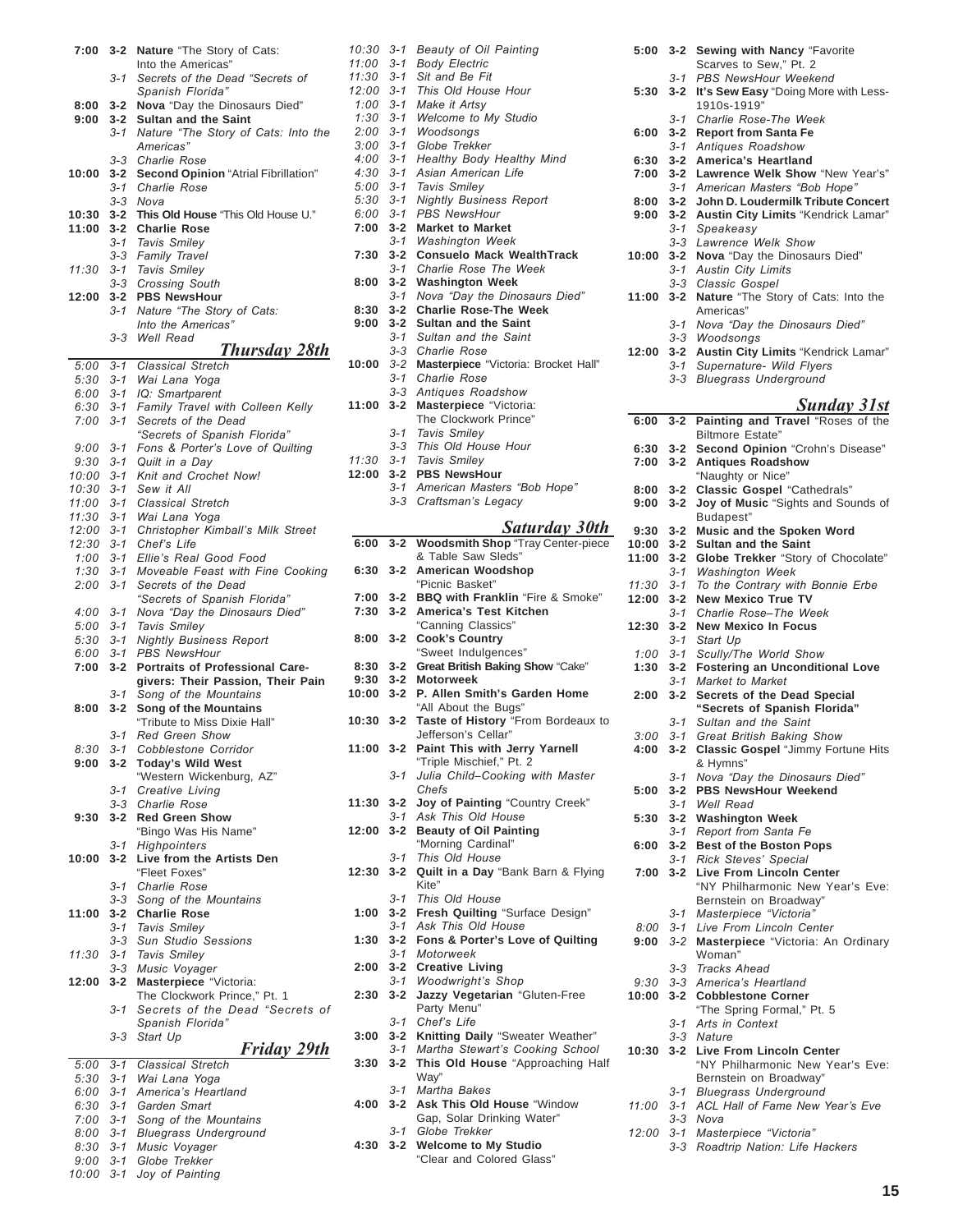|                      |                  | Into the Americas"                                                     |
|----------------------|------------------|------------------------------------------------------------------------|
|                      | 3-1              | Secrets of the Dead "Secrets of                                        |
|                      |                  | Spanish Florida"                                                       |
| 8:00                 | $3 - 2$          | Nova "Day the Dinosaurs Died"                                          |
| 9:00                 | $3 - 2$          | <b>Sultan and the Saint</b>                                            |
|                      | 3-1              | Nature "The Story of Cats: Into the                                    |
|                      |                  | Americas"<br><b>Charlie Rose</b>                                       |
| 10:00                | 3-3<br>$3 - 2$   | Second Opinion "Atrial Fibrillation"                                   |
|                      | 3-1              | <b>Charlie Rose</b>                                                    |
|                      | $3 - 3$          | Nova                                                                   |
| 10:30                | 3-2              | This Old House "This Old House U."                                     |
| 11:00                | $3 - 2$          | <b>Charlie Rose</b>                                                    |
|                      | 3-1              | <b>Tavis Smiley</b>                                                    |
|                      | $3 - 3$          | Family Travel                                                          |
| 11:30                | $3 - 1$          | Tavis Smiley                                                           |
|                      | $3 - 3$          | <b>Crossing South</b>                                                  |
| 12:00                | 3-2              | <b>PBS NewsHour</b>                                                    |
|                      | 3-1              | Nature "The Story of Cats:                                             |
|                      |                  | Into the Americas"                                                     |
|                      | 3-3              | <b>Well Read</b>                                                       |
|                      | $3 - 1$          | Thursday 28th<br><b>Classical Stretch</b>                              |
| 5:00<br>5:30         | $3 - 1$          | Wai Lana Yoga                                                          |
| $6:00$ $3-1$         |                  | IQ: Smartparent                                                        |
| 6:30                 | $3 - 1$          | Family Travel with Colleen Kelly                                       |
| 7:00                 | $3 - 1$          | Secrets of the Dead                                                    |
|                      |                  | "Secrets of Spanish Florida"                                           |
| $9:00$ $3-1$         |                  | Fons & Porter's Love of Quilting                                       |
| 9:30                 | 3-1              | Quilt in a Day                                                         |
| $10:00$ $3-1$        |                  | Knit and Crochet Now!                                                  |
| 10:30                | $3 - 1$          | Sew it All                                                             |
| 11:00                | $3 - 1$          | <b>Classical Stretch</b>                                               |
| 11:30                | $3 - 1$          | Wai Lana Yoga                                                          |
| 12:00 3-1            |                  | Christopher Kimball's Milk Street                                      |
| 12:30                | $3 - 1$          | Chef's Life                                                            |
| $1:00$ 3-1<br>1:30   | $3 - 1$          | Ellie's Real Good Food<br>Moveable Feast with Fine Cooking             |
| 2:00                 | $3 - 1$          | Secrets of the Dead                                                    |
|                      |                  | "Secrets of Spanish Florida"                                           |
| $4:00$ 3-1           |                  | Nova "Day the Dinosaurs Died"                                          |
| 5:00                 | $3 - 1$          | <b>Tavis Smiley</b>                                                    |
| 5:30                 | $3 - 1$          | <b>Nightly Business Report</b>                                         |
| 6:00                 | 3-1              | <b>PBS NewsHour</b>                                                    |
| 7:00                 | $3 - 2$          | Portraits of Professional Care-                                        |
|                      |                  | givers: Their Passion, Their Pain                                      |
| 8:00                 | $3 - 1$<br>$3-2$ | Song of the Mountains<br>Song of the Mountains                         |
|                      |                  | "Tribute to Miss Dixie Hall"                                           |
|                      | 3-1              | <b>Red Green Show</b>                                                  |
| 8:30                 | $3 - 1$          | Cobblestone Corridor                                                   |
| 9:00                 | $3 - 2$          | <b>Today's Wild West</b>                                               |
|                      |                  | "Western Wickenburg, AZ"                                               |
|                      | $3 - 1$          | Creative Living                                                        |
|                      | 3-3              | <b>Charlie Rose</b>                                                    |
| 9:30                 | $3 - 2$          | <b>Red Green Show</b>                                                  |
|                      |                  | "Bingo Was His Name"                                                   |
| 10:00                | 3-1<br>$3 - 2$   | Highpointers<br>Live from the Artists Den                              |
|                      |                  | "Fleet Foxes"                                                          |
|                      | $3 - 1$          | Charlie Rose                                                           |
|                      | $3 - 3$          | Song of the Mountains                                                  |
| 11:00                | $3 - 2$          | <b>Charlie Rose</b>                                                    |
|                      | $3 - 1$          | <b>Tavis Smiley</b>                                                    |
|                      | $3 - 3$          | <b>Sun Studio Sessions</b>                                             |
| 11:30                | $3 - 1$          | Tavis Smiley                                                           |
|                      | 3-3              | Music Voyager                                                          |
| 12:00                | $3 - 2$          | Masterpiece "Victoria:                                                 |
|                      |                  | The Clockwork Prince," Pt. 1                                           |
|                      | $3 - 1$          | Secrets of the Dead "Secrets of<br>Spanish Florida"                    |
|                      | $3 - 3$          | Start Up                                                               |
|                      |                  | Friday 29th                                                            |
| 5:00                 | $3 - 1$          | <b>Classical Stretch</b>                                               |
| 5:30 3-1             |                  | Wai Lana Yoga                                                          |
|                      |                  | America's Heartland<br>6:00 3-1 America's Hea<br>6:30 3-1 Garden Smart |
|                      |                  |                                                                        |
| 7:00 3-1<br>8:00 3-1 |                  | Song of the Mountains                                                  |
|                      |                  | <b>Bluegrass Underground</b>                                           |
|                      |                  | 8:30 3-1 Music Voyager                                                 |

*9:00 3-1 Globe Trekker 10:00 3-1 Joy of Painting*

**7:00 3-2 Nature** "The Story of Cats:

|  | Gap, Solar Drinking Water"<br>3-1 Globe Trekker            |
|--|------------------------------------------------------------|
|  | 4:30 3-2 Welcome to My Studio<br>"Clear and Colored Glass" |

*10:30 3-1 Beauty of Oil Painting 11:00 3-1 Body Electric 11:30 3-1 Sit and Be Fit 12:00 3-1 This Old House Hour 1:00 3-1 Make it Artsy*

*1:30 3-1 Welcome to My Studio*

*4:00 3-1 Healthy Body Healthy Mind 4:30 3-1 Asian American Life 5:00 3-1 Tavis Smiley*

3-1 Nova "Day the Dinosaurs Died"

**10:00** *3-2* **Masterpiece** "Victoria: Brocket Hall"

The Clockwork Prince"

3-1 American Masters "Bob Hope" *3-3 Craftsmanís Legacy*

**6:00 3-2 Woodsmith Shop** "Tray Center-piece & Table Saw Sleds" **6:30 3-2 American Woodshop** "Picnic Basket" **7:00 3-2 BBQ with Franklin** "Fire & Smoke" **7:30 3-2 America's Test Kitchen** "Canning Classics"

"Sweet Indulgences" **8:30 3-2 Great British Baking Show** "Cake"

**10:00 3-2 P. Allen Smith's Garden Home** "All About the Bugs" **10:30 3-2 Taste of History** "From Bordeaux to Jefferson's Cellar" **11:00 3-2 Paint This with Jerry Yarnell** "Triple Mischief," Pt. 2 3-1 Julia Child-Cooking with Master

**11:30 3-2 Joy of Painting** "Country Creek" *3-1 Ask This Old House* **12:00 3-2 Beauty of Oil Painting** "Morning Cardinal" *3-1 This Old House*

**12:30 3-2 Quilt in a Day** "Bank Barn & Flying

**1:00 3-2 Fresh Quilting** "Surface Design" *3-1 Ask This Old House* **1:30 3-2 Fons & Porter's Love of Quilting**

**3:00 3-2 Knitting Daily** "Sweater Weather" *3-1 Martha Stewartís Cooking School* **3:30 3-2 This Old House** "Approaching Half

*Saturday 30th*

*5:30 3-1 Nightly Business Report 6:00 3-1 PBS NewsHour* **7:00 3-2 Market to Market** *3-1 Washington Week* **7:30 3-2 Consuelo Mack WealthTrack** *3-1 Charlie Rose The Week*

**8:00 3-2 Washington Week**

*3-1 Charlie Rose 3-3 Antiques Roadshow* **11:00 3-2 Masterpiece** "Victoria:

> *3-1 Tavis Smiley 3-3 This Old House Hour*

**8:00 3-2 Cook's Country**

*Chefs*

Kite" *3-1 This Old House*

*3-1 Motorweek* **2:00 3-2 Creative Living** 3-1 Woodwright's Shop **2:30 3-2 Jazzy Vegetarian** "Gluten-Free Party Menu" *3-1 Chefís Life*

Way" *3-1 Martha Bakes* **4:00 3-2 Ask This Old House** "Window

**9:30 3-2 Motorweek**

*11:30 3-1 Tavis Smiley* **12:00 3-2 PBS NewsHour**

**8:30 3-2 Charlie Rose-The Week 9:00 3-2 Sultan and the Saint** *3-1 Sultan and the Saint 3-3 Charlie Rose*

*2:00 3-1 Woodsongs 3:00 3-1 Globe Trekker*

|                    |                    | ,,,,,,,<br><br>Scarves to Sew," Pt. 2                  |
|--------------------|--------------------|--------------------------------------------------------|
|                    |                    | 3-1 PBS NewsHour Weekend                               |
| 5:30               | $3 - 2$            | It's Sew Easy "Doing More with Less-                   |
|                    |                    | 1910s-1919"                                            |
|                    | 3-1                | Charlie Rose-The Week                                  |
| 6:00               | $3 - 2$            | <b>Report from Santa Fe</b>                            |
|                    | $3 - 1$            | Antiques Roadshow<br><b>America's Heartland</b>        |
| 6:30<br>7:00       | $3 - 2$<br>$3 - 2$ | Lawrence Welk Show "New Year's"                        |
|                    | 3-1                | American Masters "Bob Hope"                            |
| 8:00               | $3 - 2$            | John D. Loudermilk Tribute Concert                     |
| 9:00               | $3 - 2$            | Austin City Limits "Kendrick Lamar"                    |
|                    | 3-1                | Speakeasy                                              |
|                    | 3-3                | Lawrence Welk Show                                     |
| 10:00              | $3 - 2$            | Nova "Day the Dinosaurs Died"                          |
|                    | $3 - 1$            | <b>Austin City Limits</b>                              |
|                    | 3-3                | Classic Gospel                                         |
| 11:00              | $3 - 2$            | Nature "The Story of Cats: Into the                    |
|                    | $3 - 1$            | Americas"<br>Nova "Day the Dinosaurs Died"             |
|                    |                    | 3-3 Woodsongs                                          |
| 12:00              |                    | 3-2 Austin City Limits "Kendrick Lamar"                |
|                    | 3-1                | Supernature- Wild Flyers                               |
|                    | $3 - 3$            | <b>Bluegrass Underground</b>                           |
|                    |                    |                                                        |
|                    |                    | <b>Sunday 31st</b>                                     |
| 6:00               | $3 - 2$            | Painting and Travel "Roses of the                      |
|                    |                    | <b>Biltmore Estate"</b>                                |
| 6:30               | $3 - 2$            | Second Opinion "Crohn's Disease"                       |
| 7:00               | $3 - 2$            | <b>Antiques Roadshow</b>                               |
|                    |                    | "Naughty or Nice"                                      |
| 8:00               | $3 - 2$            | <b>Classic Gospel "Cathedrals"</b>                     |
| 9:00               | $3 - 2$            | Joy of Music "Sights and Sounds of                     |
| 9:30               | $3 - 2$            | Budapest"<br>Music and the Spoken Word                 |
| 10:00              | $3 - 2$            | <b>Sultan and the Saint</b>                            |
| 11:00              | $3 - 2$            | Globe Trekker "Story of Chocolate"                     |
|                    | 3-1                | <b>Washington Week</b>                                 |
| 11:30              | $3 - 1$            | To the Contrary with Bonnie Erbe                       |
|                    |                    |                                                        |
| 12:00              | $3 - 2$            | <b>New Mexico True TV</b>                              |
|                    | 3-1                | Charlie Rose-The Week                                  |
| 12:30              | $3 - 2$            | <b>New Mexico In Focus</b>                             |
|                    | $3 - 1$            | Start Up                                               |
| 1:00               | $3 - 1$            | Scully/The World Show                                  |
| 1:30               | $3 - 2$            | <b>Fostering an Unconditional Love</b>                 |
|                    | 3-1                | Market to Market                                       |
| 2:00               | $3 - 2$            | Secrets of the Dead Special                            |
|                    |                    | "Secrets of Spanish Florida"                           |
|                    | $3 - 1$<br>$3 - 1$ | Sultan and the Saint                                   |
| 3:00<br>$4:00$ 3-2 |                    | Great British Baking Show                              |
|                    |                    | <b>Classic Gospel "Jimmy Fortune Hits</b><br>& Hymns"  |
|                    | 3-1                | Nova "Day the Dinosaurs Died"                          |
| 5:00               | 3-2                | <b>PBS NewsHour Weekend</b>                            |
|                    |                    | 3-1 Well Read                                          |
| 5:30               | $3 - 2$            | <b>Washington Week</b>                                 |
|                    | $3 - 1$            | Report from Santa Fe                                   |
| 6:00               | $3 - 2$            | <b>Best of the Boston Pops</b>                         |
|                    |                    | 3-1 Rick Steves' Special                               |
| 7:00               | $3 - 2$            | <b>Live From Lincoln Center</b>                        |
|                    |                    | "NY Philharmonic New Year's Eve:                       |
|                    |                    | Bernstein on Broadway"                                 |
| 8:00               | $3 - 1$<br>$3 - 1$ | Masterpiece "Victoria"<br>Live From Lincoln Center     |
| 9:00               | $3 - 2$            | Masterpiece "Victoria: An Ordinary                     |
|                    |                    | Woman"                                                 |
|                    | $3 - 3$            | <b>Tracks Ahead</b>                                    |
| 9:30               | $3 - 3$            | America's Heartland                                    |
| 10:00              | $3 - 2$            | <b>Cobblestone Corner</b>                              |
|                    |                    | "The Spring Formal," Pt. 5                             |
|                    | 3-1                | Arts in Context                                        |
|                    | 3-3                | Nature                                                 |
| 10:30              | $3 - 2$            | <b>Live From Lincoln Center</b>                        |
|                    |                    | "NY Philharmonic New Year's Eve:                       |
|                    | 3-1                | Bernstein on Broadway"<br><b>Bluegrass Underground</b> |
| 11:00              |                    | 3-1 ACL Hall of Fame New Year's Eve                    |
|                    | 3-3                | Nova<br>12:00 3-1 Masterpiece "Victoria"               |

**5:00 3-2 Sewing with Nancy** "Favorite

*3-3 Roadtrip Nation: Life Hackers*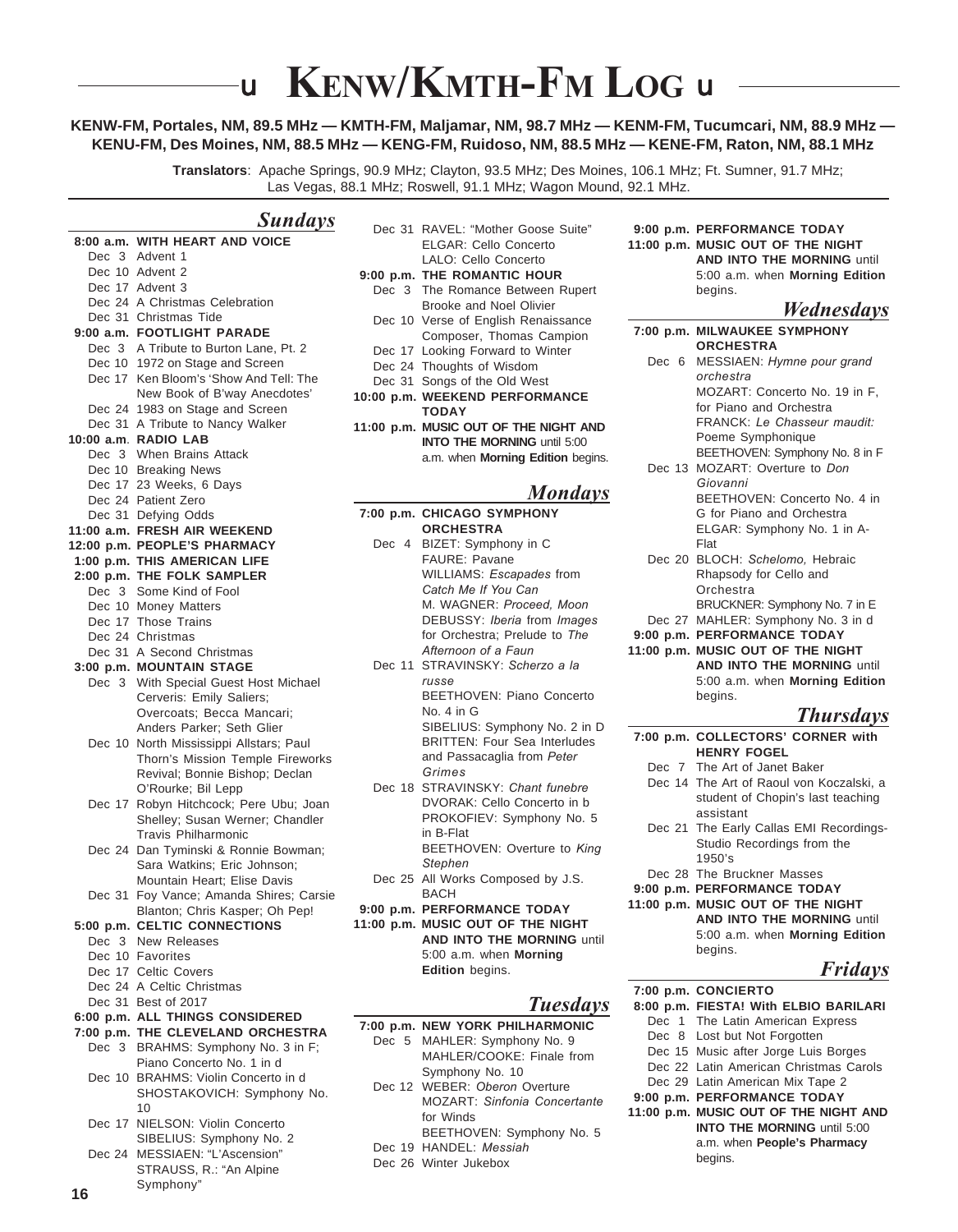# **KENW/KMTH-FM LOG u**

### **KENW-FM, Portales, NM, 89.5 MHz — KMTH-FM, Maljamar, NM, 98.7 MHz — KENM-FM, Tucumcari, NM, 88.9 MHz — KENU-FM, Des Moines, NM, 88.5 MHz — KENG-FM, Ruidoso, NM, 88.5 MHz — KENE-FM, Raton, NM, 88.1 MHz**

**Translators**: Apache Springs, 90.9 MHz; Clayton, 93.5 MHz; Des Moines, 106.1 MHz; Ft. Sumner, 91.7 MHz; Las Vegas, 88.1 MHz; Roswell, 91.1 MHz; Wagon Mound, 92.1 MHz.

### *Sundays*

Ū

|        | 8:00 a.m. WITH HEART AND VOICE                                    |
|--------|-------------------------------------------------------------------|
|        | Dec 3 Advent 1                                                    |
|        | Dec 10 Advent 2                                                   |
|        | Dec 17 Advent 3                                                   |
|        | Dec 24 A Christmas Celebration                                    |
|        | Dec 31 Christmas Tide                                             |
|        | 9:00 a.m. FOOTLIGHT PARADE                                        |
|        | Dec 3 A Tribute to Burton Lane, Pt. 2                             |
|        | Dec 10 1972 on Stage and Screen                                   |
|        | Dec 17 Ken Bloom's 'Show And Tell: The                            |
|        | New Book of B'way Anecdotes'                                      |
|        | Dec 24 1983 on Stage and Screen                                   |
|        | Dec 31 A Tribute to Nancy Walker                                  |
|        | 10:00 a.m. RADIO LAB                                              |
|        | Dec 3 When Brains Attack<br>Dec 10 Breaking News                  |
|        |                                                                   |
|        | Dec 17 23 Weeks, 6 Days<br>Dec 24 Patient Zero                    |
|        | Dec 31 Defying Odds                                               |
|        | 11:00 a.m. FRESH AIR WEEKEND                                      |
|        | 12:00 p.m. PEOPLE'S PHARMACY                                      |
|        | 1:00 p.m. THIS AMERICAN LIFE                                      |
|        | 2:00 p.m. THE FOLK SAMPLER                                        |
| Dec 3  | Some Kind of Fool                                                 |
|        | Dec 10 Money Matters                                              |
|        | Dec 17 Those Trains                                               |
|        | Dec 24 Christmas                                                  |
|        | Dec 31 A Second Christmas                                         |
|        | 3:00 p.m. MOUNTAIN STAGE                                          |
| Dec 3  | With Special Guest Host Michael                                   |
|        | Cerveris: Emily Saliers;                                          |
|        | Overcoats; Becca Mancari;                                         |
|        | Anders Parker; Seth Glier                                         |
|        | Dec 10 North Mississippi Allstars; Paul                           |
|        | Thorn's Mission Temple Fireworks                                  |
|        | Revival; Bonnie Bishop; Declan                                    |
|        | O'Rourke; Bil Lepp                                                |
|        | Dec 17 Robyn Hitchcock; Pere Ubu; Joan                            |
|        | Shelley; Susan Werner; Chandler                                   |
|        | <b>Travis Philharmonic</b>                                        |
| Dec 24 | Dan Tyminski & Ronnie Bowman;                                     |
|        | Sara Watkins; Eric Johnson;                                       |
|        | Mountain Heart; Elise Davis                                       |
| Dec 31 | Foy Vance; Amanda Shires; Carsie                                  |
|        | Blanton; Chris Kasper; Oh Pep!                                    |
|        | 5:00 p.m. CELTIC CONNECTIONS                                      |
|        | Dec 3 New Releases                                                |
|        | Dec 10 Favorites                                                  |
|        | Dec 17 Celtic Covers                                              |
|        | Dec 24 A Celtic Christmas<br>Dec 31 Best of 2017                  |
|        | 6:00 p.m. ALL THINGS CONSIDERED                                   |
|        |                                                                   |
| Dec 3  | 7:00 p.m. THE CLEVELAND ORCHESTRA<br>BRAHMS: Symphony No. 3 in F; |
|        | Piano Concerto No. 1 in d                                         |
|        | Dec 10 BRAHMS: Violin Concerto in d                               |
|        | SHOSTAKOVICH: Symphony No.                                        |
|        | 10                                                                |
|        | Dec 17 NIELSON: Violin Concerto                                   |
|        | SIBELIUS: Symphony No. 2                                          |
|        | Dec 24 MESSIAEN: "L'Ascension"                                    |
|        | STRAUSS, R.: "An Alpine                                           |
|        | Symphony"                                                         |
| 16     |                                                                   |

|        | Dec 31 RAVEL: "Mother Goose Suite"<br>ELGAR: Cello Concerto<br>LALO: Cello Concerto |
|--------|-------------------------------------------------------------------------------------|
|        | 9:00 p.m. THE ROMANTIC HOUR                                                         |
| Dec 3  | The Romance Between Rupert                                                          |
|        | Brooke and Noel Olivier                                                             |
|        | Dec 10 Verse of English Renaissance                                                 |
|        | Composer, Thomas Campion                                                            |
|        | Dec 17 Looking Forward to Winter                                                    |
|        | Dec 24 Thoughts of Wisdom                                                           |
| Dec 31 | Songs of the Old West                                                               |
|        | 10:00 p.m. WEEKEND PERFORMANCE                                                      |
|        | <b>TODAY</b>                                                                        |
|        | 11:00 p.m. MUSIC OUT OF THE NIGHT AND                                               |
|        | <b>INTO THE MORNING until 5:00</b>                                                  |
|        | a.m. when Morning Edition begins.                                                   |
|        |                                                                                     |
|        |                                                                                     |
|        | <b>Mondays</b>                                                                      |
|        | 7:00 p.m. CHICAGO SYMPHONY                                                          |
|        | <b>ORCHESTRA</b>                                                                    |
|        | Dec 4 BIZET: Symphony in C                                                          |
|        | <b>FAURE: Pavane</b>                                                                |
|        | WILLIAMS: <i>Escapades</i> from                                                     |
|        | Catch Me If You Can                                                                 |
|        | M. WAGNER: Proceed, Moon                                                            |
|        | DEBUSSY: Iberia from Images                                                         |
|        | for Orchestra: Prelude to The                                                       |
|        | Afternoon of a Faun                                                                 |
|        | Dec 11 STRAVINSKY: Scherzo a la                                                     |
|        | russe                                                                               |

No. 4 in G SIBELIUS: Symphony No. 2 in D BRITTEN: Four Sea Interludes and Passacaglia from *Peter*

*Grimes* Dec 18 STRAVINSKY: *Chant funebre* DVORAK: Cello Concerto in b PROKOFIEV: Symphony No. 5 in B-Flat

BEETHOVEN: Overture to *King Stephen*

- Dec 25 All Works Composed by J.S. BACH
- **9:00 p.m. PERFORMANCE TODAY**
- **11:00 p.m. MUSIC OUT OF THE NIGHT AND INTO THE MORNING** until 5:00 a.m. when **Morning Edition** begins.

### *Tuesdays*

- **7:00 p.m. NEW YORK PHILHARMONIC**
	- Dec 5 MAHLER: Symphony No. 9 MAHLER/COOKE: Finale from Symphony No. 10
	- Dec 12 WEBER: *Oberon* Overture MOZART: *Sinfonia Concertante* for Winds
	- BEETHOVEN: Symphony No. 5 Dec 19 HANDEL: *Messiah*
	-
	- Dec 26 Winter Jukebox

**9:00 p.m. PERFORMANCE TODAY 11:00 p.m. MUSIC OUT OF THE NIGHT AND INTO THE MORNING** until 5:00 a.m. when **Morning Edition** begins.

### *Wednesdays*

| $   -$                             |
|------------------------------------|
| 7:00 p.m. MILWAUKEE SYMPHONY       |
| <b>ORCHESTRA</b>                   |
| Dec 6 MESSIAEN: Hymne pour grand   |
| orchestra                          |
| MOZART: Concerto No. 19 in F.      |
| for Piano and Orchestra            |
| FRANCK: Le Chasseur maudit:        |
| Poeme Symphonique                  |
| BEETHOVEN: Symphony No. 8 in F     |
| Dec 13 MOZART: Overture to Don     |
| Giovanni                           |
| BEETHOVEN: Concerto No. 4 in       |
| G for Piano and Orchestra          |
| ELGAR: Symphony No. 1 in A-        |
| Flat                               |
| Dec 20 BLOCH: Schelomo, Hebraic    |
| Rhapsody for Cello and             |
| Orchestra                          |
| BRUCKNER: Symphony No. 7 in E      |
| Dec 27 MAHLER: Symphony No. 3 in d |
| 9:00 p.m. PERFORMANCE TODAY        |
| 11:00 p.m. MUSIC OUT OF THE NIGHT  |
| <b>AND INTO THE MORNING until</b>  |
| 5:00 a.m. when Morning Edition     |
| begins.                            |
| <b>Thursdays</b>                   |
| 7:00 p.m. COLLECTORS' CORNER with  |

- **HENRY FOGEL** Dec 7 The Art of Janet Baker
- Dec 14 The Art of Raoul von Koczalski, a student of Chopin's last teaching assistant
- Dec 21 The Early Callas EMI Recordings-Studio Recordings from the 1950's
- Dec 28 The Bruckner Masses
- **9:00 p.m. PERFORMANCE TODAY**
- **11:00 p.m. MUSIC OUT OF THE NIGHT AND INTO THE MORNING** until 5:00 a.m. when **Morning Edition** begins.

### *Fridays*

**7:00 p.m. CONCIERTO 8:00 p.m. FIESTA! With ELBIO BARILARI** Dec 1 The Latin American Express Dec 8 Lost but Not Forgotten Dec 15 Music after Jorge Luis Borges Dec 22 Latin American Christmas Carols Dec 29 Latin American Mix Tape 2 **9:00 p.m. PERFORMANCE TODAY 11:00 p.m. MUSIC OUT OF THE NIGHT AND INTO THE MORNING** until 5:00 a.m. when **People's Pharmacy** begins.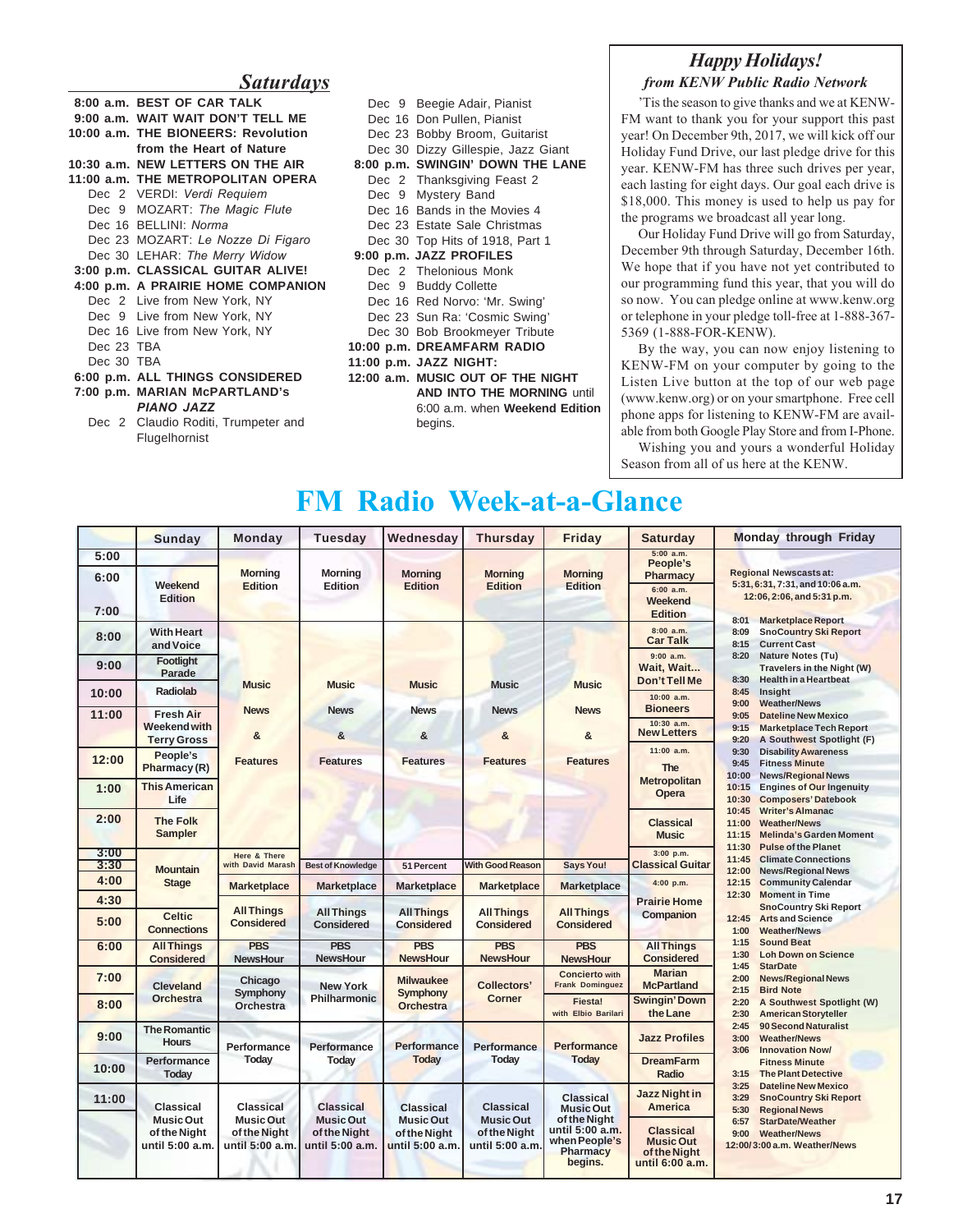### *Saturdays*

|            | 8:00 a.m. BEST OF CAR TALK          |  |  |  |  |  |
|------------|-------------------------------------|--|--|--|--|--|
|            | 9:00 a.m. WAIT WAIT DON'T TELL ME   |  |  |  |  |  |
|            | 10:00 a.m. THE BIONEERS: Revolution |  |  |  |  |  |
|            | from the Heart of Nature            |  |  |  |  |  |
|            | 10:30 a.m. NEW LETTERS ON THE AIR   |  |  |  |  |  |
|            | 11:00 a.m. THE METROPOLITAN OPERA   |  |  |  |  |  |
|            | Dec 2 VERDI: Verdi Requiem          |  |  |  |  |  |
|            | Dec 9 MOZART: The Magic Flute       |  |  |  |  |  |
|            | Dec 16 BELLINI: Norma               |  |  |  |  |  |
|            | Dec 23 MOZART: Le Nozze Di Figaro   |  |  |  |  |  |
|            | Dec 30 LEHAR: The Merry Widow       |  |  |  |  |  |
|            | 3:00 p.m. CLASSICAL GUITAR ALIVE!   |  |  |  |  |  |
|            | 4:00 p.m. A PRAIRIE HOME COMPANION  |  |  |  |  |  |
|            | Dec 2 Live from New York, NY        |  |  |  |  |  |
|            | Dec 9 Live from New York, NY        |  |  |  |  |  |
|            | Dec 16 Live from New York, NY       |  |  |  |  |  |
| Dec 23 TBA |                                     |  |  |  |  |  |
| Dec 30 TBA |                                     |  |  |  |  |  |
|            | 6:00 p.m. ALL THINGS CONSIDERED     |  |  |  |  |  |
|            | 7:00 p.m. MARIAN McPARTLAND's       |  |  |  |  |  |
|            | <b>PIANO JAZZ</b>                   |  |  |  |  |  |
|            | Dec 2 Claudio Roditi, Trumpeter and |  |  |  |  |  |
|            |                                     |  |  |  |  |  |

| Dec 9 Beegie Adair, Pianist                                                                                         |  |  |  |  |
|---------------------------------------------------------------------------------------------------------------------|--|--|--|--|
| Dec 16 Don Pullen, Pianist                                                                                          |  |  |  |  |
| Dec 23 Bobby Broom, Guitarist                                                                                       |  |  |  |  |
| Dec 30 Dizzy Gillespie, Jazz Giant                                                                                  |  |  |  |  |
| 8:00 p.m. SWINGIN' DOWN THE LANE                                                                                    |  |  |  |  |
| Dec 2 Thanksgiving Feast 2                                                                                          |  |  |  |  |
| Dec 9 Mystery Band                                                                                                  |  |  |  |  |
| Dec 16 Bands in the Movies 4                                                                                        |  |  |  |  |
| Dec 23 Estate Sale Christmas                                                                                        |  |  |  |  |
| Dec 30 Top Hits of 1918, Part 1                                                                                     |  |  |  |  |
| 9:00 p.m. JAZZ PROFILES                                                                                             |  |  |  |  |
| Dec 2 Thelonious Monk                                                                                               |  |  |  |  |
| Dec 9 Buddy Collette                                                                                                |  |  |  |  |
| Dec 16 Red Norvo: 'Mr. Swing'                                                                                       |  |  |  |  |
| Dec 23 Sun Ra: 'Cosmic Swing'                                                                                       |  |  |  |  |
| Dec 30 Bob Brookmeyer Tribute                                                                                       |  |  |  |  |
| 10:00 p.m. DREAMFARM RADIO                                                                                          |  |  |  |  |
| 11:00 p.m. JAZZ NIGHT:                                                                                              |  |  |  |  |
| 12:00 a.m. MUSIC OUT OF THE NIGHT<br><b>AND INTO THE MORNING until</b><br>6:00 a.m. when Weekend Edition<br>begins. |  |  |  |  |
|                                                                                                                     |  |  |  |  |

### *Happy Holidays! from KENW Public Radio Network*

Tis the season to give thanks and we at KENW-FM want to thank you for your support this past year! On December 9th, 2017, we will kick off our Holiday Fund Drive, our last pledge drive for this year. KENW-FM has three such drives per year, each lasting for eight days. Our goal each drive is \$18,000. This money is used to help us pay for the programs we broadcast all year long.

Our Holiday Fund Drive will go from Saturday, December 9th through Saturday, December 16th. We hope that if you have not yet contributed to our programming fund this year, that you will do so now. You can pledge online at www.kenw.org or telephone in your pledge toll-free at 1-888-367- 5369 (1-888-FOR-KENW).

By the way, you can now enjoy listening to KENW-FM on your computer by going to the Listen Live button at the top of our web page (www.kenw.org) or on your smartphone. Free cell phone apps for listening to KENW-FM are available from both Google Play Store and from I-Phone.

Wishing you and yours a wonderful Holiday Season from all of us here at the KENW.

# **FM Radio Week-at-a-Glance**

|       | <b>Sunday</b>                                                           | <b>Monday</b>                                                           | <b>Tuesday</b>                                                   | Wednesday                                           | <b>Thursday</b>                                     | <b>Friday</b>                                                                                                   | <b>Saturday</b>                                                         | <b>Monday through Friday</b>                                                                                |                                                                                               |
|-------|-------------------------------------------------------------------------|-------------------------------------------------------------------------|------------------------------------------------------------------|-----------------------------------------------------|-----------------------------------------------------|-----------------------------------------------------------------------------------------------------------------|-------------------------------------------------------------------------|-------------------------------------------------------------------------------------------------------------|-----------------------------------------------------------------------------------------------|
| 5:00  |                                                                         |                                                                         |                                                                  |                                                     |                                                     |                                                                                                                 | 5:00 a.m.<br>People's                                                   |                                                                                                             |                                                                                               |
| 6:00  | Weekend                                                                 | <b>Morning</b><br><b>Edition</b>                                        | <b>Morning</b><br>Edition                                        | <b>Morning</b><br><b>Edition</b>                    | <b>Morning</b><br><b>Edition</b>                    | <b>Morning</b><br><b>Edition</b>                                                                                | Pharmacy<br>6:00 a.m.                                                   | <b>Regional Newscasts at:</b><br>5:31, 6:31, 7:31, and 10:06 a.m.                                           |                                                                                               |
| 7:00  | <b>Edition</b>                                                          |                                                                         |                                                                  |                                                     |                                                     |                                                                                                                 | <b>Weekend</b><br><b>Edition</b>                                        | 12:06, 2:06, and 5:31 p.m.                                                                                  |                                                                                               |
| 8:00  | <b>With Heart</b><br>and Voice                                          |                                                                         |                                                                  |                                                     |                                                     |                                                                                                                 | 8:00 a.m.<br><b>Car Talk</b>                                            | 8:01<br><b>Marketplace Report</b><br><b>SnoCountry Ski Report</b><br>8:09<br><b>Current Cast</b><br>8:15    |                                                                                               |
| 9:00  | <b>Footlight</b><br>Parade                                              |                                                                         |                                                                  |                                                     |                                                     |                                                                                                                 | $9:00$ a.m.<br>Wait, Wait                                               | <b>Nature Notes (Tu)</b><br>8:20<br>Travelers in the Night (W)                                              |                                                                                               |
| 10:00 | Radiolab                                                                | <b>Music</b>                                                            | <b>Music</b>                                                     | <b>Music</b>                                        | <b>Music</b>                                        | <b>Music</b>                                                                                                    | <b>Don't Tell Me</b><br>10:00 a.m.                                      | <b>Health in a Heartbeat</b><br>8:30<br>8:45<br>Insight                                                     |                                                                                               |
| 11:00 | <b>Fresh Air</b><br><b>Weekend with</b>                                 | <b>News</b>                                                             | <b>News</b>                                                      | <b>News</b>                                         | <b>News</b>                                         | <b>News</b>                                                                                                     | <b>Bioneers</b><br>10:30 a.m.<br><b>New Letters</b>                     | <b>Weather/News</b><br>9:00<br><b>Dateline New Mexico</b><br>9:05<br>9:15<br><b>Marketplace Tech Report</b> |                                                                                               |
|       | <b>Terry Gross</b>                                                      | &                                                                       | &                                                                | &                                                   | &                                                   | &                                                                                                               | 11:00 a.m.                                                              | 9:20<br>A Southwest Spotlight (F)                                                                           |                                                                                               |
| 12:00 | People's<br>Pharmacy (R)                                                | <b>Features</b>                                                         | <b>Features</b>                                                  | <b>Features</b>                                     | <b>Features</b>                                     | <b>Features</b>                                                                                                 | <b>The</b>                                                              | <b>Disability Awareness</b><br>9:30<br>9:45<br><b>Fitness Minute</b><br><b>News/Regional News</b><br>10:00  |                                                                                               |
| 1:00  | <b>This American</b><br>Life                                            |                                                                         |                                                                  |                                                     |                                                     |                                                                                                                 | <b>Metropolitan</b><br>Opera                                            | <b>Engines of Our Ingenuity</b><br>10:15<br><b>Composers' Datebook</b><br>10:30                             |                                                                                               |
| 2:00  | <b>The Folk</b><br><b>Sampler</b>                                       |                                                                         |                                                                  |                                                     |                                                     |                                                                                                                 | <b>Classical</b><br><b>Music</b>                                        | <b>Writer's Almanac</b><br>10:45<br>11:00<br><b>Weather/News</b><br>11:15<br><b>Melinda's Garden Moment</b> |                                                                                               |
| 3:00  |                                                                         | <b>Here &amp; There</b>                                                 |                                                                  |                                                     |                                                     |                                                                                                                 | $3:00$ p.m.                                                             | <b>Pulse of the Planet</b><br>11:30<br><b>Climate Connections</b><br>11:45                                  |                                                                                               |
| 3:30  | <b>Mountain</b>                                                         | with David Marash                                                       | <b>Best of Knowledge</b>                                         | 51 Percent                                          | <b>With Good Reason</b>                             | <b>Says You!</b>                                                                                                | <b>Classical Guitar</b>                                                 | 12:00<br><b>News/Regional News</b>                                                                          |                                                                                               |
| 4:00  | <b>Stage</b>                                                            | <b>Marketplace</b>                                                      | <b>Marketplace</b>                                               | <b>Marketplace</b>                                  | <b>Marketplace</b>                                  | <b>Marketplace</b>                                                                                              | $4:00$ p.m.                                                             | 12:15<br><b>Community Calendar</b>                                                                          |                                                                                               |
| 4:30  |                                                                         |                                                                         |                                                                  |                                                     |                                                     |                                                                                                                 | <b>Prairie Home</b>                                                     | 12:30<br><b>Moment in Time</b><br><b>SnoCountry Ski Report</b>                                              |                                                                                               |
| 5:00  | <b>Celtic</b><br><b>Connections</b>                                     | <b>All Things</b><br><b>Considered</b>                                  | <b>All Things</b><br><b>Considered</b>                           | <b>All Things</b><br><b>Considered</b>              | <b>All Things</b><br><b>Considered</b>              | <b>All Things</b><br><b>Considered</b>                                                                          | Companion                                                               | <b>Arts and Science</b><br>12:45<br><b>Weather/News</b><br>1:00                                             |                                                                                               |
| 6:00  | <b>All Things</b><br><b>Considered</b>                                  | <b>PBS</b><br><b>NewsHour</b>                                           | <b>PBS</b><br><b>NewsHour</b>                                    | <b>PBS</b><br><b>NewsHour</b>                       | <b>PBS</b><br><b>NewsHour</b>                       | <b>PBS</b><br><b>NewsHour</b>                                                                                   | <b>All Things</b><br><b>Considered</b>                                  | <b>Sound Beat</b><br>1:15<br><b>Loh Down on Science</b><br>1:30<br><b>StarDate</b><br>1:45                  |                                                                                               |
| 7:00  | <b>Cleveland</b>                                                        | Chicago<br>Symphony                                                     | <b>New York</b>                                                  | <b>Milwaukee</b><br><b>Symphony</b>                 | <b>Collectors'</b>                                  | <b>Concierto with</b><br><b>Frank Dominguez</b>                                                                 | <b>Marian</b><br><b>McPartland</b>                                      | <b>News/Regional News</b><br>2:00<br><b>Bird Note</b><br>2:15                                               |                                                                                               |
| 8:00  | <b>Orchestra</b>                                                        |                                                                         | <b>Orchestra</b>                                                 | <b>Philharmonic</b>                                 | <b>Orchestra</b>                                    | <b>Corner</b>                                                                                                   | <b>Fiesta!</b><br>with Elbio Barilari                                   | <b>Swingin' Down</b><br>the Lane                                                                            | A Southwest Spotlight (W)<br>2:20<br><b>American Storyteller</b><br>2:30                      |
| 9:00  | <b>The Romantic</b><br><b>Hours</b>                                     | Performance<br>Today                                                    |                                                                  | <b>Performance</b>                                  | <b>Performance</b>                                  | <b>Performance</b>                                                                                              | <b>Performance</b>                                                      | <b>Jazz Profiles</b>                                                                                        | 90 Second Naturalist<br>2:45<br><b>Weather/News</b><br>3:00<br>3:06<br><b>Innovation Now/</b> |
| 10:00 | Performance<br>Today                                                    |                                                                         | Today                                                            | <b>Today</b>                                        | <b>Today</b>                                        | <b>Today</b>                                                                                                    | <b>DreamFarm</b><br>Radio                                               | <b>Fitness Minute</b><br><b>The Plant Detective</b><br>3:15                                                 |                                                                                               |
| 11:00 | <b>Classical</b><br><b>Music Out</b><br>of the Night<br>until 5:00 a.m. | <b>Classical</b><br><b>Music Out</b><br>of the Night<br>until 5:00 a.m. | <b>Classical</b><br>Music Out<br>of the Night<br>until 5:00 a.m. | Classical                                           | <b>Classical</b>                                    | <b>Classical</b><br><b>Music Out</b><br>of the Night<br>until 5:00 a.m.<br>when People's<br>Pharmacy<br>begins. | <b>Jazz Night in</b><br><b>America</b>                                  | <b>Dateline New Mexico</b><br>3:25<br>3:29<br><b>SnoCountry Ski Report</b><br><b>Regional News</b><br>5:30  |                                                                                               |
|       |                                                                         |                                                                         |                                                                  | <b>Music Out</b><br>of the Night<br>until 5:00 a.m. | <b>Music Out</b><br>of the Night<br>until 5:00 a.m. |                                                                                                                 | <b>Classical</b><br><b>Music Out</b><br>of the Night<br>until 6:00 a.m. | <b>StarDate/Weather</b><br>6:57<br><b>Weather/News</b><br>9:00<br>12:00/3:00 a.m. Weather/News              |                                                                                               |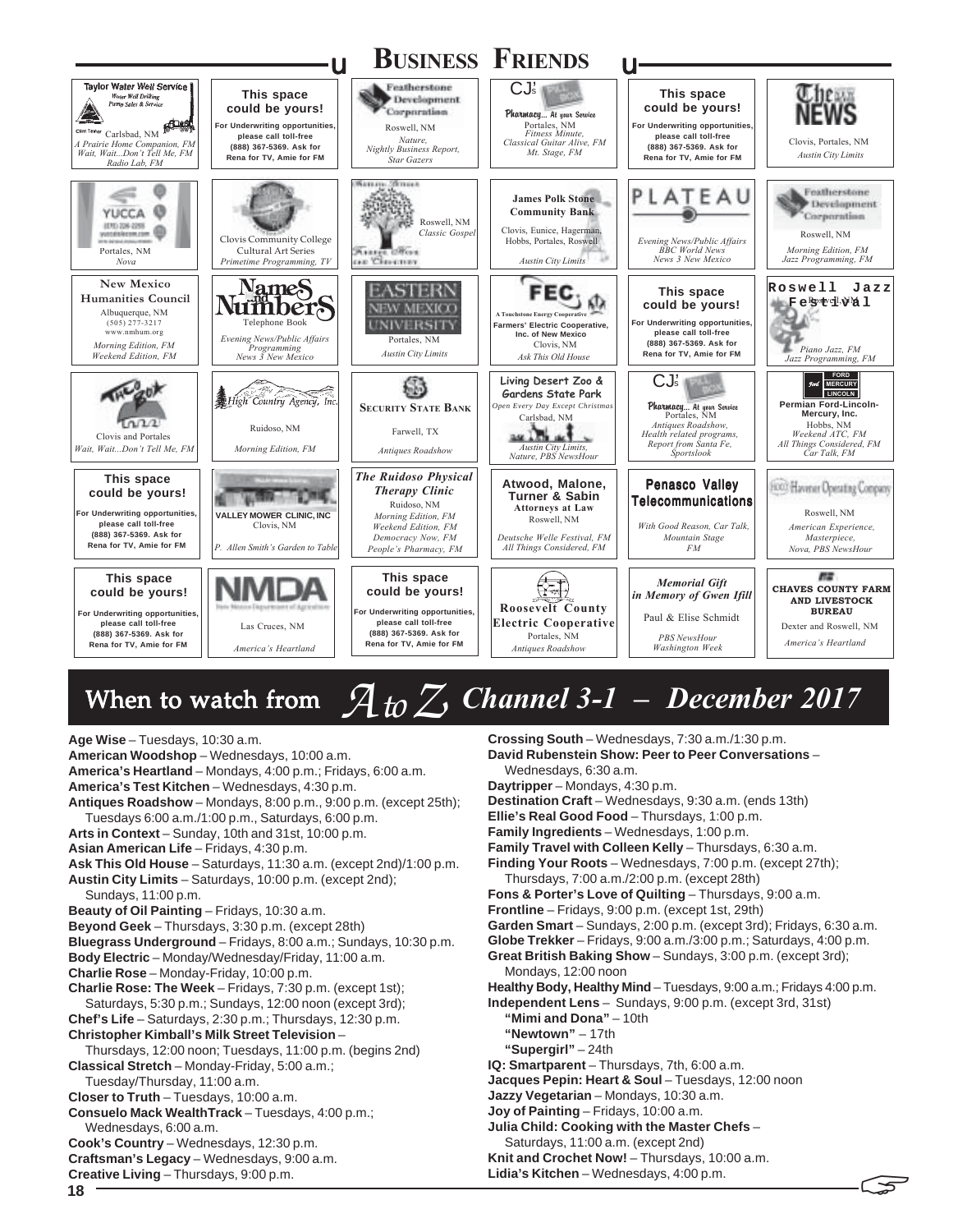

# When to watch from  $A$  *to*  $Z$  *Channel 3-1 – December 2017*

**<sup>18</sup>** ! **Age Wise** – Tuesdays, 10:30 a.m. **American Woodshop** – Wednesdays, 10:00 a.m. **America's Heartland** – Mondays, 4:00 p.m.; Fridays, 6:00 a.m. **America's Test Kitchen** – Wednesdays, 4:30 p.m. **Antiques Roadshow** – Mondays, 8:00 p.m., 9:00 p.m. (except 25th); Tuesdays 6:00 a.m./1:00 p.m., Saturdays, 6:00 p.m. **Arts in Context** – Sunday, 10th and 31st, 10:00 p.m. **Asian American Life** – Fridays, 4:30 p.m. **Ask This Old House** – Saturdays, 11:30 a.m. (except 2nd)/1:00 p.m. **Austin City Limits** – Saturdays, 10:00 p.m. (except 2nd); Sundays, 11:00 p.m. **Beauty of Oil Painting** – Fridays, 10:30 a.m. **Beyond Geek** – Thursdays, 3:30 p.m. (except 28th) **Bluegrass Underground** – Fridays, 8:00 a.m.; Sundays, 10:30 p.m. **Body Electric** – Monday/Wednesday/Friday, 11:00 a.m. **Charlie Rose** – Monday-Friday, 10:00 p.m. **Charlie Rose: The Week** – Fridays, 7:30 p.m. (except 1st); Saturdays, 5:30 p.m.; Sundays, 12:00 noon (except 3rd); **Chef's Life** – Saturdays, 2:30 p.m.; Thursdays, 12:30 p.m. **Christopher Kimball's Milk Street Television** – Thursdays, 12:00 noon; Tuesdays, 11:00 p.m. (begins 2nd) **Classical Stretch** – Monday-Friday, 5:00 a.m.; Tuesday/Thursday, 11:00 a.m. **Closer to Truth** – Tuesdays, 10:00 a.m. **Consuelo Mack WealthTrack** – Tuesdays, 4:00 p.m.; Wednesdays, 6:00 a.m. **Cook's Country** – Wednesdays, 12:30 p.m. **Craftsman's Legacy** – Wednesdays, 9:00 a.m. **Creative Living** – Thursdays, 9:00 p.m. **Crossing South** – Wednesdays, 7:30 a.m./1:30 p.m. **David Rubenstein Show: Peer to Peer Conversations** – Wednesdays, 6:30 a.m. **Daytripper** – Mondays, 4:30 p.m. **Destination Craft** – Wednesdays, 9:30 a.m. (ends 13th) **Ellie's Real Good Food** – Thursdays, 1:00 p.m. **Family Ingredients** – Wednesdays, 1:00 p.m. **Family Travel with Colleen Kelly** – Thursdays, 6:30 a.m. **Finding Your Roots** – Wednesdays, 7:00 p.m. (except 27th); Thursdays, 7:00 a.m./2:00 p.m. (except 28th) **Fons & Porter's Love of Quilting** – Thursdays, 9:00 a.m. **Frontline** – Fridays, 9:00 p.m. (except 1st, 29th) **Garden Smart** – Sundays, 2:00 p.m. (except 3rd); Fridays, 6:30 a.m. **Globe Trekker** – Fridays, 9:00 a.m./3:00 p.m.; Saturdays, 4:00 p.m. **Great British Baking Show** – Sundays, 3:00 p.m. (except 3rd); Mondays, 12:00 noon **Healthy Body, Healthy Mind** – Tuesdays, 9:00 a.m.; Fridays 4:00 p.m. **Independent Lens** – Sundays, 9:00 p.m. (except 3rd, 31st) **"Mimi and Dona"** – 10th **"Newtown"** – 17th **"Supergirl"** – 24th **IQ: Smartparent** – Thursdays, 7th, 6:00 a.m. **Jacques Pepin: Heart & Soul** – Tuesdays, 12:00 noon **Jazzy Vegetarian** – Mondays, 10:30 a.m. **Joy of Painting** – Fridays, 10:00 a.m. **Julia Child: Cooking with the Master Chefs** – Saturdays, 11:00 a.m. (except 2nd) **Knit and Crochet Now!** – Thursdays, 10:00 a.m. **Lidia's Kitchen** – Wednesdays, 4:00 p.m.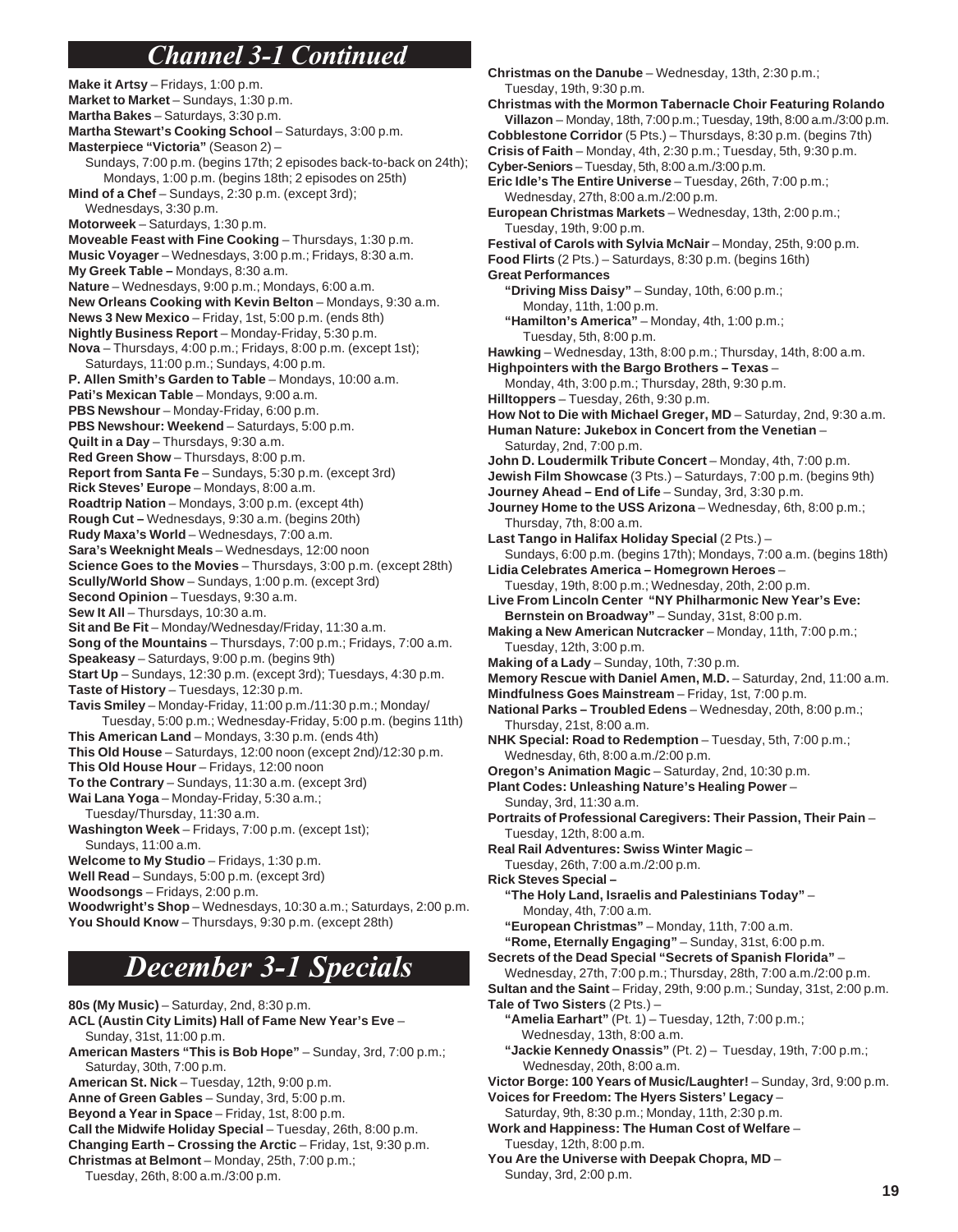# *Channel 3-1 Continued*

**Make it Artsy** – Fridays, 1:00 p.m. **Market to Market** – Sundays, 1:30 p.m. **Martha Bakes** – Saturdays, 3:30 p.m. **Martha Stewart's Cooking School** – Saturdays, 3:00 p.m. **Masterpiece "Victoria"** (Season 2) – Sundays, 7:00 p.m. (begins 17th; 2 episodes back-to-back on 24th); Mondays, 1:00 p.m. (begins 18th; 2 episodes on 25th) **Mind of a Chef** – Sundays, 2:30 p.m. (except 3rd); Wednesdays, 3:30 p.m. **Motorweek** – Saturdays, 1:30 p.m. **Moveable Feast with Fine Cooking** – Thursdays, 1:30 p.m. **Music Voyager** – Wednesdays, 3:00 p.m.; Fridays, 8:30 a.m. **My Greek Table –** Mondays, 8:30 a.m. **Nature** – Wednesdays, 9:00 p.m.; Mondays, 6:00 a.m. **New Orleans Cooking with Kevin Belton** – Mondays, 9:30 a.m. **News 3 New Mexico** – Friday, 1st, 5:00 p.m. (ends 8th) **Nightly Business Report** – Monday-Friday, 5:30 p.m. **Nova** – Thursdays, 4:00 p.m.; Fridays, 8:00 p.m. (except 1st); Saturdays, 11:00 p.m.; Sundays, 4:00 p.m. **P. Allen Smith's Garden to Table** – Mondays, 10:00 a.m. **Pati's Mexican Table** – Mondays, 9:00 a.m. **PBS Newshour** – Monday-Friday, 6:00 p.m. **PBS Newshour: Weekend** – Saturdays, 5:00 p.m. **Quilt in a Day** – Thursdays, 9:30 a.m. **Red Green Show** – Thursdays, 8:00 p.m. **Report from Santa Fe** – Sundays, 5:30 p.m. (except 3rd) **Rick Steves' Europe** – Mondays, 8:00 a.m. **Roadtrip Nation** – Mondays, 3:00 p.m. (except 4th) **Rough Cut –** Wednesdays, 9:30 a.m. (begins 20th) **Rudy Maxa's World** – Wednesdays, 7:00 a.m. **Sara's Weeknight Meals** – Wednesdays, 12:00 noon **Science Goes to the Movies** – Thursdays, 3:00 p.m. (except 28th) **Scully/World Show** – Sundays, 1:00 p.m. (except 3rd) **Second Opinion** – Tuesdays, 9:30 a.m. **Sew It All** – Thursdays, 10:30 a.m. **Sit and Be Fit** – Monday/Wednesday/Friday, 11:30 a.m. **Song of the Mountains** – Thursdays, 7:00 p.m.; Fridays, 7:00 a.m. **Speakeasy** – Saturdays, 9:00 p.m. (begins 9th) **Start Up** – Sundays, 12:30 p.m. (except 3rd); Tuesdays, 4:30 p.m. **Taste of History** – Tuesdays, 12:30 p.m. **Tavis Smiley** – Monday-Friday, 11:00 p.m./11:30 p.m.; Monday/ Tuesday, 5:00 p.m.; Wednesday-Friday, 5:00 p.m. (begins 11th) **This American Land** – Mondays, 3:30 p.m. (ends 4th) **This Old House** – Saturdays, 12:00 noon (except 2nd)/12:30 p.m. **This Old House Hour** – Fridays, 12:00 noon **To the Contrary** – Sundays, 11:30 a.m. (except 3rd) **Wai Lana Yoga** – Monday-Friday, 5:30 a.m.; Tuesday/Thursday, 11:30 a.m. **Washington Week** – Fridays, 7:00 p.m. (except 1st); Sundays, 11:00 a.m. **Welcome to My Studio** – Fridays, 1:30 p.m. **Well Read** – Sundays, 5:00 p.m. (except 3rd) **Woodsongs** – Fridays, 2:00 p.m.

**Woodwright's Shop** – Wednesdays, 10:30 a.m.; Saturdays, 2:00 p.m. **You Should Know** – Thursdays, 9:30 p.m. (except 28th)

# *December 3-1 Specials*

**80s (My Music)** – Saturday, 2nd, 8:30 p.m.

- **ACL (Austin City Limits) Hall of Fame New Year's Eve** Sunday, 31st, 11:00 p.m.
- **American Masters "This is Bob Hope"**  Sunday, 3rd, 7:00 p.m.; Saturday, 30th, 7:00 p.m.
- **American St. Nick** Tuesday, 12th, 9:00 p.m.
- **Anne of Green Gables**  Sunday, 3rd, 5:00 p.m.
- **Beyond a Year in Space** Friday, 1st, 8:00 p.m.
- **Call the Midwife Holiday Special** Tuesday, 26th, 8:00 p.m.
- **Changing Earth Crossing the Arctic**  Friday, 1st, 9:30 p.m. **Christmas at Belmont** – Monday, 25th, 7:00 p.m.;
	- Tuesday, 26th, 8:00 a.m./3:00 p.m.

**Christmas on the Danube** – Wednesday, 13th, 2:30 p.m.; Tuesday, 19th, 9:30 p.m. **Christmas with the Mormon Tabernacle Choir Featuring Rolando Villazon** – Monday, 18th, 7:00 p.m.; Tuesday, 19th, 8:00 a.m./3:00 p.m. **Cobblestone Corridor** (5 Pts.) – Thursdays, 8:30 p.m. (begins 7th) **Crisis of Faith** – Monday, 4th, 2:30 p.m.; Tuesday, 5th, 9:30 p.m. **Cyber-Seniors** – Tuesday, 5th, 8:00 a.m./3:00 p.m. **Eric Idle's The Entire Universe** – Tuesday, 26th, 7:00 p.m.; Wednesday, 27th, 8:00 a.m./2:00 p.m. **European Christmas Markets** – Wednesday, 13th, 2:00 p.m.; Tuesday, 19th, 9:00 p.m. **Festival of Carols with Sylvia McNair** – Monday, 25th, 9:00 p.m. **Food Flirts** (2 Pts.) – Saturdays, 8:30 p.m. (begins 16th) **Great Performances "Driving Miss Daisy"** – Sunday, 10th, 6:00 p.m.; Monday, 11th, 1:00 p.m. **"Hamilton's America"** – Monday, 4th, 1:00 p.m.; Tuesday, 5th, 8:00 p.m. **Hawking** – Wednesday, 13th, 8:00 p.m.; Thursday, 14th, 8:00 a.m. **Highpointers with the Bargo Brothers – Texas** – Monday, 4th, 3:00 p.m.; Thursday, 28th, 9:30 p.m. **Hilltoppers** – Tuesday, 26th, 9:30 p.m. **How Not to Die with Michael Greger, MD** – Saturday, 2nd, 9:30 a.m. **Human Nature: Jukebox in Concert from the Venetian** – Saturday, 2nd, 7:00 p.m. **John D. Loudermilk Tribute Concert** – Monday, 4th, 7:00 p.m. **Jewish Film Showcase** (3 Pts.) – Saturdays, 7:00 p.m. (begins 9th) **Journey Ahead – End of Life** – Sunday, 3rd, 3:30 p.m. **Journey Home to the USS Arizona** – Wednesday, 6th, 8:00 p.m.; Thursday, 7th, 8:00 a.m. **Last Tango in Halifax Holiday Special** (2 Pts.) – Sundays, 6:00 p.m. (begins 17th); Mondays, 7:00 a.m. (begins 18th) **Lidia Celebrates America – Homegrown Heroes** – Tuesday, 19th, 8:00 p.m.; Wednesday, 20th, 2:00 p.m. **Live From Lincoln Center "NY Philharmonic New Year's Eve:** Bernstein on Broadway" - Sunday, 31st, 8:00 p.m. **Making a New American Nutcracker** – Monday, 11th, 7:00 p.m.; Tuesday, 12th, 3:00 p.m. **Making of a Lady** – Sunday, 10th, 7:30 p.m. **Memory Rescue with Daniel Amen, M.D.** – Saturday, 2nd, 11:00 a.m. **Mindfulness Goes Mainstream** – Friday, 1st, 7:00 p.m. **National Parks – Troubled Edens** – Wednesday, 20th, 8:00 p.m.; Thursday, 21st, 8:00 a.m. **NHK Special: Road to Redemption** – Tuesday, 5th, 7:00 p.m.; Wednesday, 6th, 8:00 a.m./2:00 p.m. **Oregon's Animation Magic** – Saturday, 2nd, 10:30 p.m. **Plant Codes: Unleashing Nature's Healing Power** – Sunday, 3rd, 11:30 a.m. **Portraits of Professional Caregivers: Their Passion, Their Pain** – Tuesday, 12th, 8:00 a.m. **Real Rail Adventures: Swiss Winter Magic** – Tuesday, 26th, 7:00 a.m./2:00 p.m. **Rick Steves Special – "The Holy Land, Israelis and Palestinians Today"** – Monday, 4th, 7:00 a.m. **"European Christmas"** – Monday, 11th, 7:00 a.m. **"Rome, Eternally Engaging"** – Sunday, 31st, 6:00 p.m. **Secrets of the Dead Special "Secrets of Spanish Florida"** – Wednesday, 27th, 7:00 p.m.; Thursday, 28th, 7:00 a.m./2:00 p.m. **Sultan and the Saint** – Friday, 29th, 9:00 p.m.; Sunday, 31st, 2:00 p.m. **Tale of Two Sisters** (2 Pts.) – **"Amelia Earhart"** (Pt. 1) – Tuesday, 12th, 7:00 p.m.; Wednesday, 13th, 8:00 a.m. **"Jackie Kennedy Onassis"** (Pt. 2) – Tuesday, 19th, 7:00 p.m.; Wednesday, 20th, 8:00 a.m. **Victor Borge: 100 Years of Music/Laughter!** – Sunday, 3rd, 9:00 p.m. **Voices for Freedom: The Hyers Sisters' Legacy** – Saturday, 9th, 8:30 p.m.; Monday, 11th, 2:30 p.m. **Work and Happiness: The Human Cost of Welfare** – Tuesday, 12th, 8:00 p.m.

**You Are the Universe with Deepak Chopra, MD** –

Sunday, 3rd, 2:00 p.m.

**19**